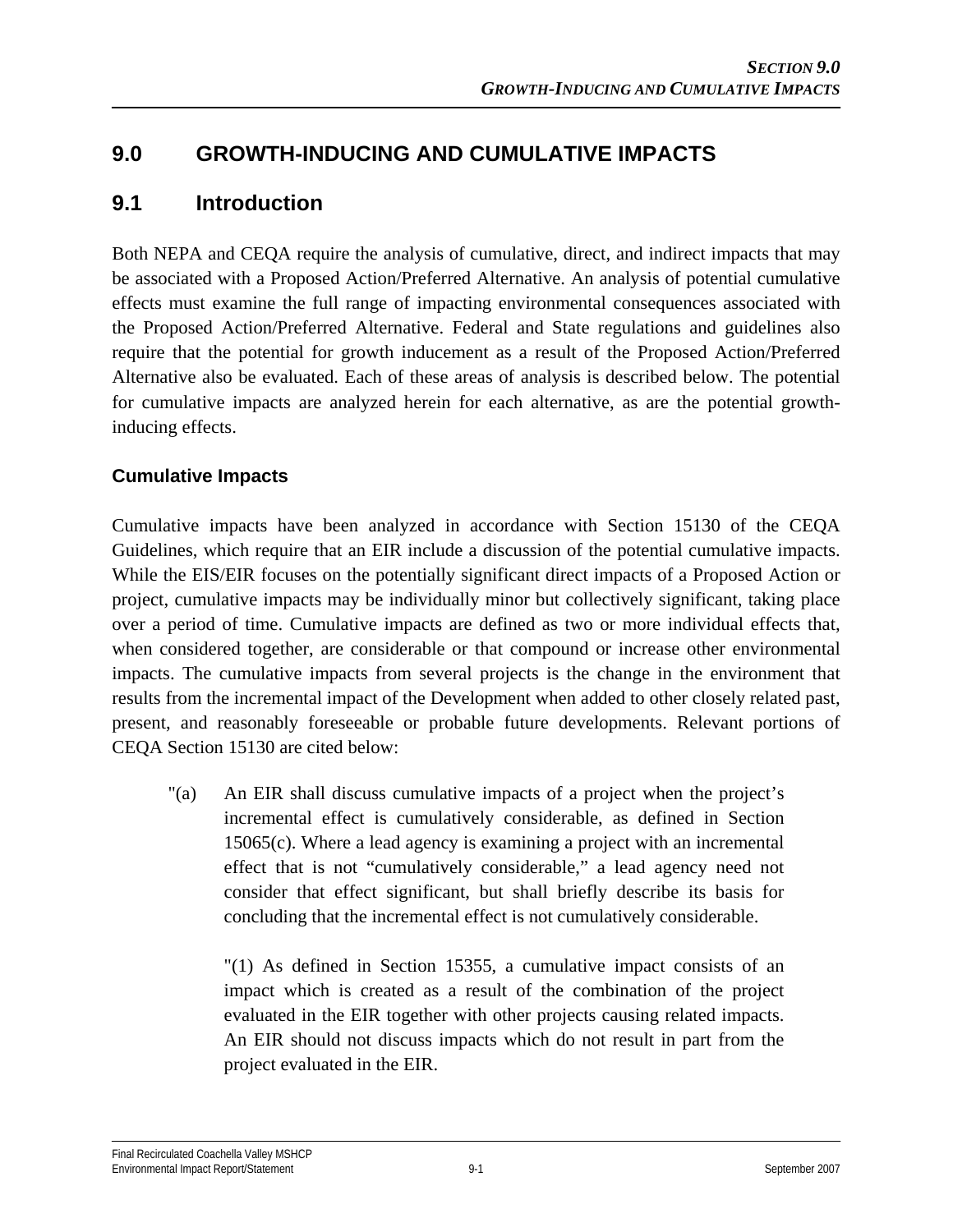# **9.0 GROWTH-INDUCING AND CUMULATIVE IMPACTS**

# **9.1 Introduction**

Both NEPA and CEQA require the analysis of cumulative, direct, and indirect impacts that may be associated with a Proposed Action/Preferred Alternative. An analysis of potential cumulative effects must examine the full range of impacting environmental consequences associated with the Proposed Action/Preferred Alternative. Federal and State regulations and guidelines also require that the potential for growth inducement as a result of the Proposed Action/Preferred Alternative also be evaluated. Each of these areas of analysis is described below. The potential for cumulative impacts are analyzed herein for each alternative, as are the potential growthinducing effects.

## **Cumulative Impacts**

Cumulative impacts have been analyzed in accordance with Section 15130 of the CEQA Guidelines, which require that an EIR include a discussion of the potential cumulative impacts. While the EIS/EIR focuses on the potentially significant direct impacts of a Proposed Action or project, cumulative impacts may be individually minor but collectively significant, taking place over a period of time. Cumulative impacts are defined as two or more individual effects that, when considered together, are considerable or that compound or increase other environmental impacts. The cumulative impacts from several projects is the change in the environment that results from the incremental impact of the Development when added to other closely related past, present, and reasonably foreseeable or probable future developments. Relevant portions of CEQA Section 15130 are cited below:

"(a) An EIR shall discuss cumulative impacts of a project when the project's incremental effect is cumulatively considerable, as defined in Section 15065(c). Where a lead agency is examining a project with an incremental effect that is not "cumulatively considerable," a lead agency need not consider that effect significant, but shall briefly describe its basis for concluding that the incremental effect is not cumulatively considerable.

 "(1) As defined in Section 15355, a cumulative impact consists of an impact which is created as a result of the combination of the project evaluated in the EIR together with other projects causing related impacts. An EIR should not discuss impacts which do not result in part from the project evaluated in the EIR.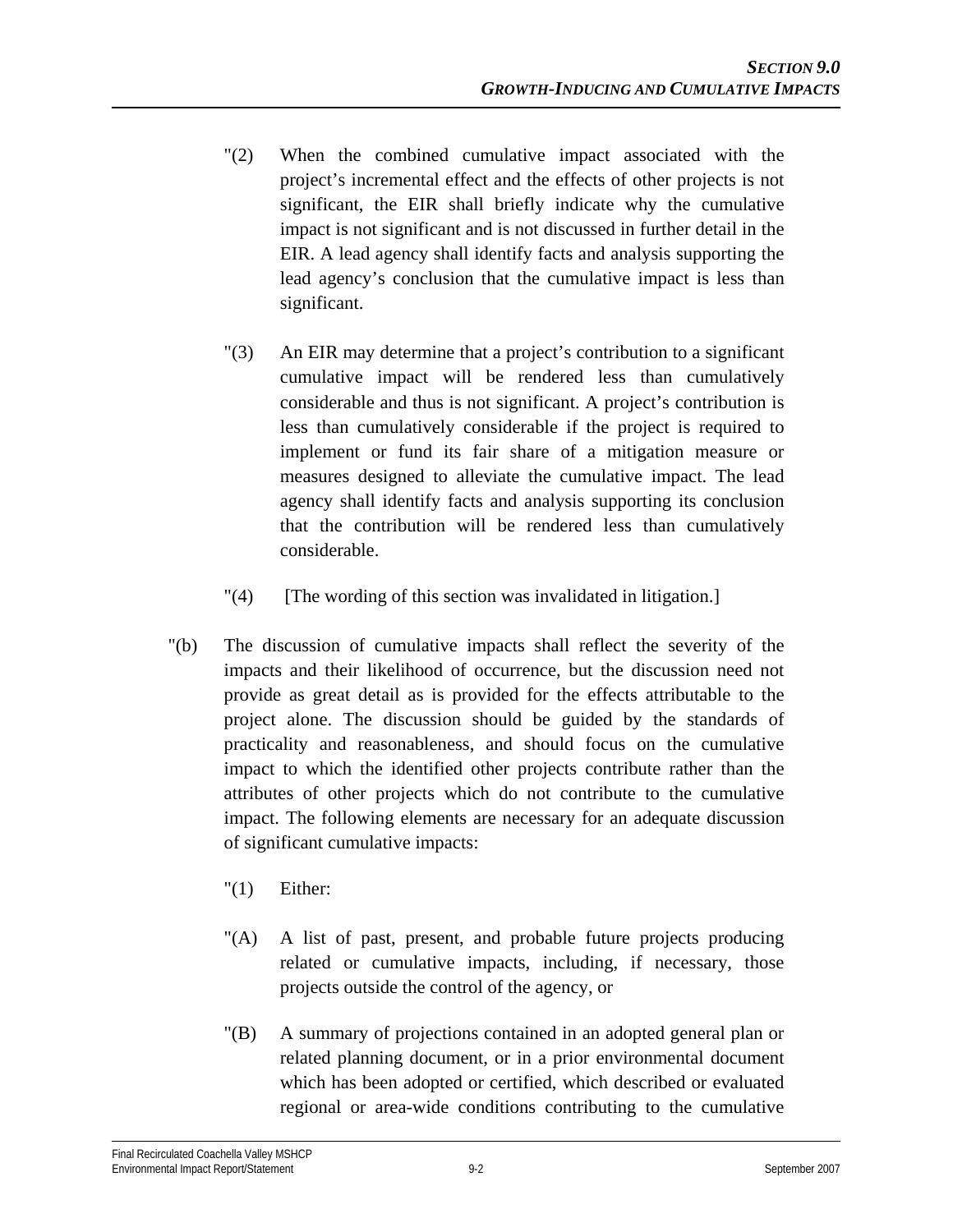- "(2) When the combined cumulative impact associated with the project's incremental effect and the effects of other projects is not significant, the EIR shall briefly indicate why the cumulative impact is not significant and is not discussed in further detail in the EIR. A lead agency shall identify facts and analysis supporting the lead agency's conclusion that the cumulative impact is less than significant.
- "(3) An EIR may determine that a project's contribution to a significant cumulative impact will be rendered less than cumulatively considerable and thus is not significant. A project's contribution is less than cumulatively considerable if the project is required to implement or fund its fair share of a mitigation measure or measures designed to alleviate the cumulative impact. The lead agency shall identify facts and analysis supporting its conclusion that the contribution will be rendered less than cumulatively considerable.
- "(4) [The wording of this section was invalidated in litigation.]
- "(b) The discussion of cumulative impacts shall reflect the severity of the impacts and their likelihood of occurrence, but the discussion need not provide as great detail as is provided for the effects attributable to the project alone. The discussion should be guided by the standards of practicality and reasonableness, and should focus on the cumulative impact to which the identified other projects contribute rather than the attributes of other projects which do not contribute to the cumulative impact. The following elements are necessary for an adequate discussion of significant cumulative impacts:
	- "(1) Either:
	- "(A) A list of past, present, and probable future projects producing related or cumulative impacts, including, if necessary, those projects outside the control of the agency, or
	- "(B) A summary of projections contained in an adopted general plan or related planning document, or in a prior environmental document which has been adopted or certified, which described or evaluated regional or area-wide conditions contributing to the cumulative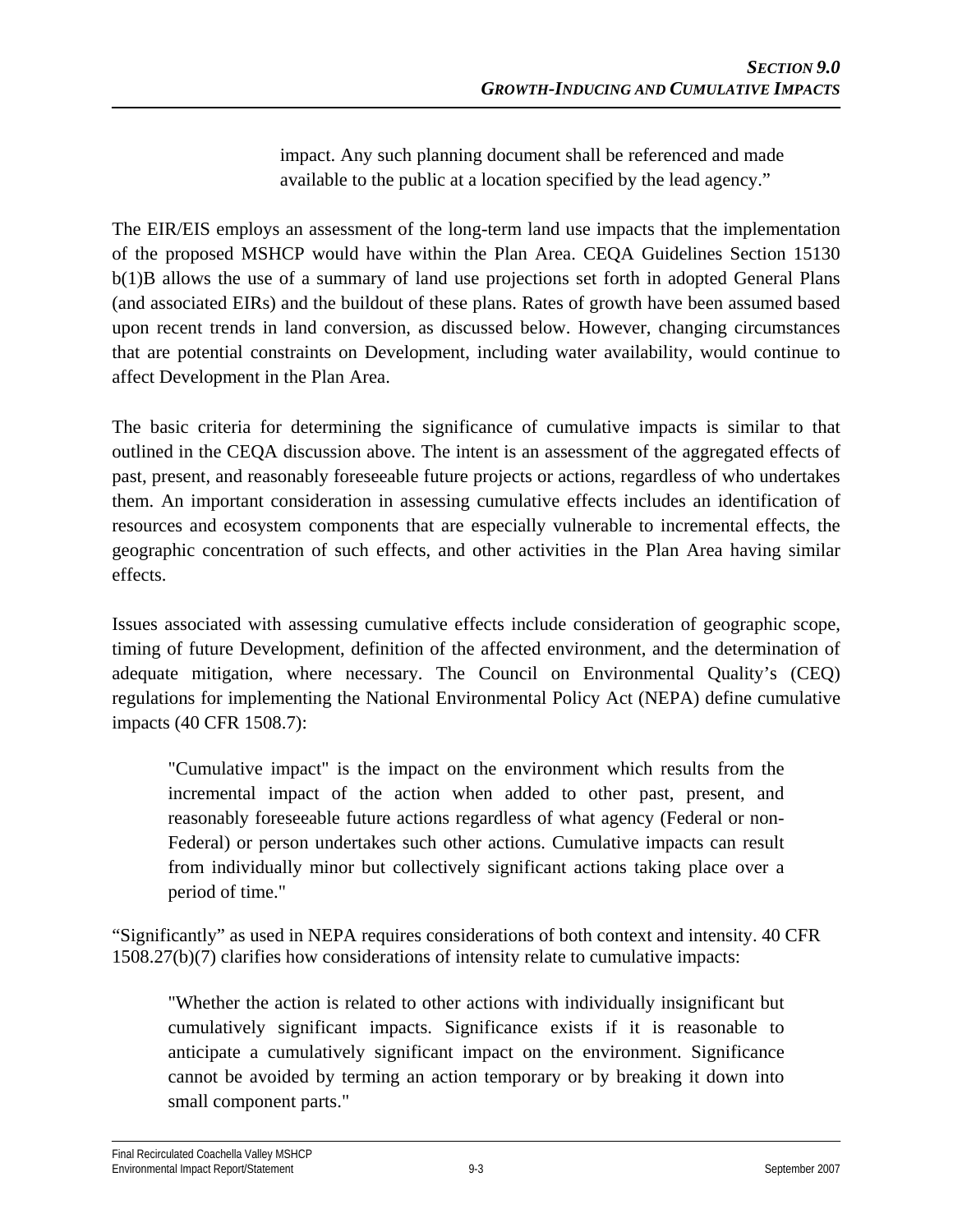impact. Any such planning document shall be referenced and made available to the public at a location specified by the lead agency."

The EIR/EIS employs an assessment of the long-term land use impacts that the implementation of the proposed MSHCP would have within the Plan Area. CEQA Guidelines Section 15130 b(1)B allows the use of a summary of land use projections set forth in adopted General Plans (and associated EIRs) and the buildout of these plans. Rates of growth have been assumed based upon recent trends in land conversion, as discussed below. However, changing circumstances that are potential constraints on Development, including water availability, would continue to affect Development in the Plan Area.

The basic criteria for determining the significance of cumulative impacts is similar to that outlined in the CEQA discussion above. The intent is an assessment of the aggregated effects of past, present, and reasonably foreseeable future projects or actions, regardless of who undertakes them. An important consideration in assessing cumulative effects includes an identification of resources and ecosystem components that are especially vulnerable to incremental effects, the geographic concentration of such effects, and other activities in the Plan Area having similar effects.

Issues associated with assessing cumulative effects include consideration of geographic scope, timing of future Development, definition of the affected environment, and the determination of adequate mitigation, where necessary. The Council on Environmental Quality's (CEQ) regulations for implementing the National Environmental Policy Act (NEPA) define cumulative impacts (40 CFR 1508.7):

"Cumulative impact" is the impact on the environment which results from the incremental impact of the action when added to other past, present, and reasonably foreseeable future actions regardless of what agency (Federal or non-Federal) or person undertakes such other actions. Cumulative impacts can result from individually minor but collectively significant actions taking place over a period of time."

"Significantly" as used in NEPA requires considerations of both context and intensity. 40 CFR 1508.27(b)(7) clarifies how considerations of intensity relate to cumulative impacts:

"Whether the action is related to other actions with individually insignificant but cumulatively significant impacts. Significance exists if it is reasonable to anticipate a cumulatively significant impact on the environment. Significance cannot be avoided by terming an action temporary or by breaking it down into small component parts."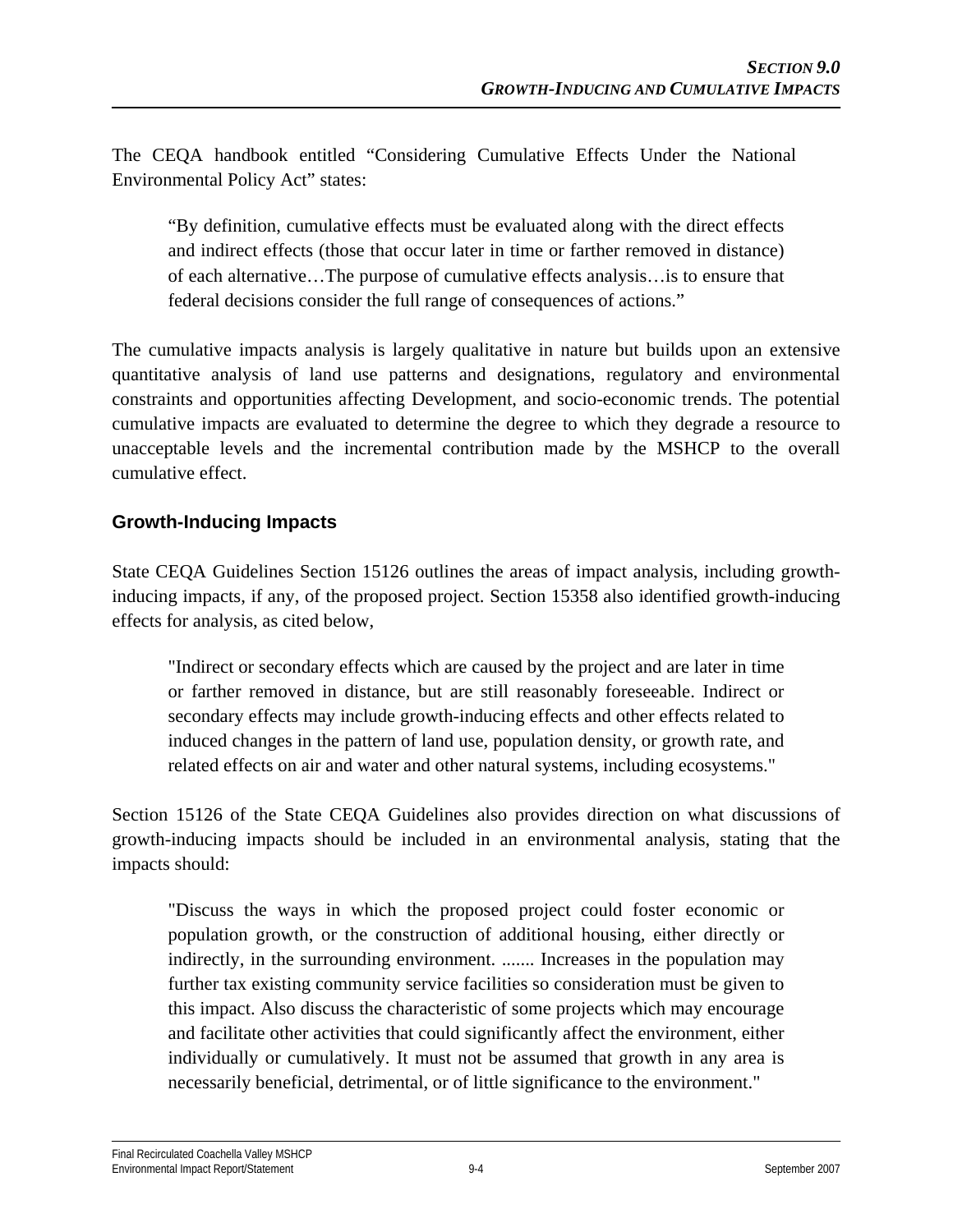The CEQA handbook entitled "Considering Cumulative Effects Under the National Environmental Policy Act" states:

"By definition, cumulative effects must be evaluated along with the direct effects and indirect effects (those that occur later in time or farther removed in distance) of each alternative…The purpose of cumulative effects analysis…is to ensure that federal decisions consider the full range of consequences of actions."

The cumulative impacts analysis is largely qualitative in nature but builds upon an extensive quantitative analysis of land use patterns and designations, regulatory and environmental constraints and opportunities affecting Development, and socio-economic trends. The potential cumulative impacts are evaluated to determine the degree to which they degrade a resource to unacceptable levels and the incremental contribution made by the MSHCP to the overall cumulative effect.

## **Growth-Inducing Impacts**

State CEQA Guidelines Section 15126 outlines the areas of impact analysis, including growthinducing impacts, if any, of the proposed project. Section 15358 also identified growth-inducing effects for analysis, as cited below,

"Indirect or secondary effects which are caused by the project and are later in time or farther removed in distance, but are still reasonably foreseeable. Indirect or secondary effects may include growth-inducing effects and other effects related to induced changes in the pattern of land use, population density, or growth rate, and related effects on air and water and other natural systems, including ecosystems."

Section 15126 of the State CEQA Guidelines also provides direction on what discussions of growth-inducing impacts should be included in an environmental analysis, stating that the impacts should:

"Discuss the ways in which the proposed project could foster economic or population growth, or the construction of additional housing, either directly or indirectly, in the surrounding environment. ....... Increases in the population may further tax existing community service facilities so consideration must be given to this impact. Also discuss the characteristic of some projects which may encourage and facilitate other activities that could significantly affect the environment, either individually or cumulatively. It must not be assumed that growth in any area is necessarily beneficial, detrimental, or of little significance to the environment."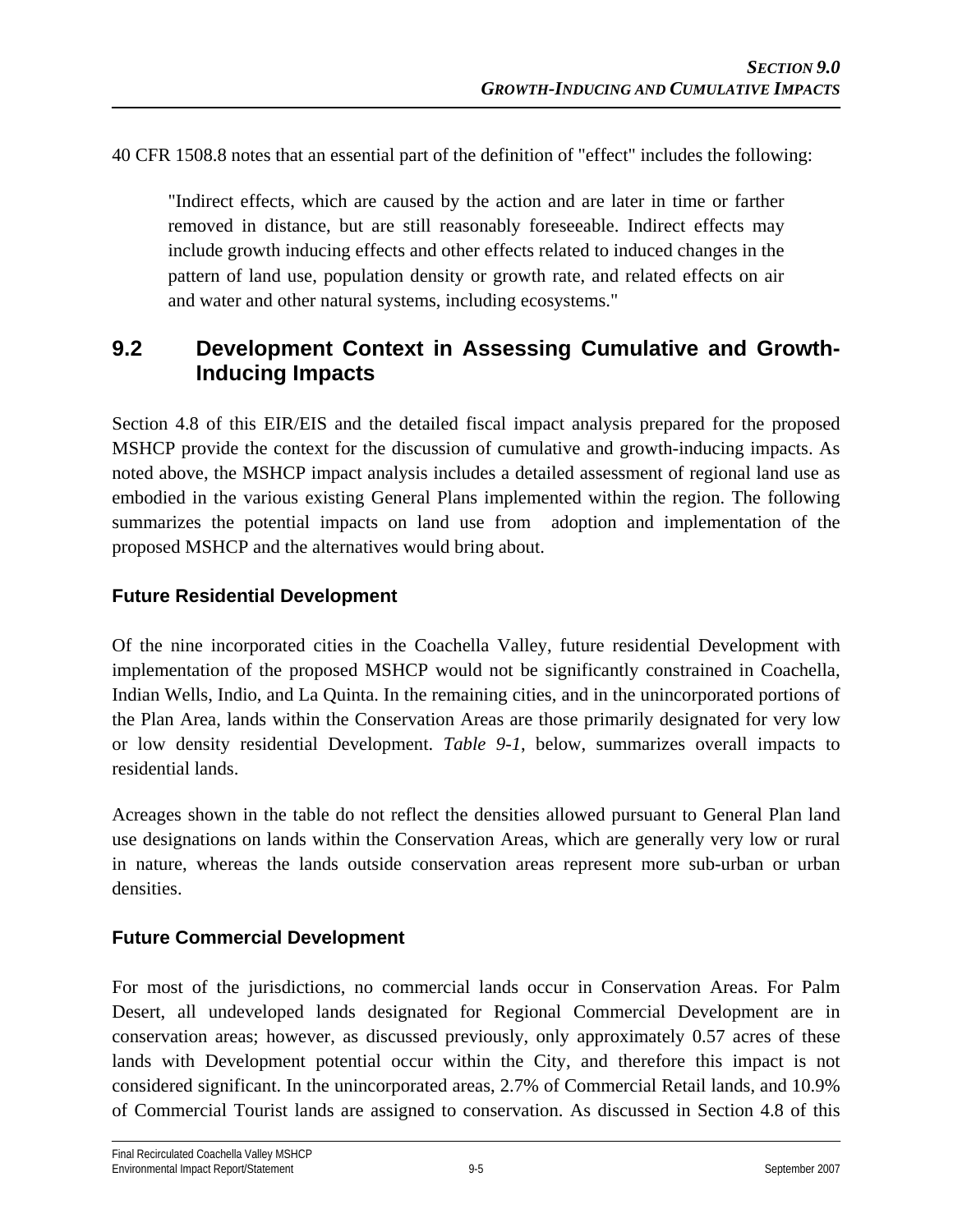40 CFR 1508.8 notes that an essential part of the definition of "effect" includes the following:

"Indirect effects, which are caused by the action and are later in time or farther removed in distance, but are still reasonably foreseeable. Indirect effects may include growth inducing effects and other effects related to induced changes in the pattern of land use, population density or growth rate, and related effects on air and water and other natural systems, including ecosystems."

# **9.2 Development Context in Assessing Cumulative and Growth-Inducing Impacts**

Section 4.8 of this EIR/EIS and the detailed fiscal impact analysis prepared for the proposed MSHCP provide the context for the discussion of cumulative and growth-inducing impacts. As noted above, the MSHCP impact analysis includes a detailed assessment of regional land use as embodied in the various existing General Plans implemented within the region. The following summarizes the potential impacts on land use from adoption and implementation of the proposed MSHCP and the alternatives would bring about.

## **Future Residential Development**

Of the nine incorporated cities in the Coachella Valley, future residential Development with implementation of the proposed MSHCP would not be significantly constrained in Coachella, Indian Wells, Indio, and La Quinta. In the remaining cities, and in the unincorporated portions of the Plan Area, lands within the Conservation Areas are those primarily designated for very low or low density residential Development. *Table 9-1*, below, summarizes overall impacts to residential lands.

Acreages shown in the table do not reflect the densities allowed pursuant to General Plan land use designations on lands within the Conservation Areas, which are generally very low or rural in nature, whereas the lands outside conservation areas represent more sub-urban or urban densities.

## **Future Commercial Development**

For most of the jurisdictions, no commercial lands occur in Conservation Areas. For Palm Desert, all undeveloped lands designated for Regional Commercial Development are in conservation areas; however, as discussed previously, only approximately 0.57 acres of these lands with Development potential occur within the City, and therefore this impact is not considered significant. In the unincorporated areas, 2.7% of Commercial Retail lands, and 10.9% of Commercial Tourist lands are assigned to conservation. As discussed in Section 4.8 of this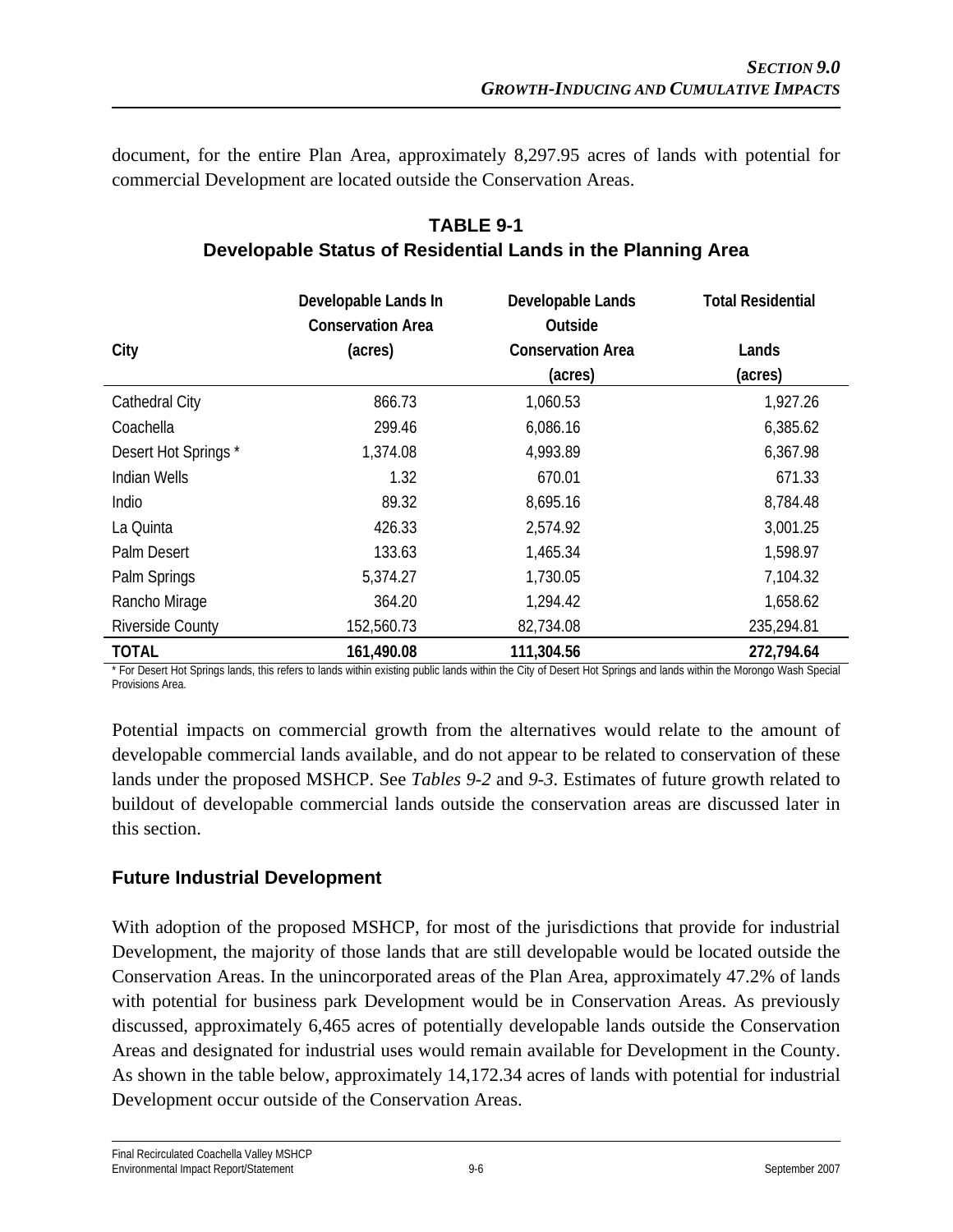document, for the entire Plan Area, approximately 8,297.95 acres of lands with potential for commercial Development are located outside the Conservation Areas.

|                         | Developable Lands In<br><b>Conservation Area</b> | Developable Lands<br>Outside | <b>Total Residential</b> |
|-------------------------|--------------------------------------------------|------------------------------|--------------------------|
| City                    | (acres)                                          | <b>Conservation Area</b>     | Lands                    |
|                         |                                                  | (acres)                      | (acres)                  |
| Cathedral City          | 866.73                                           | 1,060.53                     | 1,927.26                 |
| Coachella               | 299.46                                           | 6,086.16                     | 6,385.62                 |
| Desert Hot Springs*     | 1,374.08                                         | 4,993.89                     | 6,367.98                 |
| Indian Wells            | 1.32                                             | 670.01                       | 671.33                   |
| Indio                   | 89.32                                            | 8,695.16                     | 8,784.48                 |
| La Quinta               | 426.33                                           | 2,574.92                     | 3,001.25                 |
| Palm Desert             | 133.63                                           | 1,465.34                     | 1,598.97                 |
| Palm Springs            | 5,374.27                                         | 1,730.05                     | 7,104.32                 |
| Rancho Mirage           | 364.20                                           | 1,294.42                     | 1,658.62                 |
| <b>Riverside County</b> | 152,560.73                                       | 82,734.08                    | 235,294.81               |
| <b>TOTAL</b>            | 161,490.08                                       | 111,304.56                   | 272,794.64               |

# **TABLE 9-1 Developable Status of Residential Lands in the Planning Area**

\* For Desert Hot Springs lands, this refers to lands within existing public lands within the City of Desert Hot Springs and lands within the Morongo Wash Special Provisions Area.

Potential impacts on commercial growth from the alternatives would relate to the amount of developable commercial lands available, and do not appear to be related to conservation of these lands under the proposed MSHCP. See *Tables 9-2* and *9-3*. Estimates of future growth related to buildout of developable commercial lands outside the conservation areas are discussed later in this section.

## **Future Industrial Development**

With adoption of the proposed MSHCP, for most of the jurisdictions that provide for industrial Development, the majority of those lands that are still developable would be located outside the Conservation Areas. In the unincorporated areas of the Plan Area, approximately 47.2% of lands with potential for business park Development would be in Conservation Areas. As previously discussed, approximately 6,465 acres of potentially developable lands outside the Conservation Areas and designated for industrial uses would remain available for Development in the County. As shown in the table below, approximately 14,172.34 acres of lands with potential for industrial Development occur outside of the Conservation Areas.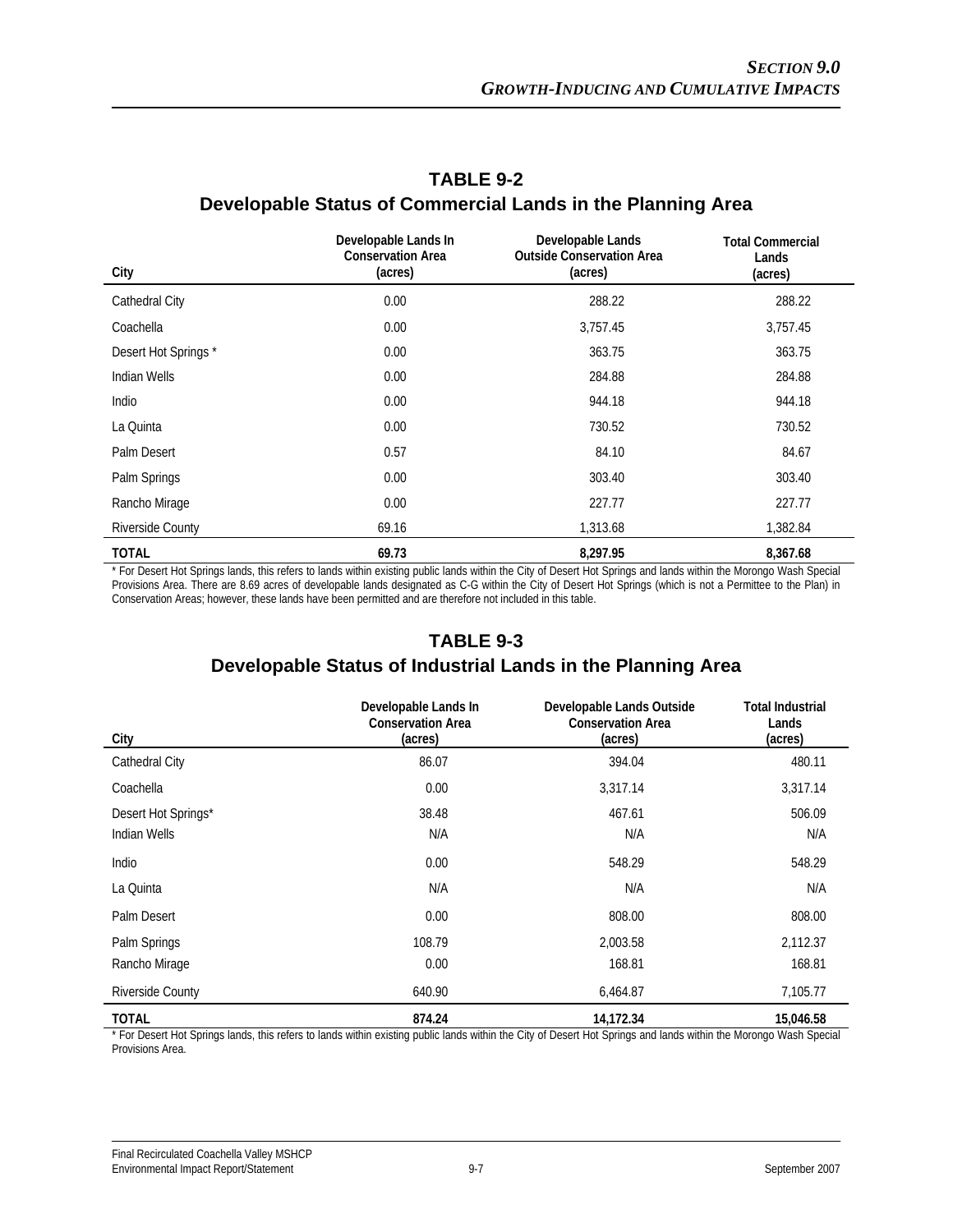| City                | Developable Lands In<br><b>Conservation Area</b><br>(acres) | Developable Lands<br><b>Outside Conservation Area</b><br>(acres) | <b>Total Commercial</b><br>Lands<br>(acres) |
|---------------------|-------------------------------------------------------------|------------------------------------------------------------------|---------------------------------------------|
| Cathedral City      | 0.00                                                        | 288.22                                                           | 288.22                                      |
| Coachella           | 0.00                                                        | 3,757.45                                                         | 3,757.45                                    |
| Desert Hot Springs* | 0.00                                                        | 363.75                                                           | 363.75                                      |
| Indian Wells        | 0.00                                                        | 284.88                                                           | 284.88                                      |
| Indio               | 0.00                                                        | 944.18                                                           | 944.18                                      |
| La Quinta           | 0.00                                                        | 730.52                                                           | 730.52                                      |
| Palm Desert         | 0.57                                                        | 84.10                                                            | 84.67                                       |
| Palm Springs        | 0.00                                                        | 303.40                                                           | 303.40                                      |
| Rancho Mirage       | 0.00                                                        | 227.77                                                           | 227.77                                      |
| Riverside County    | 69.16                                                       | 1,313.68                                                         | 1,382.84                                    |
| <b>TOTAL</b>        | 69.73                                                       | 8,297.95                                                         | 8,367.68                                    |

## **TABLE 9-2 Developable Status of Commercial Lands in the Planning Area**

\* For Desert Hot Springs lands, this refers to lands within existing public lands within the City of Desert Hot Springs and lands within the Morongo Wash Special Provisions Area. There are 8.69 acres of developable lands designated as C-G within the City of Desert Hot Springs (which is not a Permittee to the Plan) in Conservation Areas; however, these lands have been permitted and are therefore not included in this table.

## **TABLE 9-3 Developable Status of Industrial Lands in the Planning Area**

| City                    | Developable Lands In<br><b>Conservation Area</b><br>(acres) | Developable Lands Outside<br><b>Conservation Area</b><br>(acres) | Total Industrial<br>Lands<br>(acres) |
|-------------------------|-------------------------------------------------------------|------------------------------------------------------------------|--------------------------------------|
| Cathedral City          | 86.07                                                       | 394.04                                                           | 480.11                               |
| Coachella               | 0.00                                                        | 3,317.14                                                         | 3,317.14                             |
| Desert Hot Springs*     | 38.48                                                       | 467.61                                                           | 506.09                               |
| Indian Wells            | N/A                                                         | N/A                                                              | N/A                                  |
| Indio                   | 0.00                                                        | 548.29                                                           | 548.29                               |
| La Quinta               | N/A                                                         | N/A                                                              | N/A                                  |
| Palm Desert             | 0.00                                                        | 808.00                                                           | 808.00                               |
| Palm Springs            | 108.79                                                      | 2,003.58                                                         | 2,112.37                             |
| Rancho Mirage           | 0.00                                                        | 168.81                                                           | 168.81                               |
| <b>Riverside County</b> | 640.90                                                      | 6,464.87                                                         | 7,105.77                             |
| <b>TOTAL</b>            | 874.24                                                      | 14,172.34                                                        | 15,046.58                            |

\* For Desert Hot Springs lands, this refers to lands within existing public lands within the City of Desert Hot Springs and lands within the Morongo Wash Special Provisions Area.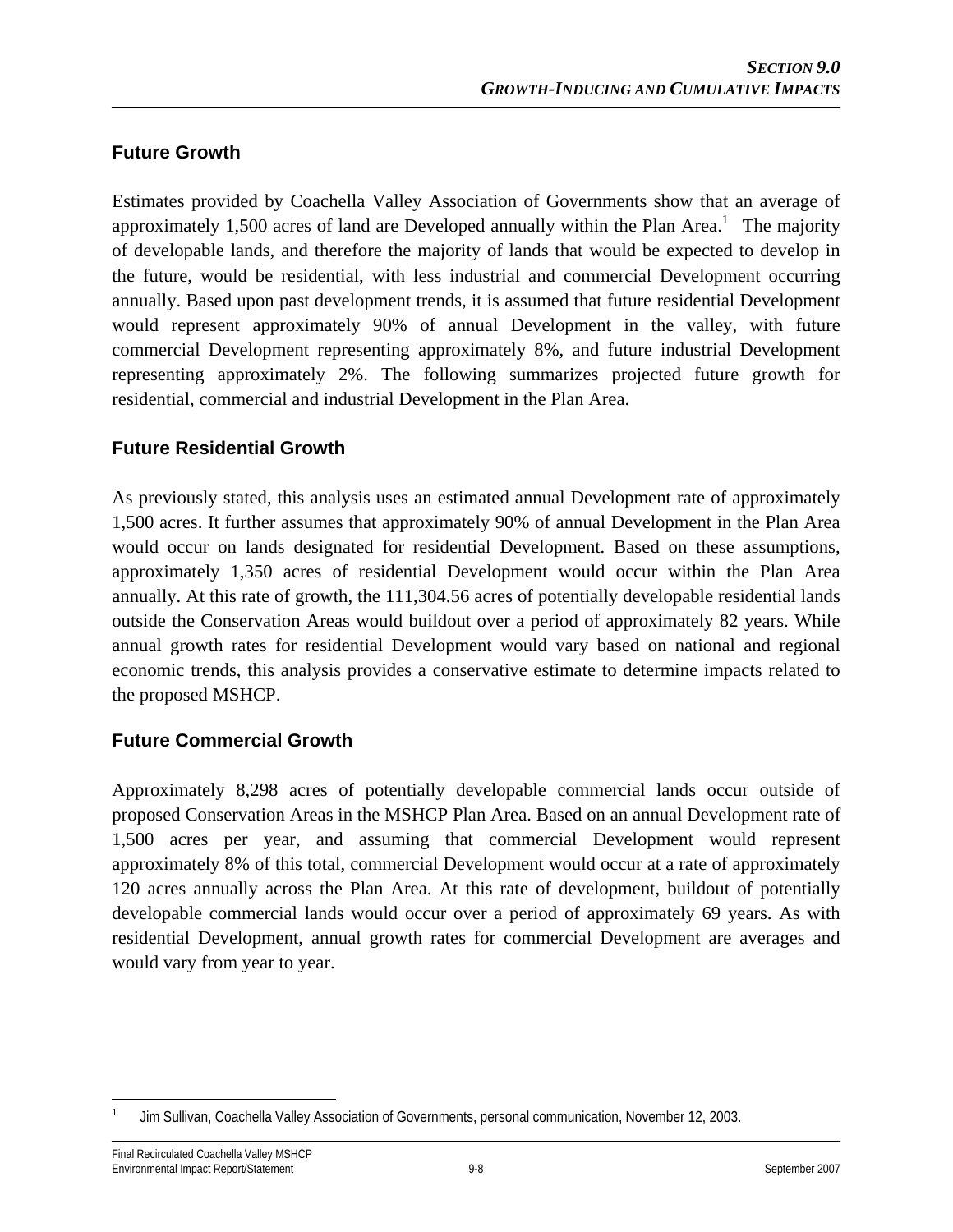## **Future Growth**

Estimates provided by Coachella Valley Association of Governments show that an average of approximately 1,500 acres of land are Developed annually within the Plan Area.<sup>1</sup> The majority of developable lands, and therefore the majority of lands that would be expected to develop in the future, would be residential, with less industrial and commercial Development occurring annually. Based upon past development trends, it is assumed that future residential Development would represent approximately 90% of annual Development in the valley, with future commercial Development representing approximately 8%, and future industrial Development representing approximately 2%. The following summarizes projected future growth for residential, commercial and industrial Development in the Plan Area.

## **Future Residential Growth**

As previously stated, this analysis uses an estimated annual Development rate of approximately 1,500 acres. It further assumes that approximately 90% of annual Development in the Plan Area would occur on lands designated for residential Development. Based on these assumptions, approximately 1,350 acres of residential Development would occur within the Plan Area annually. At this rate of growth, the 111,304.56 acres of potentially developable residential lands outside the Conservation Areas would buildout over a period of approximately 82 years. While annual growth rates for residential Development would vary based on national and regional economic trends, this analysis provides a conservative estimate to determine impacts related to the proposed MSHCP.

## **Future Commercial Growth**

Approximately 8,298 acres of potentially developable commercial lands occur outside of proposed Conservation Areas in the MSHCP Plan Area. Based on an annual Development rate of 1,500 acres per year, and assuming that commercial Development would represent approximately 8% of this total, commercial Development would occur at a rate of approximately 120 acres annually across the Plan Area. At this rate of development, buildout of potentially developable commercial lands would occur over a period of approximately 69 years. As with residential Development, annual growth rates for commercial Development are averages and would vary from year to year.

<sup>1</sup> 1 Jim Sullivan, Coachella Valley Association of Governments, personal communication, November 12, 2003.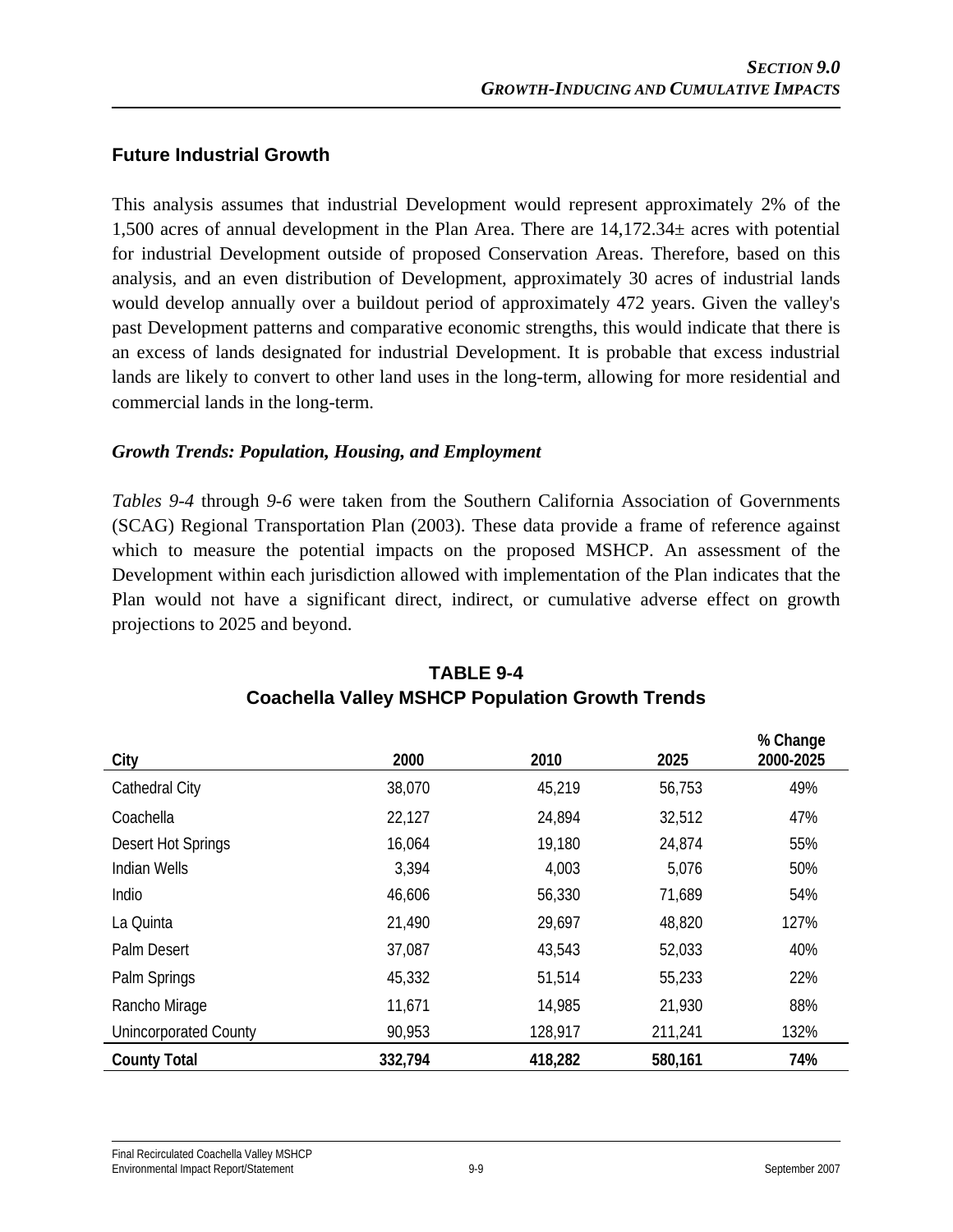#### **Future Industrial Growth**

This analysis assumes that industrial Development would represent approximately 2% of the 1,500 acres of annual development in the Plan Area. There are 14,172.34± acres with potential for industrial Development outside of proposed Conservation Areas. Therefore, based on this analysis, and an even distribution of Development, approximately 30 acres of industrial lands would develop annually over a buildout period of approximately 472 years. Given the valley's past Development patterns and comparative economic strengths, this would indicate that there is an excess of lands designated for industrial Development. It is probable that excess industrial lands are likely to convert to other land uses in the long-term, allowing for more residential and commercial lands in the long-term.

#### *Growth Trends: Population, Housing, and Employment*

*Tables 9-4* through *9-6* were taken from the Southern California Association of Governments (SCAG) Regional Transportation Plan (2003). These data provide a frame of reference against which to measure the potential impacts on the proposed MSHCP. An assessment of the Development within each jurisdiction allowed with implementation of the Plan indicates that the Plan would not have a significant direct, indirect, or cumulative adverse effect on growth projections to 2025 and beyond.

| City                         | 2000    | 2010    | 2025    | % Change<br>2000-2025 |
|------------------------------|---------|---------|---------|-----------------------|
| Cathedral City               | 38,070  | 45,219  | 56,753  | 49%                   |
| Coachella                    | 22,127  | 24,894  | 32,512  | 47%                   |
| Desert Hot Springs           | 16,064  | 19,180  | 24,874  | 55%                   |
| <b>Indian Wells</b>          | 3,394   | 4,003   | 5,076   | 50%                   |
| Indio                        | 46,606  | 56,330  | 71,689  | 54%                   |
| La Quinta                    | 21,490  | 29,697  | 48,820  | 127%                  |
| Palm Desert                  | 37,087  | 43,543  | 52,033  | 40%                   |
| Palm Springs                 | 45,332  | 51,514  | 55,233  | 22%                   |
| Rancho Mirage                | 11,671  | 14,985  | 21,930  | 88%                   |
| <b>Unincorporated County</b> | 90,953  | 128,917 | 211,241 | 132%                  |
| <b>County Total</b>          | 332,794 | 418,282 | 580,161 | 74%                   |

## **TABLE 9-4 Coachella Valley MSHCP Population Growth Trends**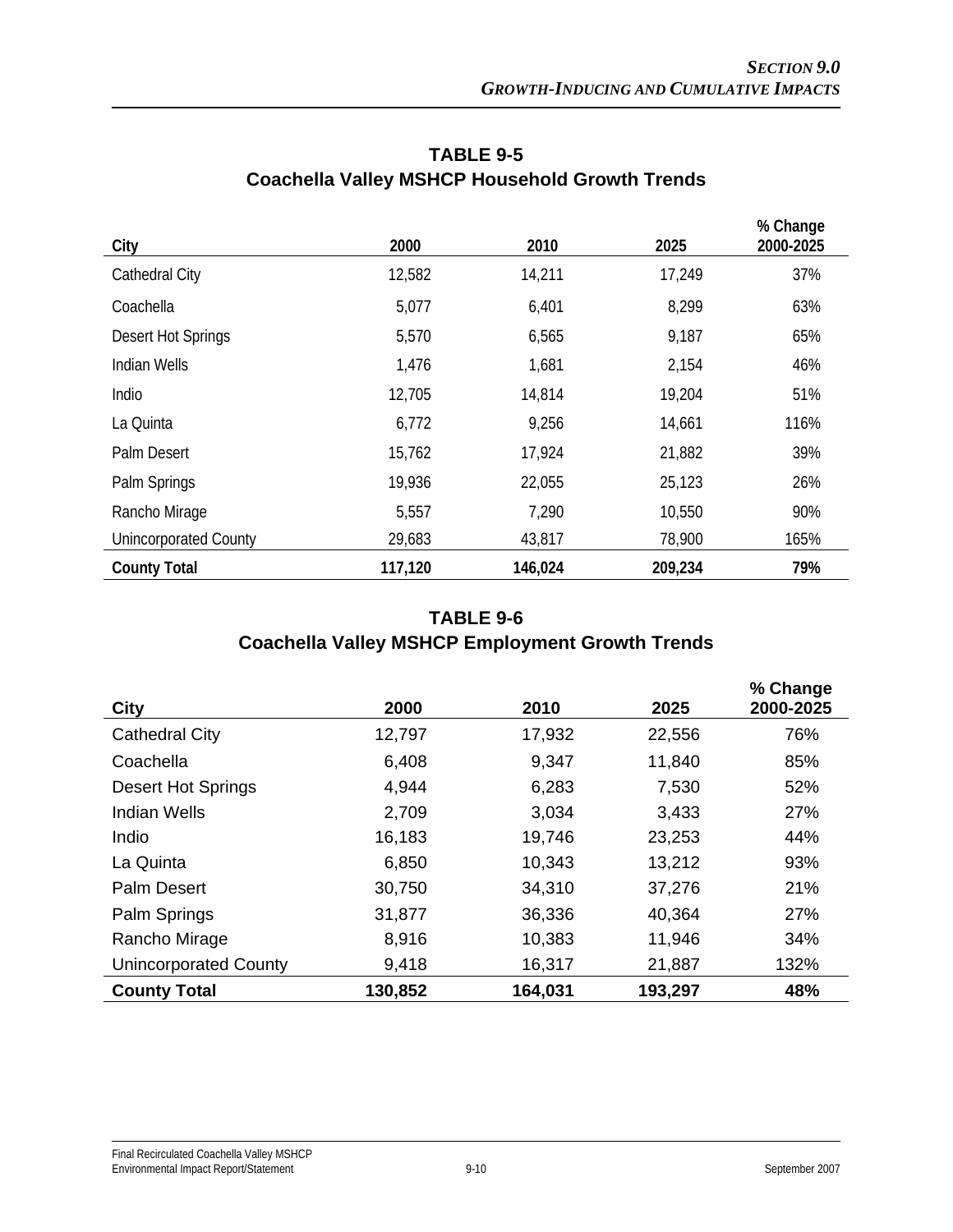| City                         | 2000    | 2010    | 2025    | % Change<br>2000-2025 |
|------------------------------|---------|---------|---------|-----------------------|
| Cathedral City               | 12,582  | 14,211  | 17,249  | 37%                   |
| Coachella                    | 5,077   | 6,401   | 8,299   | 63%                   |
| Desert Hot Springs           | 5,570   | 6,565   | 9,187   | 65%                   |
| <b>Indian Wells</b>          | 1,476   | 1,681   | 2,154   | 46%                   |
| Indio                        | 12,705  | 14,814  | 19,204  | 51%                   |
| La Quinta                    | 6,772   | 9,256   | 14,661  | 116%                  |
| Palm Desert                  | 15,762  | 17,924  | 21,882  | 39%                   |
| Palm Springs                 | 19,936  | 22,055  | 25,123  | 26%                   |
| Rancho Mirage                | 5,557   | 7,290   | 10,550  | 90%                   |
| <b>Unincorporated County</b> | 29,683  | 43,817  | 78,900  | 165%                  |
| <b>County Total</b>          | 117,120 | 146,024 | 209,234 | 79%                   |

# **TABLE 9-5 Coachella Valley MSHCP Household Growth Trends**

# **TABLE 9-6 Coachella Valley MSHCP Employment Growth Trends**

| <b>City</b>                  | 2000    | 2010    | 2025    | % Change<br>2000-2025 |
|------------------------------|---------|---------|---------|-----------------------|
| Cathedral City               | 12,797  | 17,932  | 22,556  | 76%                   |
| Coachella                    | 6,408   | 9,347   | 11,840  | 85%                   |
| <b>Desert Hot Springs</b>    | 4,944   | 6,283   | 7,530   | 52%                   |
| Indian Wells                 | 2,709   | 3,034   | 3,433   | 27%                   |
| Indio                        | 16,183  | 19,746  | 23,253  | 44%                   |
| La Quinta                    | 6,850   | 10,343  | 13,212  | 93%                   |
| <b>Palm Desert</b>           | 30,750  | 34,310  | 37,276  | 21%                   |
| Palm Springs                 | 31,877  | 36,336  | 40,364  | 27%                   |
| Rancho Mirage                | 8,916   | 10,383  | 11,946  | 34%                   |
| <b>Unincorporated County</b> | 9,418   | 16,317  | 21,887  | 132%                  |
| <b>County Total</b>          | 130,852 | 164,031 | 193,297 | 48%                   |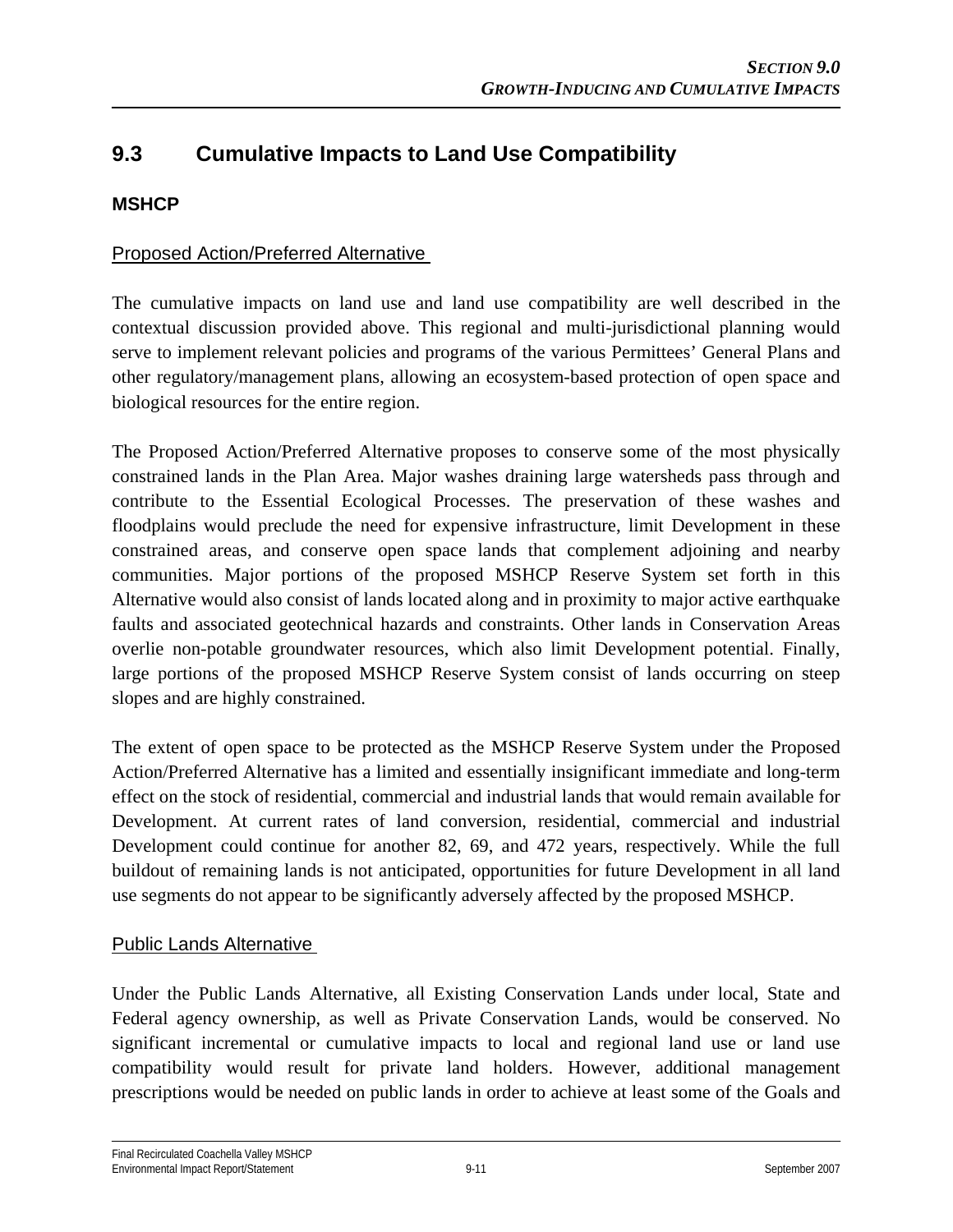# **9.3 Cumulative Impacts to Land Use Compatibility**

## **MSHCP**

## Proposed Action/Preferred Alternative

The cumulative impacts on land use and land use compatibility are well described in the contextual discussion provided above. This regional and multi-jurisdictional planning would serve to implement relevant policies and programs of the various Permittees' General Plans and other regulatory/management plans, allowing an ecosystem-based protection of open space and biological resources for the entire region.

The Proposed Action/Preferred Alternative proposes to conserve some of the most physically constrained lands in the Plan Area. Major washes draining large watersheds pass through and contribute to the Essential Ecological Processes. The preservation of these washes and floodplains would preclude the need for expensive infrastructure, limit Development in these constrained areas, and conserve open space lands that complement adjoining and nearby communities. Major portions of the proposed MSHCP Reserve System set forth in this Alternative would also consist of lands located along and in proximity to major active earthquake faults and associated geotechnical hazards and constraints. Other lands in Conservation Areas overlie non-potable groundwater resources, which also limit Development potential. Finally, large portions of the proposed MSHCP Reserve System consist of lands occurring on steep slopes and are highly constrained.

The extent of open space to be protected as the MSHCP Reserve System under the Proposed Action/Preferred Alternative has a limited and essentially insignificant immediate and long-term effect on the stock of residential, commercial and industrial lands that would remain available for Development. At current rates of land conversion, residential, commercial and industrial Development could continue for another 82, 69, and 472 years, respectively. While the full buildout of remaining lands is not anticipated, opportunities for future Development in all land use segments do not appear to be significantly adversely affected by the proposed MSHCP.

#### Public Lands Alternative

Under the Public Lands Alternative, all Existing Conservation Lands under local, State and Federal agency ownership, as well as Private Conservation Lands, would be conserved. No significant incremental or cumulative impacts to local and regional land use or land use compatibility would result for private land holders. However, additional management prescriptions would be needed on public lands in order to achieve at least some of the Goals and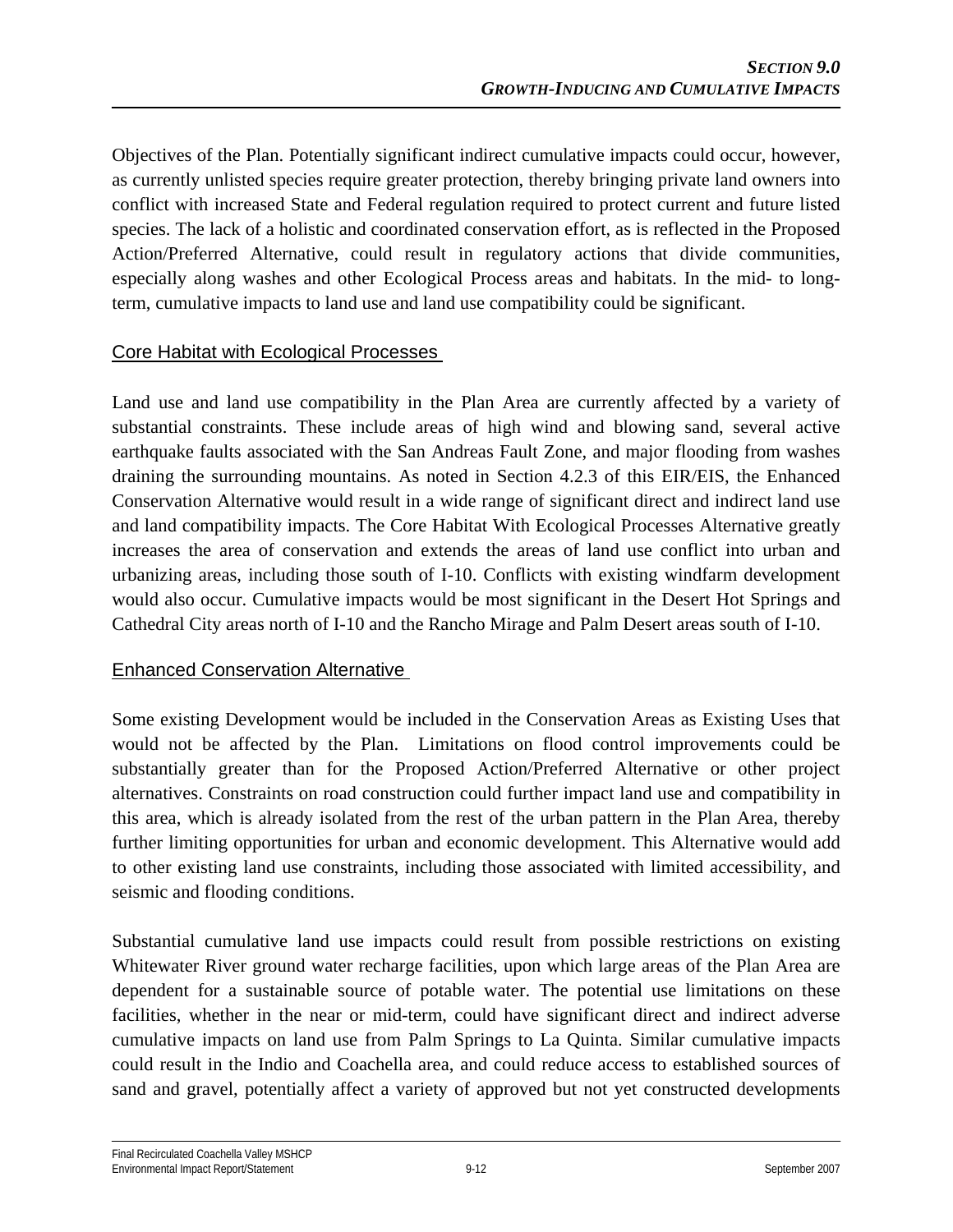Objectives of the Plan. Potentially significant indirect cumulative impacts could occur, however, as currently unlisted species require greater protection, thereby bringing private land owners into conflict with increased State and Federal regulation required to protect current and future listed species. The lack of a holistic and coordinated conservation effort, as is reflected in the Proposed Action/Preferred Alternative, could result in regulatory actions that divide communities, especially along washes and other Ecological Process areas and habitats. In the mid- to longterm, cumulative impacts to land use and land use compatibility could be significant.

## Core Habitat with Ecological Processes

Land use and land use compatibility in the Plan Area are currently affected by a variety of substantial constraints. These include areas of high wind and blowing sand, several active earthquake faults associated with the San Andreas Fault Zone, and major flooding from washes draining the surrounding mountains. As noted in Section 4.2.3 of this EIR/EIS, the Enhanced Conservation Alternative would result in a wide range of significant direct and indirect land use and land compatibility impacts. The Core Habitat With Ecological Processes Alternative greatly increases the area of conservation and extends the areas of land use conflict into urban and urbanizing areas, including those south of I-10. Conflicts with existing windfarm development would also occur. Cumulative impacts would be most significant in the Desert Hot Springs and Cathedral City areas north of I-10 and the Rancho Mirage and Palm Desert areas south of I-10.

## Enhanced Conservation Alternative

Some existing Development would be included in the Conservation Areas as Existing Uses that would not be affected by the Plan. Limitations on flood control improvements could be substantially greater than for the Proposed Action/Preferred Alternative or other project alternatives. Constraints on road construction could further impact land use and compatibility in this area, which is already isolated from the rest of the urban pattern in the Plan Area, thereby further limiting opportunities for urban and economic development. This Alternative would add to other existing land use constraints, including those associated with limited accessibility, and seismic and flooding conditions.

Substantial cumulative land use impacts could result from possible restrictions on existing Whitewater River ground water recharge facilities, upon which large areas of the Plan Area are dependent for a sustainable source of potable water. The potential use limitations on these facilities, whether in the near or mid-term, could have significant direct and indirect adverse cumulative impacts on land use from Palm Springs to La Quinta. Similar cumulative impacts could result in the Indio and Coachella area, and could reduce access to established sources of sand and gravel, potentially affect a variety of approved but not yet constructed developments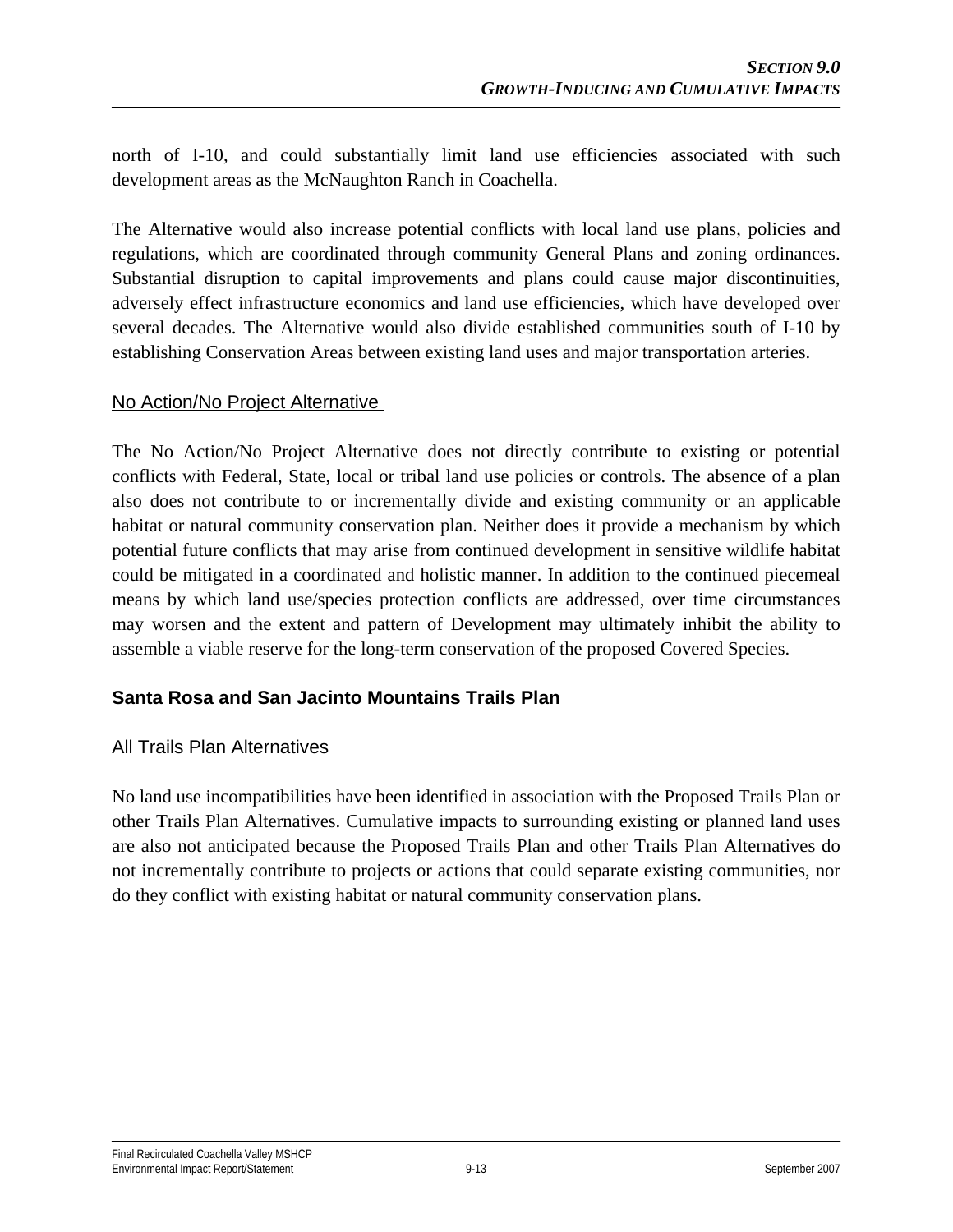north of I-10, and could substantially limit land use efficiencies associated with such development areas as the McNaughton Ranch in Coachella.

The Alternative would also increase potential conflicts with local land use plans, policies and regulations, which are coordinated through community General Plans and zoning ordinances. Substantial disruption to capital improvements and plans could cause major discontinuities, adversely effect infrastructure economics and land use efficiencies, which have developed over several decades. The Alternative would also divide established communities south of I-10 by establishing Conservation Areas between existing land uses and major transportation arteries.

#### No Action/No Project Alternative

The No Action/No Project Alternative does not directly contribute to existing or potential conflicts with Federal, State, local or tribal land use policies or controls. The absence of a plan also does not contribute to or incrementally divide and existing community or an applicable habitat or natural community conservation plan. Neither does it provide a mechanism by which potential future conflicts that may arise from continued development in sensitive wildlife habitat could be mitigated in a coordinated and holistic manner. In addition to the continued piecemeal means by which land use/species protection conflicts are addressed, over time circumstances may worsen and the extent and pattern of Development may ultimately inhibit the ability to assemble a viable reserve for the long-term conservation of the proposed Covered Species.

#### **Santa Rosa and San Jacinto Mountains Trails Plan**

#### All Trails Plan Alternatives

No land use incompatibilities have been identified in association with the Proposed Trails Plan or other Trails Plan Alternatives. Cumulative impacts to surrounding existing or planned land uses are also not anticipated because the Proposed Trails Plan and other Trails Plan Alternatives do not incrementally contribute to projects or actions that could separate existing communities, nor do they conflict with existing habitat or natural community conservation plans.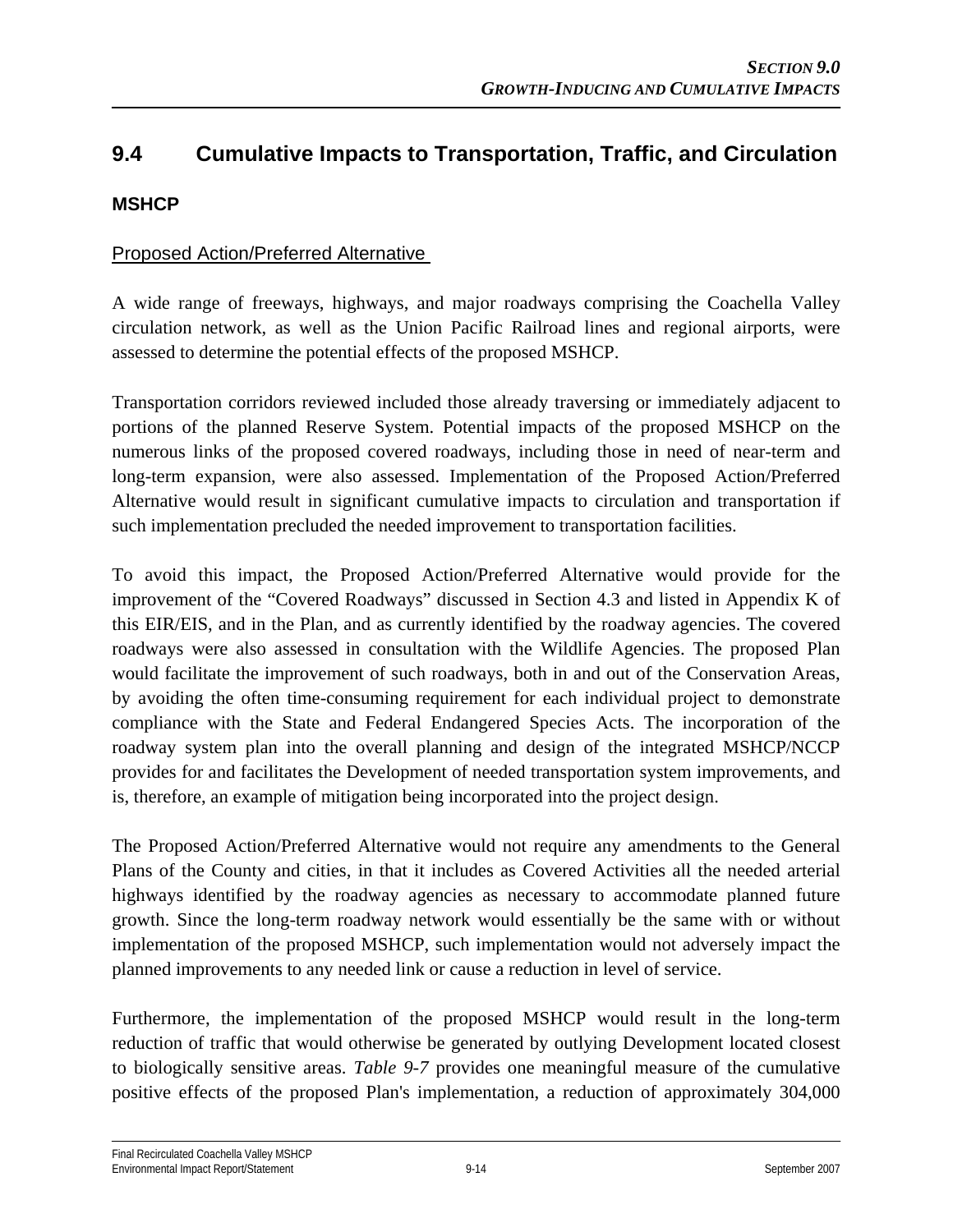# **9.4 Cumulative Impacts to Transportation, Traffic, and Circulation**

## **MSHCP**

#### Proposed Action/Preferred Alternative

A wide range of freeways, highways, and major roadways comprising the Coachella Valley circulation network, as well as the Union Pacific Railroad lines and regional airports, were assessed to determine the potential effects of the proposed MSHCP.

Transportation corridors reviewed included those already traversing or immediately adjacent to portions of the planned Reserve System. Potential impacts of the proposed MSHCP on the numerous links of the proposed covered roadways, including those in need of near-term and long-term expansion, were also assessed. Implementation of the Proposed Action/Preferred Alternative would result in significant cumulative impacts to circulation and transportation if such implementation precluded the needed improvement to transportation facilities.

To avoid this impact, the Proposed Action/Preferred Alternative would provide for the improvement of the "Covered Roadways" discussed in Section 4.3 and listed in Appendix K of this EIR/EIS, and in the Plan, and as currently identified by the roadway agencies. The covered roadways were also assessed in consultation with the Wildlife Agencies. The proposed Plan would facilitate the improvement of such roadways, both in and out of the Conservation Areas, by avoiding the often time-consuming requirement for each individual project to demonstrate compliance with the State and Federal Endangered Species Acts. The incorporation of the roadway system plan into the overall planning and design of the integrated MSHCP/NCCP provides for and facilitates the Development of needed transportation system improvements, and is, therefore, an example of mitigation being incorporated into the project design.

The Proposed Action/Preferred Alternative would not require any amendments to the General Plans of the County and cities, in that it includes as Covered Activities all the needed arterial highways identified by the roadway agencies as necessary to accommodate planned future growth. Since the long-term roadway network would essentially be the same with or without implementation of the proposed MSHCP, such implementation would not adversely impact the planned improvements to any needed link or cause a reduction in level of service.

Furthermore, the implementation of the proposed MSHCP would result in the long-term reduction of traffic that would otherwise be generated by outlying Development located closest to biologically sensitive areas. *Table 9-7* provides one meaningful measure of the cumulative positive effects of the proposed Plan's implementation, a reduction of approximately 304,000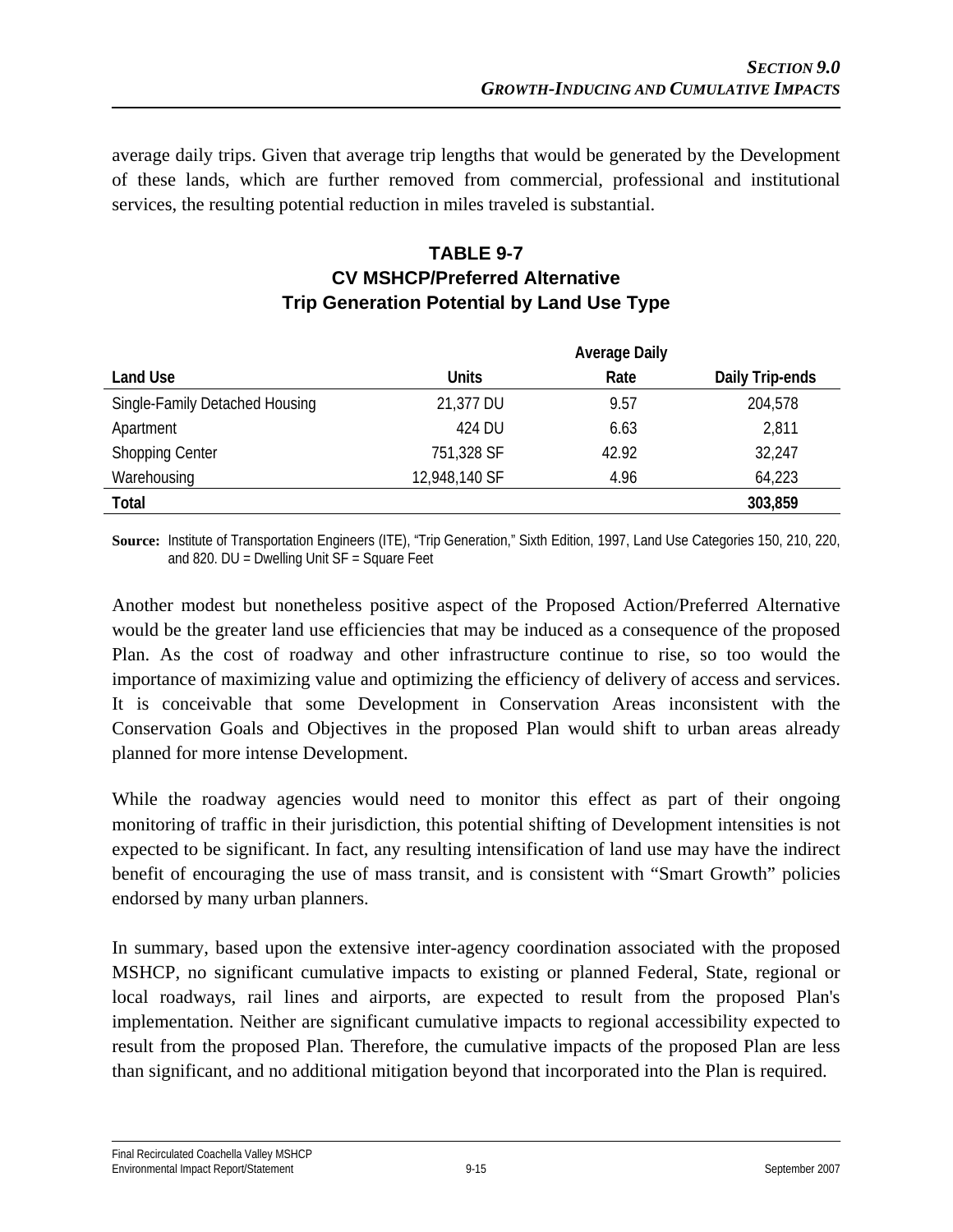average daily trips. Given that average trip lengths that would be generated by the Development of these lands, which are further removed from commercial, professional and institutional services, the resulting potential reduction in miles traveled is substantial.

## **TABLE 9-7 CV MSHCP/Preferred Alternative Trip Generation Potential by Land Use Type**

|                                | <b>Average Daily</b> |       |                 |
|--------------------------------|----------------------|-------|-----------------|
| Land Use                       | <b>Units</b>         | Rate  | Daily Trip-ends |
| Single-Family Detached Housing | 21,377 DU            | 9.57  | 204,578         |
| Apartment                      | 424 DU               | 6.63  | 2,811           |
| <b>Shopping Center</b>         | 751,328 SF           | 42.92 | 32,247          |
| Warehousing                    | 12,948,140 SF        | 4.96  | 64,223          |
| Total                          |                      |       | 303,859         |

**Source:** Institute of Transportation Engineers (ITE), "Trip Generation," Sixth Edition, 1997, Land Use Categories 150, 210, 220, and 820. DU = Dwelling Unit SF = Square Feet

Another modest but nonetheless positive aspect of the Proposed Action/Preferred Alternative would be the greater land use efficiencies that may be induced as a consequence of the proposed Plan. As the cost of roadway and other infrastructure continue to rise, so too would the importance of maximizing value and optimizing the efficiency of delivery of access and services. It is conceivable that some Development in Conservation Areas inconsistent with the Conservation Goals and Objectives in the proposed Plan would shift to urban areas already planned for more intense Development.

While the roadway agencies would need to monitor this effect as part of their ongoing monitoring of traffic in their jurisdiction, this potential shifting of Development intensities is not expected to be significant. In fact, any resulting intensification of land use may have the indirect benefit of encouraging the use of mass transit, and is consistent with "Smart Growth" policies endorsed by many urban planners.

In summary, based upon the extensive inter-agency coordination associated with the proposed MSHCP, no significant cumulative impacts to existing or planned Federal, State, regional or local roadways, rail lines and airports, are expected to result from the proposed Plan's implementation. Neither are significant cumulative impacts to regional accessibility expected to result from the proposed Plan. Therefore, the cumulative impacts of the proposed Plan are less than significant, and no additional mitigation beyond that incorporated into the Plan is required.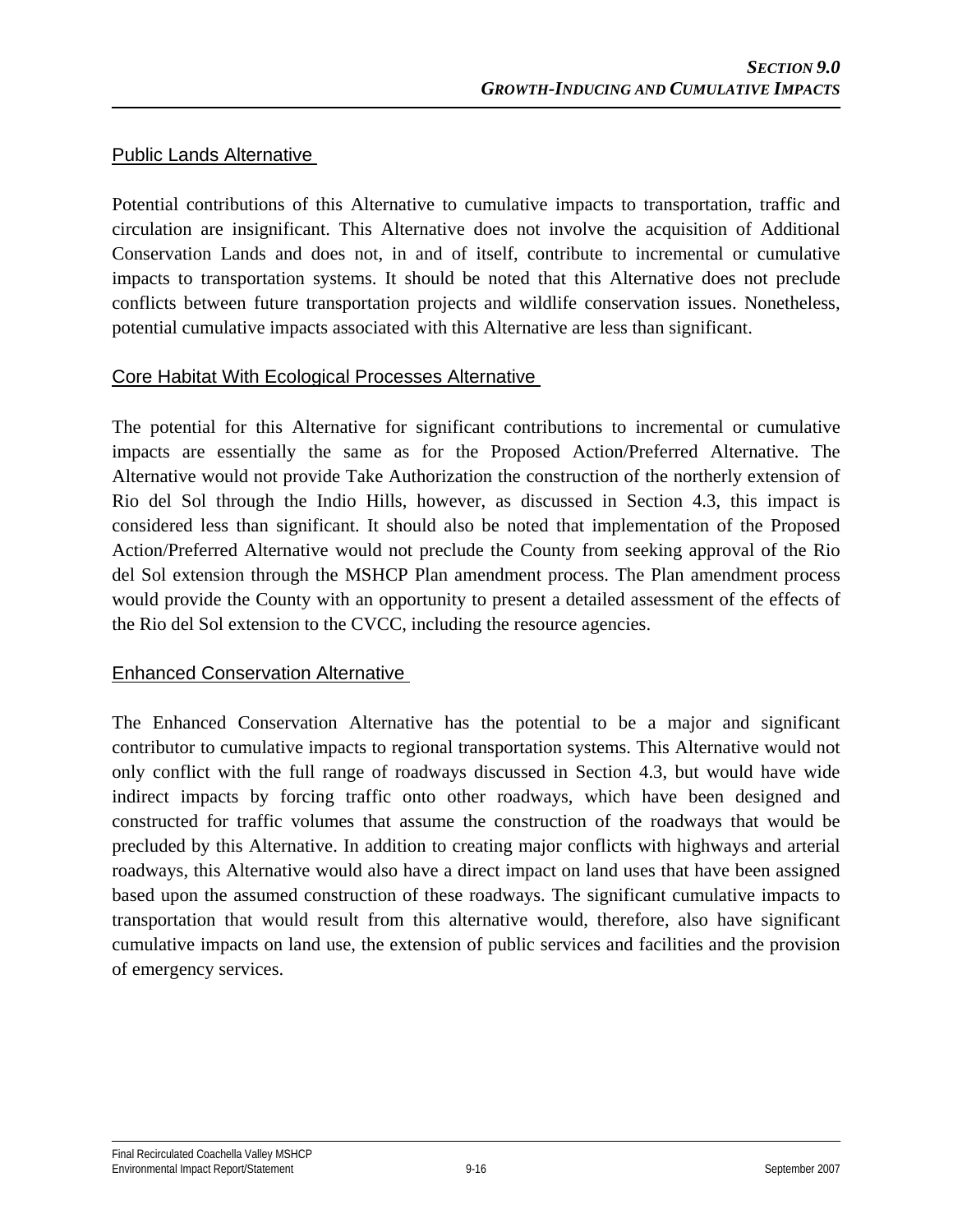#### Public Lands Alternative

Potential contributions of this Alternative to cumulative impacts to transportation, traffic and circulation are insignificant. This Alternative does not involve the acquisition of Additional Conservation Lands and does not, in and of itself, contribute to incremental or cumulative impacts to transportation systems. It should be noted that this Alternative does not preclude conflicts between future transportation projects and wildlife conservation issues. Nonetheless, potential cumulative impacts associated with this Alternative are less than significant.

#### Core Habitat With Ecological Processes Alternative

The potential for this Alternative for significant contributions to incremental or cumulative impacts are essentially the same as for the Proposed Action/Preferred Alternative. The Alternative would not provide Take Authorization the construction of the northerly extension of Rio del Sol through the Indio Hills, however, as discussed in Section 4.3, this impact is considered less than significant. It should also be noted that implementation of the Proposed Action/Preferred Alternative would not preclude the County from seeking approval of the Rio del Sol extension through the MSHCP Plan amendment process. The Plan amendment process would provide the County with an opportunity to present a detailed assessment of the effects of the Rio del Sol extension to the CVCC, including the resource agencies.

## Enhanced Conservation Alternative

The Enhanced Conservation Alternative has the potential to be a major and significant contributor to cumulative impacts to regional transportation systems. This Alternative would not only conflict with the full range of roadways discussed in Section 4.3, but would have wide indirect impacts by forcing traffic onto other roadways, which have been designed and constructed for traffic volumes that assume the construction of the roadways that would be precluded by this Alternative. In addition to creating major conflicts with highways and arterial roadways, this Alternative would also have a direct impact on land uses that have been assigned based upon the assumed construction of these roadways. The significant cumulative impacts to transportation that would result from this alternative would, therefore, also have significant cumulative impacts on land use, the extension of public services and facilities and the provision of emergency services.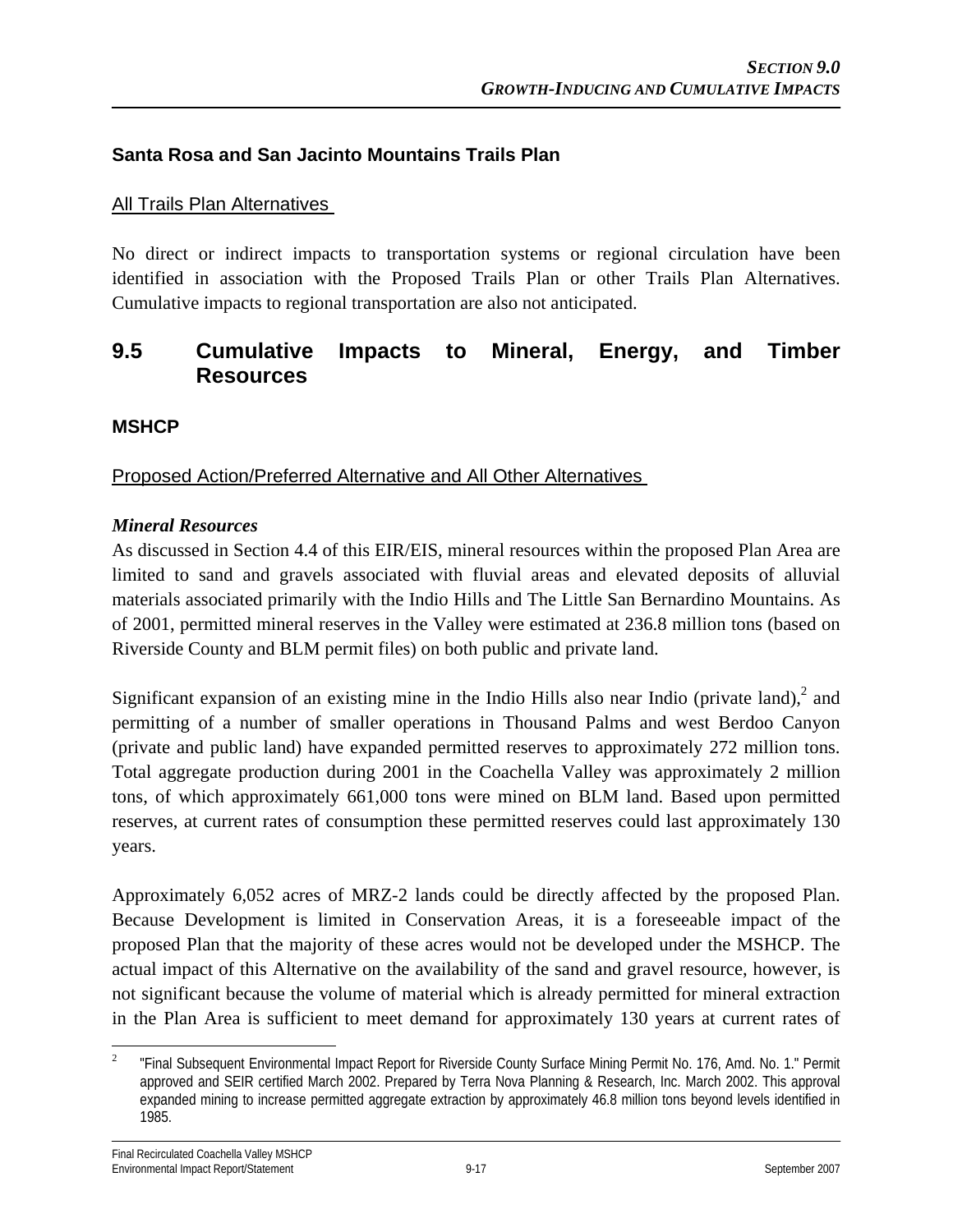#### **Santa Rosa and San Jacinto Mountains Trails Plan**

#### All Trails Plan Alternatives

No direct or indirect impacts to transportation systems or regional circulation have been identified in association with the Proposed Trails Plan or other Trails Plan Alternatives. Cumulative impacts to regional transportation are also not anticipated.

## **9.5 Cumulative Impacts to Mineral, Energy, and Timber Resources**

#### **MSHCP**

Proposed Action/Preferred Alternative and All Other Alternatives

#### *Mineral Resources*

As discussed in Section 4.4 of this EIR/EIS, mineral resources within the proposed Plan Area are limited to sand and gravels associated with fluvial areas and elevated deposits of alluvial materials associated primarily with the Indio Hills and The Little San Bernardino Mountains. As of 2001, permitted mineral reserves in the Valley were estimated at 236.8 million tons (based on Riverside County and BLM permit files) on both public and private land.

Significant expansion of an existing mine in the Indio Hills also near Indio (private land), $2$  and permitting of a number of smaller operations in Thousand Palms and west Berdoo Canyon (private and public land) have expanded permitted reserves to approximately 272 million tons. Total aggregate production during 2001 in the Coachella Valley was approximately 2 million tons, of which approximately 661,000 tons were mined on BLM land. Based upon permitted reserves, at current rates of consumption these permitted reserves could last approximately 130 years.

Approximately 6,052 acres of MRZ-2 lands could be directly affected by the proposed Plan. Because Development is limited in Conservation Areas, it is a foreseeable impact of the proposed Plan that the majority of these acres would not be developed under the MSHCP. The actual impact of this Alternative on the availability of the sand and gravel resource, however, is not significant because the volume of material which is already permitted for mineral extraction in the Plan Area is sufficient to meet demand for approximately 130 years at current rates of

 $\frac{1}{2}$  "Final Subsequent Environmental Impact Report for Riverside County Surface Mining Permit No. 176, Amd. No. 1." Permit approved and SEIR certified March 2002. Prepared by Terra Nova Planning & Research, Inc. March 2002. This approval expanded mining to increase permitted aggregate extraction by approximately 46.8 million tons beyond levels identified in 1985.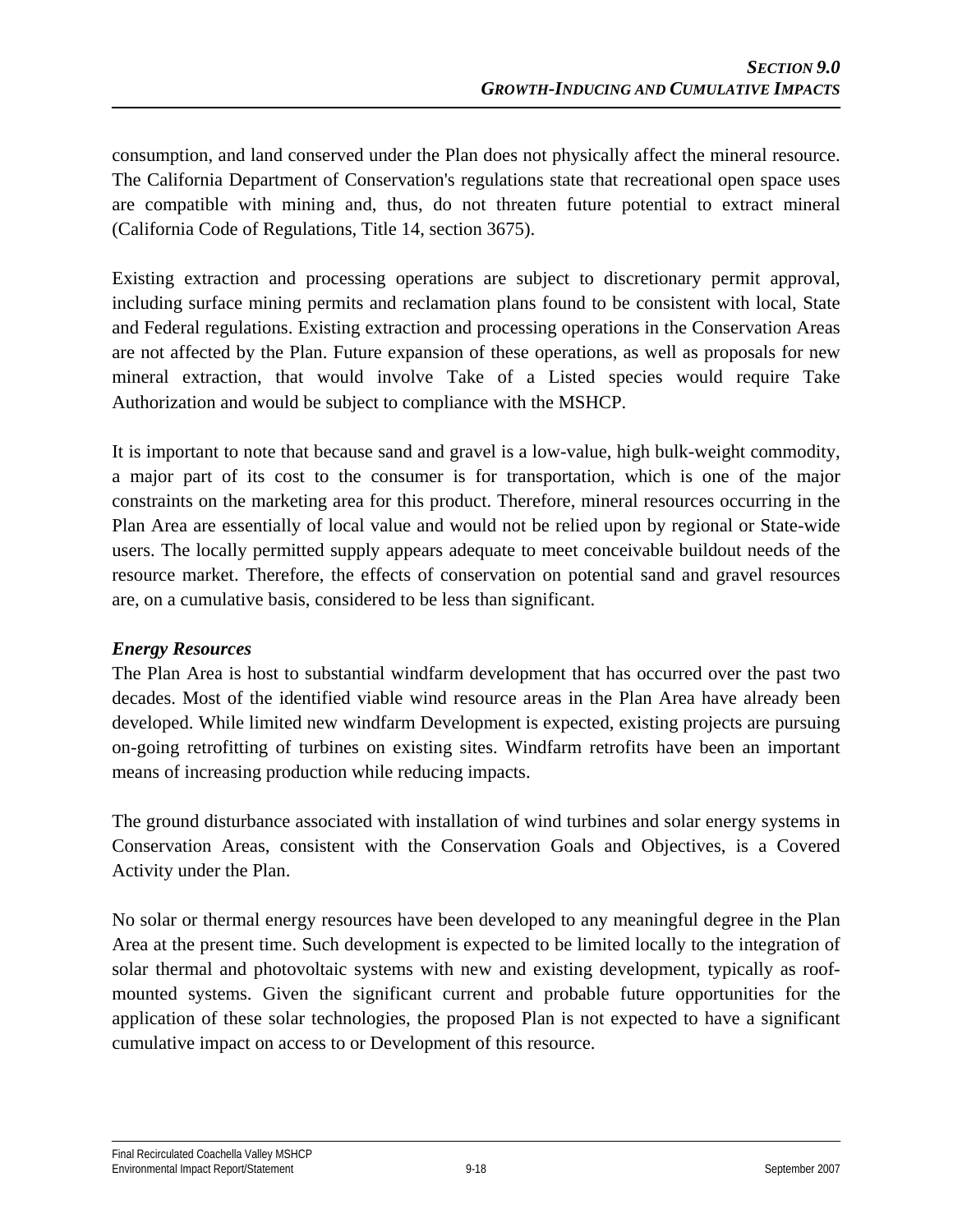consumption, and land conserved under the Plan does not physically affect the mineral resource. The California Department of Conservation's regulations state that recreational open space uses are compatible with mining and, thus, do not threaten future potential to extract mineral (California Code of Regulations, Title 14, section 3675).

Existing extraction and processing operations are subject to discretionary permit approval, including surface mining permits and reclamation plans found to be consistent with local, State and Federal regulations. Existing extraction and processing operations in the Conservation Areas are not affected by the Plan. Future expansion of these operations, as well as proposals for new mineral extraction, that would involve Take of a Listed species would require Take Authorization and would be subject to compliance with the MSHCP.

It is important to note that because sand and gravel is a low-value, high bulk-weight commodity, a major part of its cost to the consumer is for transportation, which is one of the major constraints on the marketing area for this product. Therefore, mineral resources occurring in the Plan Area are essentially of local value and would not be relied upon by regional or State-wide users. The locally permitted supply appears adequate to meet conceivable buildout needs of the resource market. Therefore, the effects of conservation on potential sand and gravel resources are, on a cumulative basis, considered to be less than significant.

#### *Energy Resources*

The Plan Area is host to substantial windfarm development that has occurred over the past two decades. Most of the identified viable wind resource areas in the Plan Area have already been developed. While limited new windfarm Development is expected, existing projects are pursuing on-going retrofitting of turbines on existing sites. Windfarm retrofits have been an important means of increasing production while reducing impacts.

The ground disturbance associated with installation of wind turbines and solar energy systems in Conservation Areas, consistent with the Conservation Goals and Objectives, is a Covered Activity under the Plan.

No solar or thermal energy resources have been developed to any meaningful degree in the Plan Area at the present time. Such development is expected to be limited locally to the integration of solar thermal and photovoltaic systems with new and existing development, typically as roofmounted systems. Given the significant current and probable future opportunities for the application of these solar technologies, the proposed Plan is not expected to have a significant cumulative impact on access to or Development of this resource.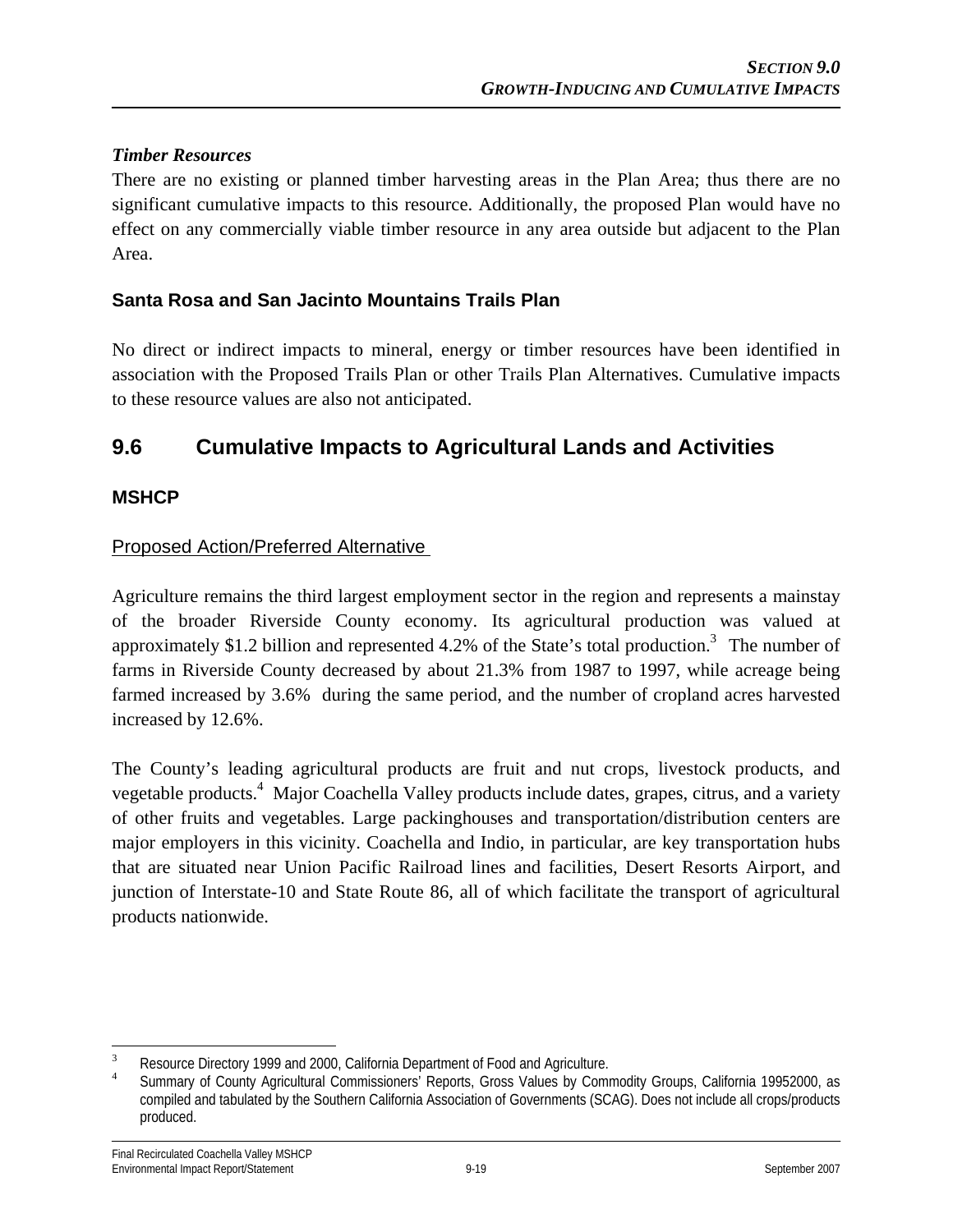#### *Timber Resources*

There are no existing or planned timber harvesting areas in the Plan Area; thus there are no significant cumulative impacts to this resource. Additionally, the proposed Plan would have no effect on any commercially viable timber resource in any area outside but adjacent to the Plan Area.

#### **Santa Rosa and San Jacinto Mountains Trails Plan**

No direct or indirect impacts to mineral, energy or timber resources have been identified in association with the Proposed Trails Plan or other Trails Plan Alternatives. Cumulative impacts to these resource values are also not anticipated.

# **9.6 Cumulative Impacts to Agricultural Lands and Activities**

#### **MSHCP**

#### Proposed Action/Preferred Alternative

Agriculture remains the third largest employment sector in the region and represents a mainstay of the broader Riverside County economy. Its agricultural production was valued at approximately \$1.2 billion and represented 4.2% of the State's total production.<sup>3</sup> The number of farms in Riverside County decreased by about 21.3% from 1987 to 1997, while acreage being farmed increased by 3.6% during the same period, and the number of cropland acres harvested increased by 12.6%.

The County's leading agricultural products are fruit and nut crops, livestock products, and vegetable products.<sup>4</sup> Major Coachella Valley products include dates, grapes, citrus, and a variety of other fruits and vegetables. Large packinghouses and transportation/distribution centers are major employers in this vicinity. Coachella and Indio, in particular, are key transportation hubs that are situated near Union Pacific Railroad lines and facilities, Desert Resorts Airport, and junction of Interstate-10 and State Route 86, all of which facilitate the transport of agricultural products nationwide.

 $\overline{a}$ 3 Resource Directory 1999 and 2000, California Department of Food and Agriculture. <sup>4</sup>

Summary of County Agricultural Commissioners' Reports, Gross Values by Commodity Groups, California 19952000, as compiled and tabulated by the Southern California Association of Governments (SCAG). Does not include all crops/products produced.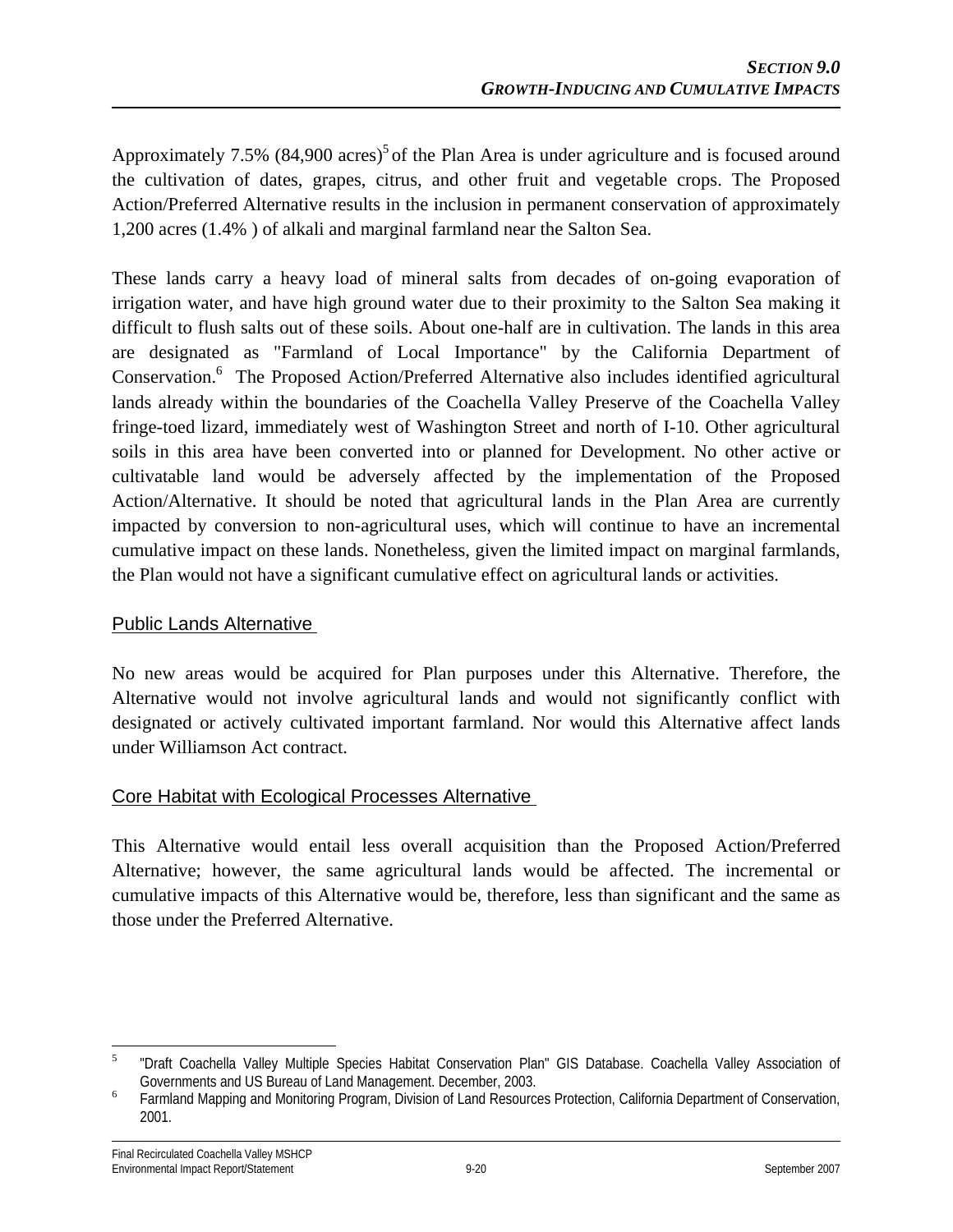Approximately 7.5%  $(84,900 \text{ acres})^5$  of the Plan Area is under agriculture and is focused around the cultivation of dates, grapes, citrus, and other fruit and vegetable crops. The Proposed Action/Preferred Alternative results in the inclusion in permanent conservation of approximately 1,200 acres (1.4% ) of alkali and marginal farmland near the Salton Sea.

These lands carry a heavy load of mineral salts from decades of on-going evaporation of irrigation water, and have high ground water due to their proximity to the Salton Sea making it difficult to flush salts out of these soils. About one-half are in cultivation. The lands in this area are designated as "Farmland of Local Importance" by the California Department of Conservation.<sup>6</sup> The Proposed Action/Preferred Alternative also includes identified agricultural lands already within the boundaries of the Coachella Valley Preserve of the Coachella Valley fringe-toed lizard, immediately west of Washington Street and north of I-10. Other agricultural soils in this area have been converted into or planned for Development. No other active or cultivatable land would be adversely affected by the implementation of the Proposed Action/Alternative. It should be noted that agricultural lands in the Plan Area are currently impacted by conversion to non-agricultural uses, which will continue to have an incremental cumulative impact on these lands. Nonetheless, given the limited impact on marginal farmlands, the Plan would not have a significant cumulative effect on agricultural lands or activities.

#### Public Lands Alternative

No new areas would be acquired for Plan purposes under this Alternative. Therefore, the Alternative would not involve agricultural lands and would not significantly conflict with designated or actively cultivated important farmland. Nor would this Alternative affect lands under Williamson Act contract.

#### Core Habitat with Ecological Processes Alternative

This Alternative would entail less overall acquisition than the Proposed Action/Preferred Alternative; however, the same agricultural lands would be affected. The incremental or cumulative impacts of this Alternative would be, therefore, less than significant and the same as those under the Preferred Alternative.

 $\frac{1}{5}$  "Draft Coachella Valley Multiple Species Habitat Conservation Plan" GIS Database. Coachella Valley Association of Governments and US Bureau of Land Management. December, 2003.<br> **Example Management Management Containst Program** Division of Land Posque

Farmland Mapping and Monitoring Program, Division of Land Resources Protection, California Department of Conservation, 2001.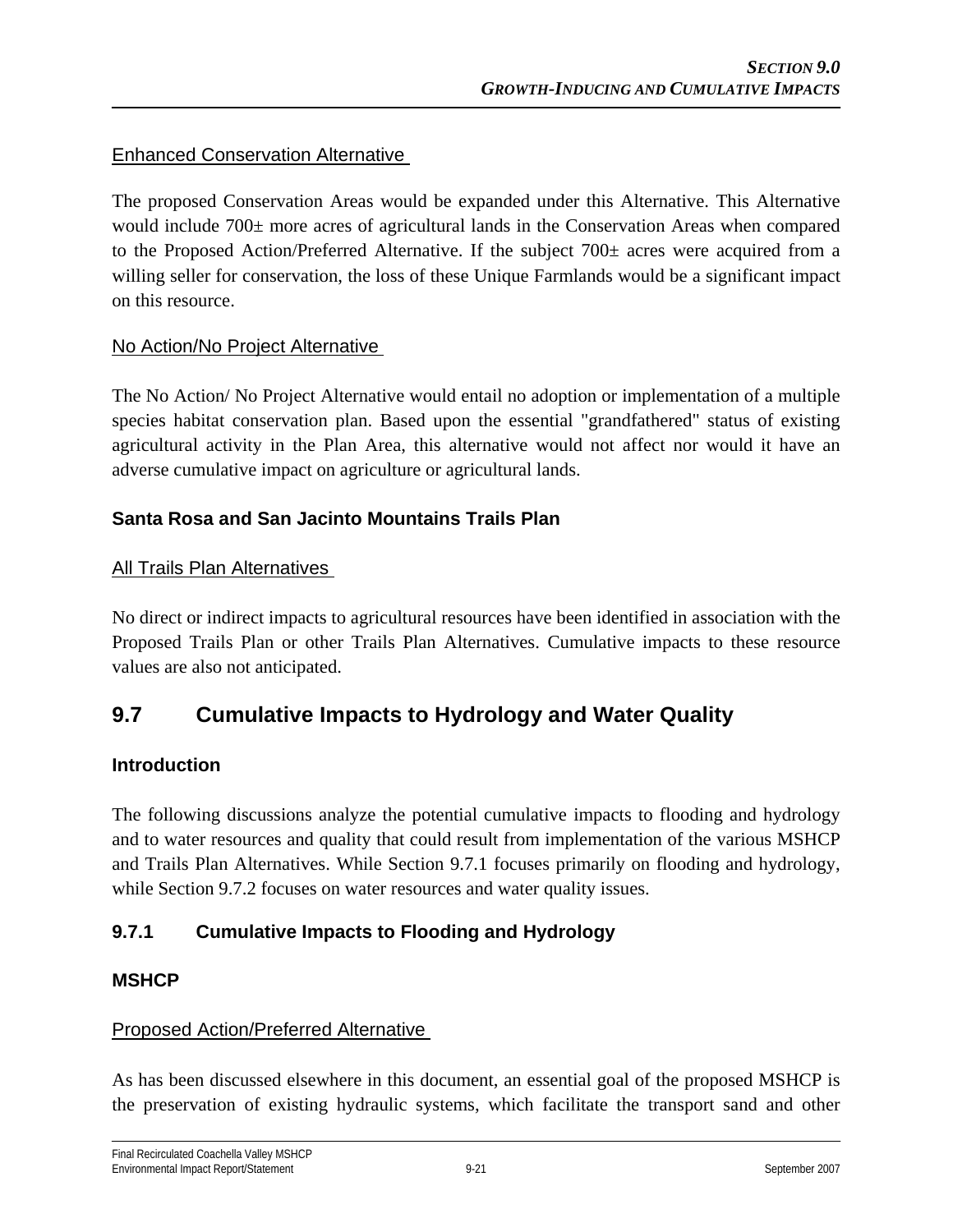#### Enhanced Conservation Alternative

The proposed Conservation Areas would be expanded under this Alternative. This Alternative would include 700± more acres of agricultural lands in the Conservation Areas when compared to the Proposed Action/Preferred Alternative. If the subject 700± acres were acquired from a willing seller for conservation, the loss of these Unique Farmlands would be a significant impact on this resource.

#### No Action/No Project Alternative

The No Action/ No Project Alternative would entail no adoption or implementation of a multiple species habitat conservation plan. Based upon the essential "grandfathered" status of existing agricultural activity in the Plan Area, this alternative would not affect nor would it have an adverse cumulative impact on agriculture or agricultural lands.

## **Santa Rosa and San Jacinto Mountains Trails Plan**

#### All Trails Plan Alternatives

No direct or indirect impacts to agricultural resources have been identified in association with the Proposed Trails Plan or other Trails Plan Alternatives. Cumulative impacts to these resource values are also not anticipated.

# **9.7 Cumulative Impacts to Hydrology and Water Quality**

#### **Introduction**

The following discussions analyze the potential cumulative impacts to flooding and hydrology and to water resources and quality that could result from implementation of the various MSHCP and Trails Plan Alternatives. While Section 9.7.1 focuses primarily on flooding and hydrology, while Section 9.7.2 focuses on water resources and water quality issues.

## **9.7.1 Cumulative Impacts to Flooding and Hydrology**

#### **MSHCP**

#### Proposed Action/Preferred Alternative

As has been discussed elsewhere in this document, an essential goal of the proposed MSHCP is the preservation of existing hydraulic systems, which facilitate the transport sand and other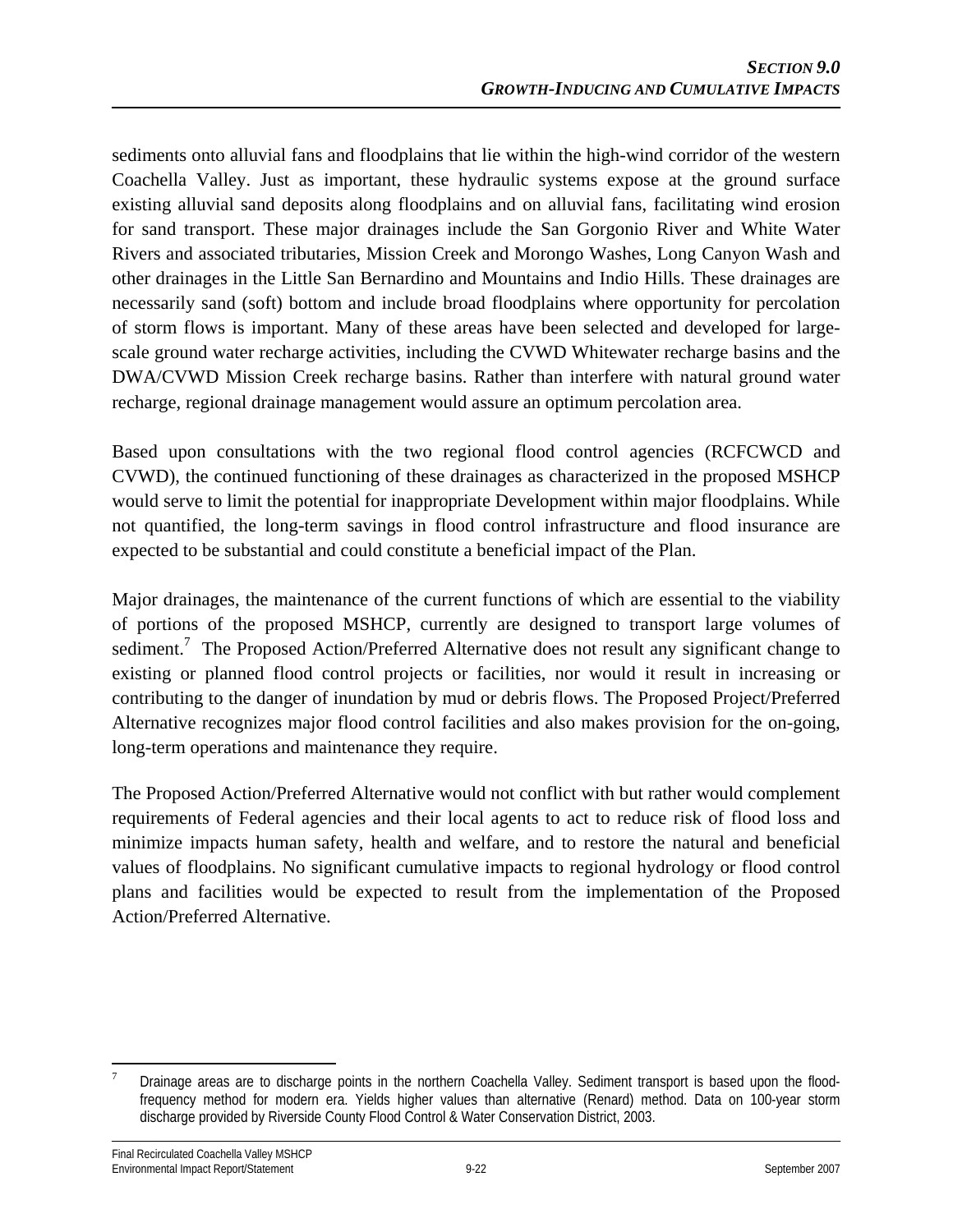sediments onto alluvial fans and floodplains that lie within the high-wind corridor of the western Coachella Valley. Just as important, these hydraulic systems expose at the ground surface existing alluvial sand deposits along floodplains and on alluvial fans, facilitating wind erosion for sand transport. These major drainages include the San Gorgonio River and White Water Rivers and associated tributaries, Mission Creek and Morongo Washes, Long Canyon Wash and other drainages in the Little San Bernardino and Mountains and Indio Hills. These drainages are necessarily sand (soft) bottom and include broad floodplains where opportunity for percolation of storm flows is important. Many of these areas have been selected and developed for largescale ground water recharge activities, including the CVWD Whitewater recharge basins and the DWA/CVWD Mission Creek recharge basins. Rather than interfere with natural ground water recharge, regional drainage management would assure an optimum percolation area.

Based upon consultations with the two regional flood control agencies (RCFCWCD and CVWD), the continued functioning of these drainages as characterized in the proposed MSHCP would serve to limit the potential for inappropriate Development within major floodplains. While not quantified, the long-term savings in flood control infrastructure and flood insurance are expected to be substantial and could constitute a beneficial impact of the Plan.

Major drainages, the maintenance of the current functions of which are essential to the viability of portions of the proposed MSHCP, currently are designed to transport large volumes of sediment.<sup>7</sup> The Proposed Action/Preferred Alternative does not result any significant change to existing or planned flood control projects or facilities, nor would it result in increasing or contributing to the danger of inundation by mud or debris flows. The Proposed Project/Preferred Alternative recognizes major flood control facilities and also makes provision for the on-going, long-term operations and maintenance they require.

The Proposed Action/Preferred Alternative would not conflict with but rather would complement requirements of Federal agencies and their local agents to act to reduce risk of flood loss and minimize impacts human safety, health and welfare, and to restore the natural and beneficial values of floodplains. No significant cumulative impacts to regional hydrology or flood control plans and facilities would be expected to result from the implementation of the Proposed Action/Preferred Alternative.

 $\overline{a}$ 7 Drainage areas are to discharge points in the northern Coachella Valley. Sediment transport is based upon the floodfrequency method for modern era. Yields higher values than alternative (Renard) method. Data on 100-year storm discharge provided by Riverside County Flood Control & Water Conservation District, 2003.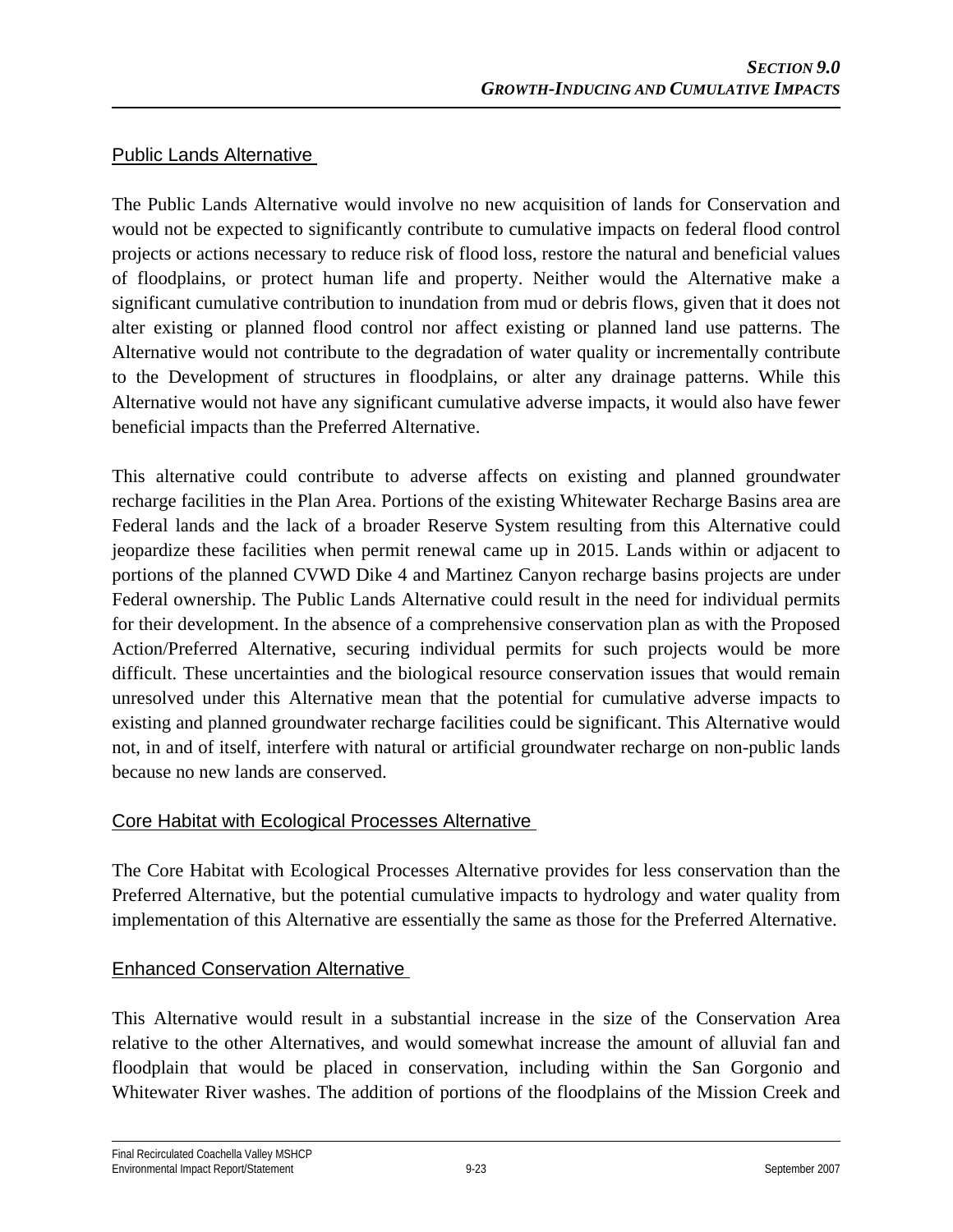#### Public Lands Alternative

The Public Lands Alternative would involve no new acquisition of lands for Conservation and would not be expected to significantly contribute to cumulative impacts on federal flood control projects or actions necessary to reduce risk of flood loss, restore the natural and beneficial values of floodplains, or protect human life and property. Neither would the Alternative make a significant cumulative contribution to inundation from mud or debris flows, given that it does not alter existing or planned flood control nor affect existing or planned land use patterns. The Alternative would not contribute to the degradation of water quality or incrementally contribute to the Development of structures in floodplains, or alter any drainage patterns. While this Alternative would not have any significant cumulative adverse impacts, it would also have fewer beneficial impacts than the Preferred Alternative.

This alternative could contribute to adverse affects on existing and planned groundwater recharge facilities in the Plan Area. Portions of the existing Whitewater Recharge Basins area are Federal lands and the lack of a broader Reserve System resulting from this Alternative could jeopardize these facilities when permit renewal came up in 2015. Lands within or adjacent to portions of the planned CVWD Dike 4 and Martinez Canyon recharge basins projects are under Federal ownership. The Public Lands Alternative could result in the need for individual permits for their development. In the absence of a comprehensive conservation plan as with the Proposed Action/Preferred Alternative, securing individual permits for such projects would be more difficult. These uncertainties and the biological resource conservation issues that would remain unresolved under this Alternative mean that the potential for cumulative adverse impacts to existing and planned groundwater recharge facilities could be significant. This Alternative would not, in and of itself, interfere with natural or artificial groundwater recharge on non-public lands because no new lands are conserved.

## Core Habitat with Ecological Processes Alternative

The Core Habitat with Ecological Processes Alternative provides for less conservation than the Preferred Alternative, but the potential cumulative impacts to hydrology and water quality from implementation of this Alternative are essentially the same as those for the Preferred Alternative.

## Enhanced Conservation Alternative

This Alternative would result in a substantial increase in the size of the Conservation Area relative to the other Alternatives, and would somewhat increase the amount of alluvial fan and floodplain that would be placed in conservation, including within the San Gorgonio and Whitewater River washes. The addition of portions of the floodplains of the Mission Creek and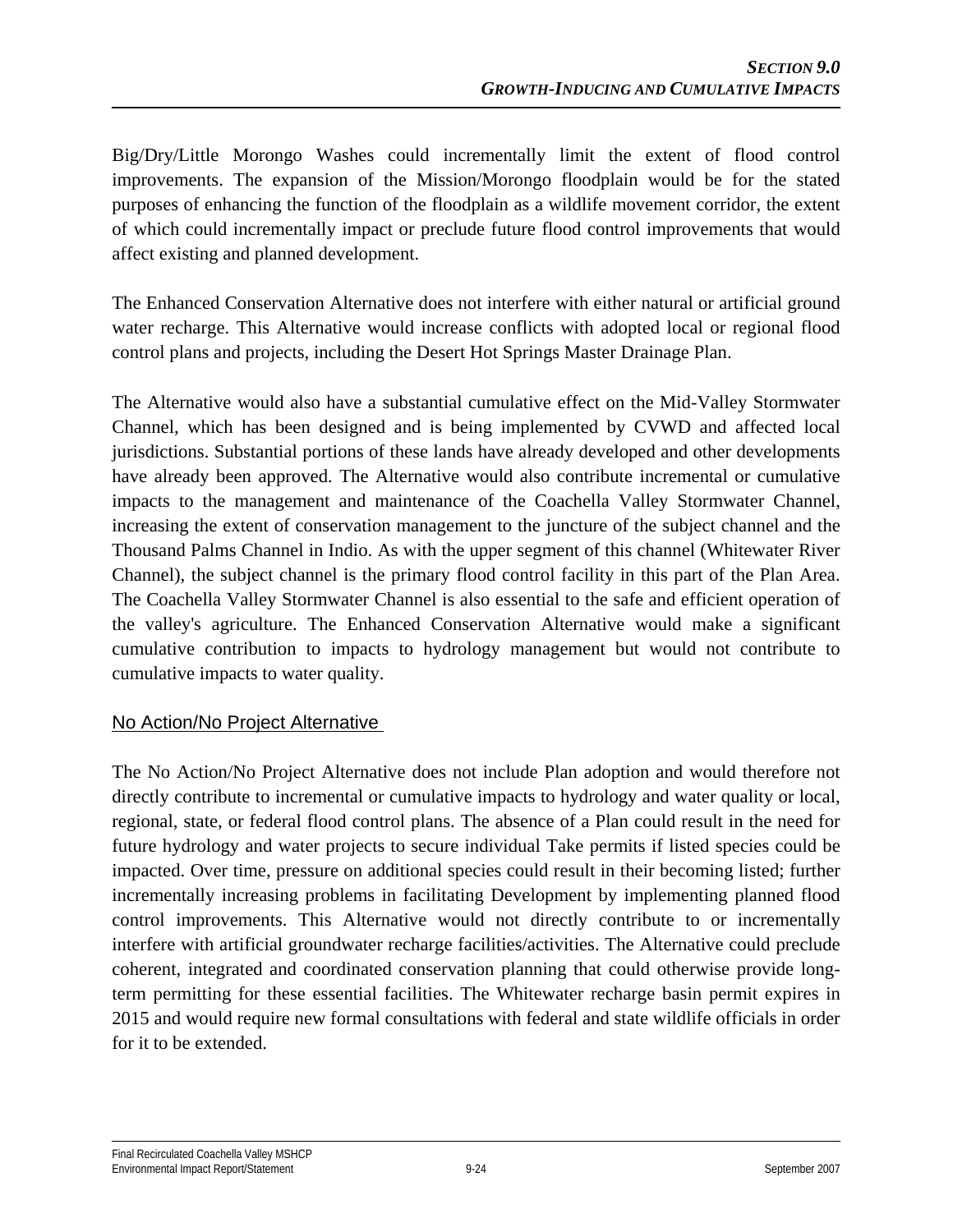Big/Dry/Little Morongo Washes could incrementally limit the extent of flood control improvements. The expansion of the Mission/Morongo floodplain would be for the stated purposes of enhancing the function of the floodplain as a wildlife movement corridor, the extent of which could incrementally impact or preclude future flood control improvements that would affect existing and planned development.

The Enhanced Conservation Alternative does not interfere with either natural or artificial ground water recharge. This Alternative would increase conflicts with adopted local or regional flood control plans and projects, including the Desert Hot Springs Master Drainage Plan.

The Alternative would also have a substantial cumulative effect on the Mid-Valley Stormwater Channel, which has been designed and is being implemented by CVWD and affected local jurisdictions. Substantial portions of these lands have already developed and other developments have already been approved. The Alternative would also contribute incremental or cumulative impacts to the management and maintenance of the Coachella Valley Stormwater Channel, increasing the extent of conservation management to the juncture of the subject channel and the Thousand Palms Channel in Indio. As with the upper segment of this channel (Whitewater River Channel), the subject channel is the primary flood control facility in this part of the Plan Area. The Coachella Valley Stormwater Channel is also essential to the safe and efficient operation of the valley's agriculture. The Enhanced Conservation Alternative would make a significant cumulative contribution to impacts to hydrology management but would not contribute to cumulative impacts to water quality.

## No Action/No Project Alternative

The No Action/No Project Alternative does not include Plan adoption and would therefore not directly contribute to incremental or cumulative impacts to hydrology and water quality or local, regional, state, or federal flood control plans. The absence of a Plan could result in the need for future hydrology and water projects to secure individual Take permits if listed species could be impacted. Over time, pressure on additional species could result in their becoming listed; further incrementally increasing problems in facilitating Development by implementing planned flood control improvements. This Alternative would not directly contribute to or incrementally interfere with artificial groundwater recharge facilities/activities. The Alternative could preclude coherent, integrated and coordinated conservation planning that could otherwise provide longterm permitting for these essential facilities. The Whitewater recharge basin permit expires in 2015 and would require new formal consultations with federal and state wildlife officials in order for it to be extended.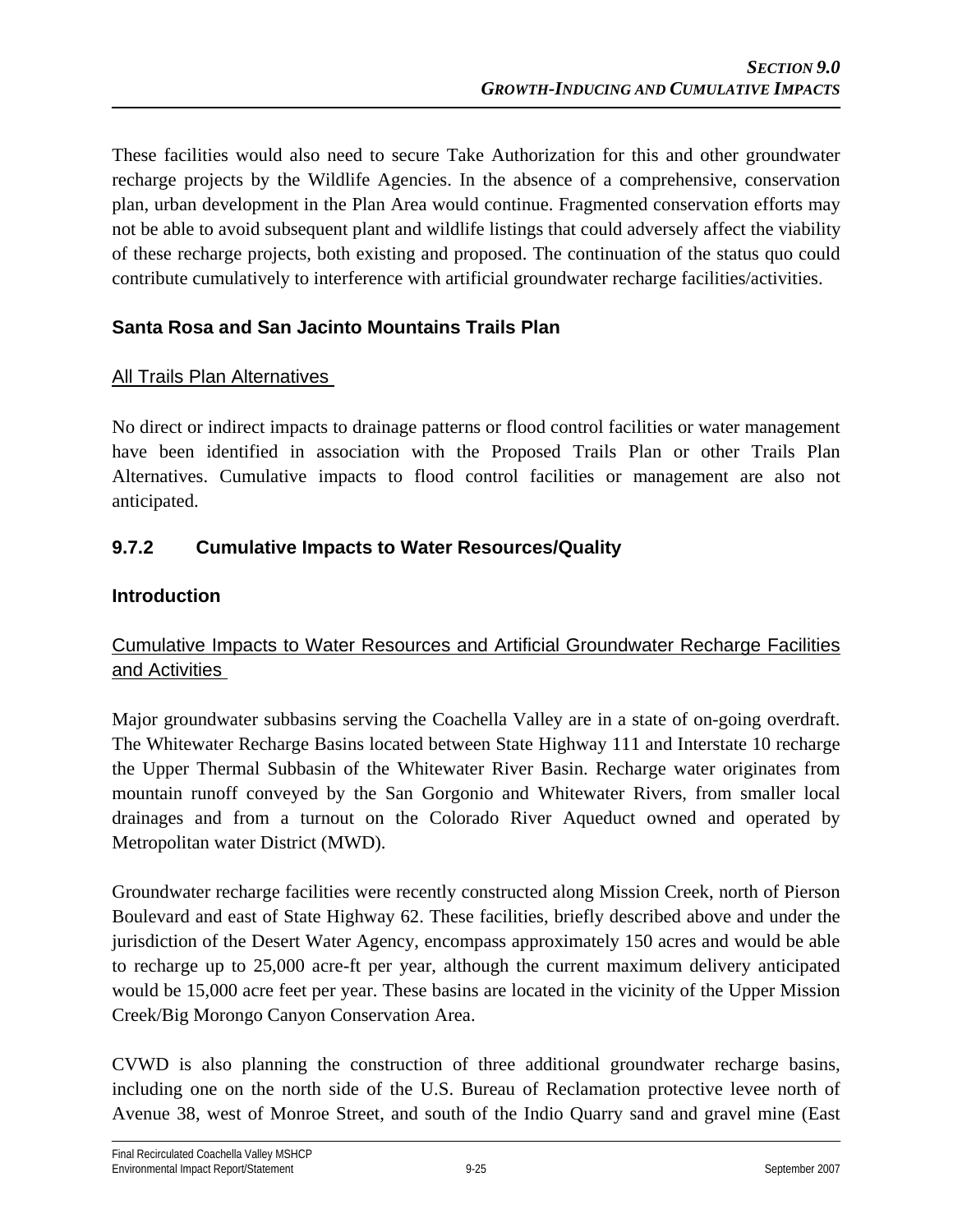These facilities would also need to secure Take Authorization for this and other groundwater recharge projects by the Wildlife Agencies. In the absence of a comprehensive, conservation plan, urban development in the Plan Area would continue. Fragmented conservation efforts may not be able to avoid subsequent plant and wildlife listings that could adversely affect the viability of these recharge projects, both existing and proposed. The continuation of the status quo could contribute cumulatively to interference with artificial groundwater recharge facilities/activities.

## **Santa Rosa and San Jacinto Mountains Trails Plan**

#### All Trails Plan Alternatives

No direct or indirect impacts to drainage patterns or flood control facilities or water management have been identified in association with the Proposed Trails Plan or other Trails Plan Alternatives. Cumulative impacts to flood control facilities or management are also not anticipated.

## **9.7.2 Cumulative Impacts to Water Resources/Quality**

#### **Introduction**

## Cumulative Impacts to Water Resources and Artificial Groundwater Recharge Facilities and Activities

Major groundwater subbasins serving the Coachella Valley are in a state of on-going overdraft. The Whitewater Recharge Basins located between State Highway 111 and Interstate 10 recharge the Upper Thermal Subbasin of the Whitewater River Basin. Recharge water originates from mountain runoff conveyed by the San Gorgonio and Whitewater Rivers, from smaller local drainages and from a turnout on the Colorado River Aqueduct owned and operated by Metropolitan water District (MWD).

Groundwater recharge facilities were recently constructed along Mission Creek, north of Pierson Boulevard and east of State Highway 62. These facilities, briefly described above and under the jurisdiction of the Desert Water Agency, encompass approximately 150 acres and would be able to recharge up to 25,000 acre-ft per year, although the current maximum delivery anticipated would be 15,000 acre feet per year. These basins are located in the vicinity of the Upper Mission Creek/Big Morongo Canyon Conservation Area.

CVWD is also planning the construction of three additional groundwater recharge basins, including one on the north side of the U.S. Bureau of Reclamation protective levee north of Avenue 38, west of Monroe Street, and south of the Indio Quarry sand and gravel mine (East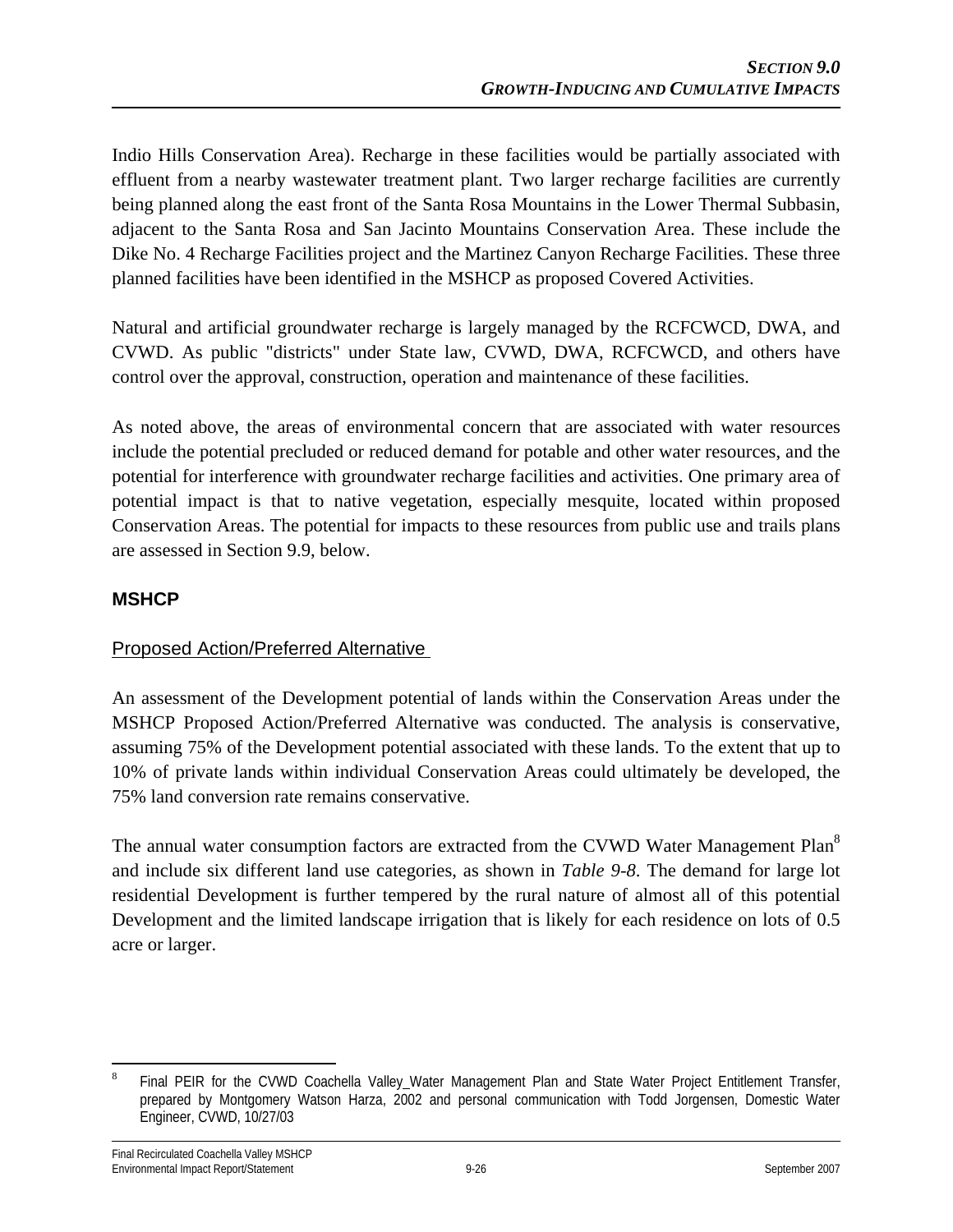Indio Hills Conservation Area). Recharge in these facilities would be partially associated with effluent from a nearby wastewater treatment plant. Two larger recharge facilities are currently being planned along the east front of the Santa Rosa Mountains in the Lower Thermal Subbasin, adjacent to the Santa Rosa and San Jacinto Mountains Conservation Area. These include the Dike No. 4 Recharge Facilities project and the Martinez Canyon Recharge Facilities. These three planned facilities have been identified in the MSHCP as proposed Covered Activities.

Natural and artificial groundwater recharge is largely managed by the RCFCWCD, DWA, and CVWD. As public "districts" under State law, CVWD, DWA, RCFCWCD, and others have control over the approval, construction, operation and maintenance of these facilities.

As noted above, the areas of environmental concern that are associated with water resources include the potential precluded or reduced demand for potable and other water resources, and the potential for interference with groundwater recharge facilities and activities. One primary area of potential impact is that to native vegetation, especially mesquite, located within proposed Conservation Areas. The potential for impacts to these resources from public use and trails plans are assessed in Section 9.9, below.

## **MSHCP**

## Proposed Action/Preferred Alternative

An assessment of the Development potential of lands within the Conservation Areas under the MSHCP Proposed Action/Preferred Alternative was conducted. The analysis is conservative, assuming 75% of the Development potential associated with these lands. To the extent that up to 10% of private lands within individual Conservation Areas could ultimately be developed, the 75% land conversion rate remains conservative.

The annual water consumption factors are extracted from the CVWD Water Management Plan<sup>8</sup> and include six different land use categories, as shown in *Table 9-8*. The demand for large lot residential Development is further tempered by the rural nature of almost all of this potential Development and the limited landscape irrigation that is likely for each residence on lots of 0.5 acre or larger.

<sup>&</sup>lt;u>.</u> 8 Final PEIR for the CVWD Coachella Valley Water Management Plan and State Water Project Entitlement Transfer, prepared by Montgomery Watson Harza, 2002 and personal communication with Todd Jorgensen, Domestic Water Engineer, CVWD, 10/27/03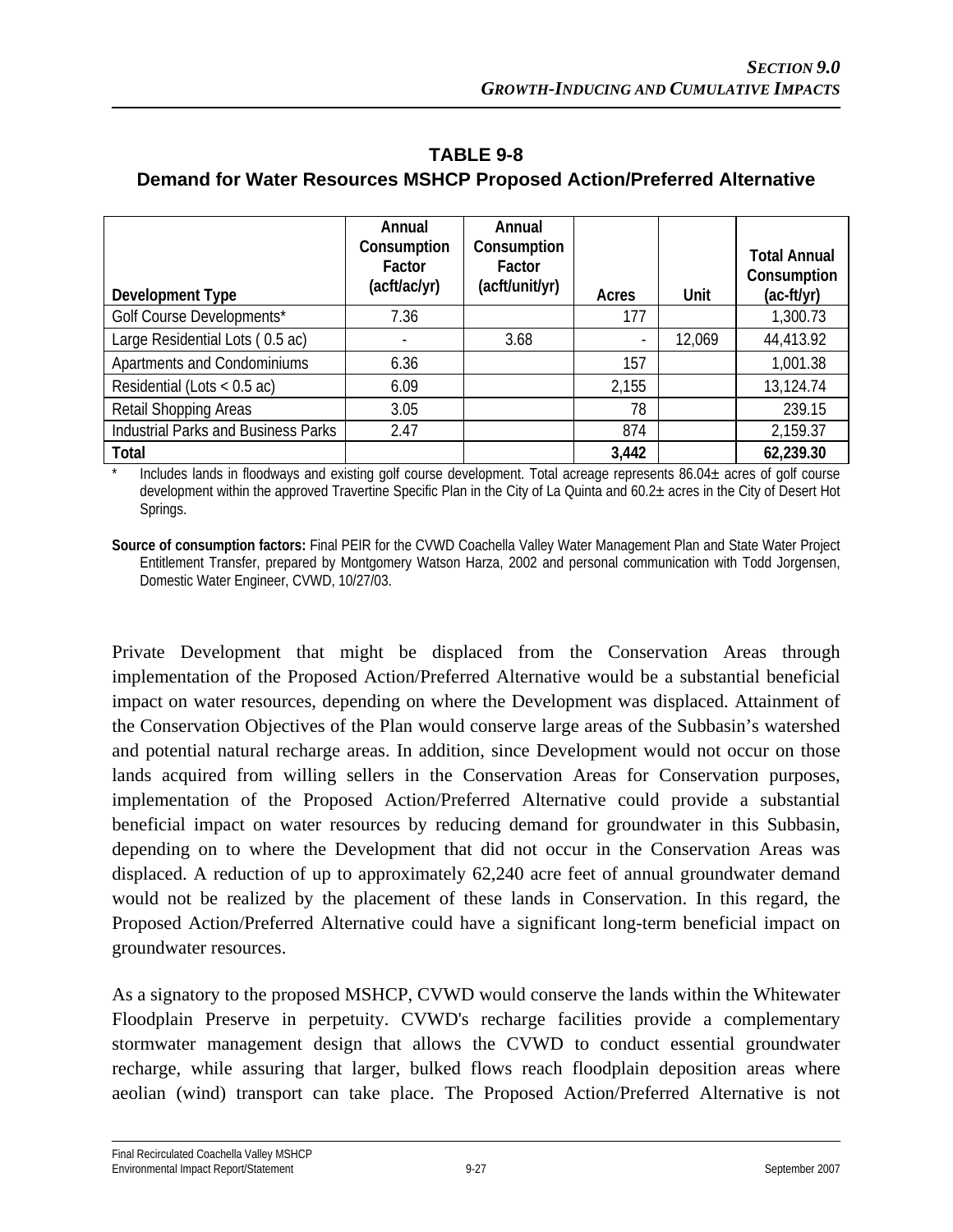| Development Type                           | Annual<br>Consumption<br>Factor<br>(acft/ac/yr) | Annual<br>Consumption<br>Factor<br>(acft/unit/yr) | Acres                    | Unit   | <b>Total Annual</b><br>Consumption<br>$(ac-ft/yr)$ |
|--------------------------------------------|-------------------------------------------------|---------------------------------------------------|--------------------------|--------|----------------------------------------------------|
| Golf Course Developments*                  | 7.36                                            |                                                   | 177                      |        | 1,300.73                                           |
| Large Residential Lots (0.5 ac)            |                                                 | 3.68                                              | $\overline{\phantom{a}}$ | 12,069 | 44,413.92                                          |
| Apartments and Condominiums                | 6.36                                            |                                                   | 157                      |        | 1,001.38                                           |
| Residential (Lots $<$ 0.5 ac)              | 6.09                                            |                                                   | 2,155                    |        | 13,124.74                                          |
| Retail Shopping Areas                      | 3.05                                            |                                                   | 78                       |        | 239.15                                             |
| <b>Industrial Parks and Business Parks</b> | 2.47                                            |                                                   | 874                      |        | 2,159.37                                           |
| Total                                      |                                                 |                                                   | 3,442                    |        | 62,239.30                                          |

**TABLE 9-8 Demand for Water Resources MSHCP Proposed Action/Preferred Alternative** 

Includes lands in floodways and existing golf course development. Total acreage represents  $86.04\pm$  acres of golf course development within the approved Travertine Specific Plan in the City of La Quinta and 60.2± acres in the City of Desert Hot Springs.

**Source of consumption factors:** Final PEIR for the CVWD Coachella Valley Water Management Plan and State Water Project Entitlement Transfer, prepared by Montgomery Watson Harza, 2002 and personal communication with Todd Jorgensen, Domestic Water Engineer, CVWD, 10/27/03.

Private Development that might be displaced from the Conservation Areas through implementation of the Proposed Action/Preferred Alternative would be a substantial beneficial impact on water resources, depending on where the Development was displaced. Attainment of the Conservation Objectives of the Plan would conserve large areas of the Subbasin's watershed and potential natural recharge areas. In addition, since Development would not occur on those lands acquired from willing sellers in the Conservation Areas for Conservation purposes, implementation of the Proposed Action/Preferred Alternative could provide a substantial beneficial impact on water resources by reducing demand for groundwater in this Subbasin, depending on to where the Development that did not occur in the Conservation Areas was displaced. A reduction of up to approximately 62,240 acre feet of annual groundwater demand would not be realized by the placement of these lands in Conservation. In this regard, the Proposed Action/Preferred Alternative could have a significant long-term beneficial impact on groundwater resources.

As a signatory to the proposed MSHCP, CVWD would conserve the lands within the Whitewater Floodplain Preserve in perpetuity. CVWD's recharge facilities provide a complementary stormwater management design that allows the CVWD to conduct essential groundwater recharge, while assuring that larger, bulked flows reach floodplain deposition areas where aeolian (wind) transport can take place. The Proposed Action/Preferred Alternative is not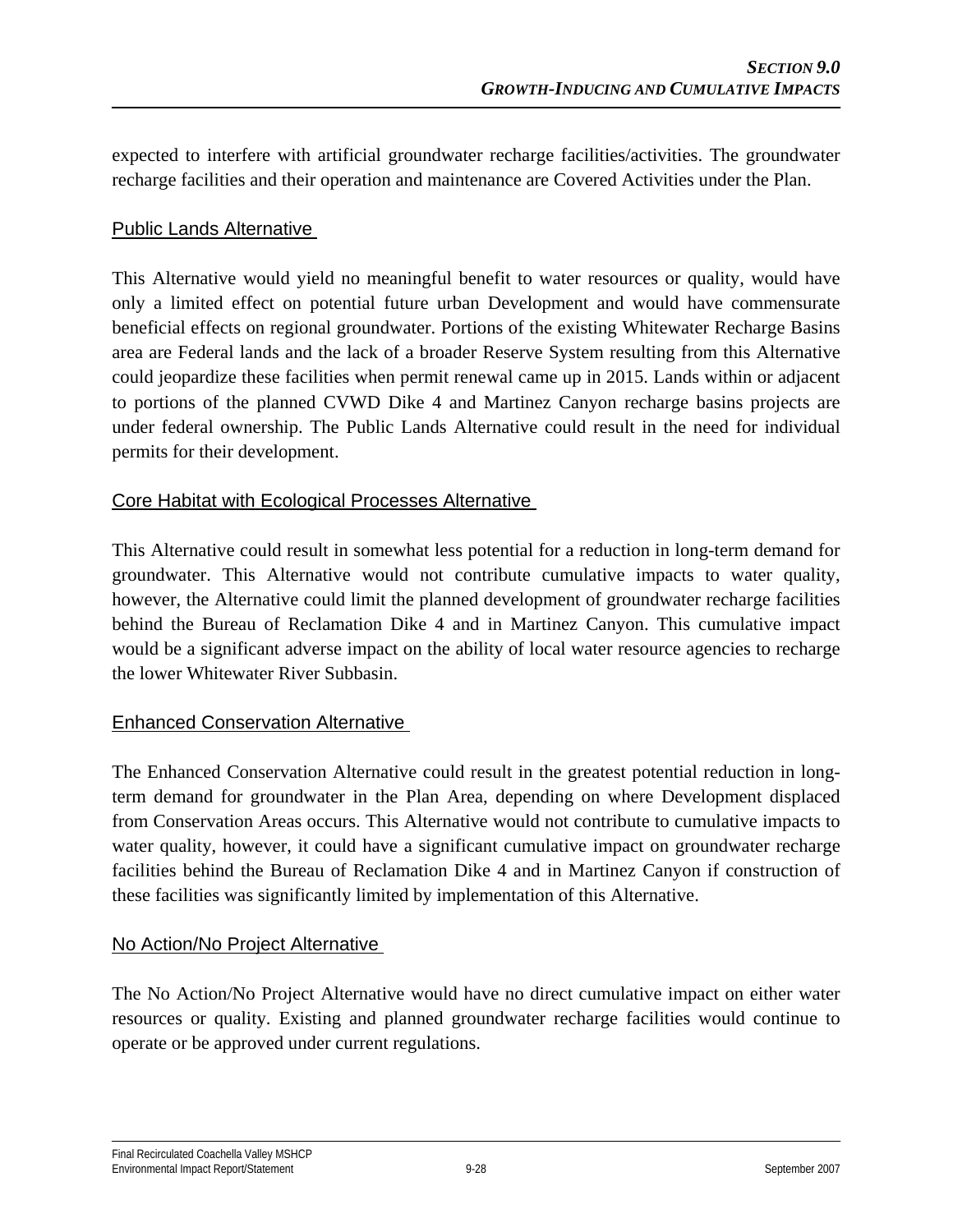expected to interfere with artificial groundwater recharge facilities/activities. The groundwater recharge facilities and their operation and maintenance are Covered Activities under the Plan.

#### Public Lands Alternative

This Alternative would yield no meaningful benefit to water resources or quality, would have only a limited effect on potential future urban Development and would have commensurate beneficial effects on regional groundwater. Portions of the existing Whitewater Recharge Basins area are Federal lands and the lack of a broader Reserve System resulting from this Alternative could jeopardize these facilities when permit renewal came up in 2015. Lands within or adjacent to portions of the planned CVWD Dike 4 and Martinez Canyon recharge basins projects are under federal ownership. The Public Lands Alternative could result in the need for individual permits for their development.

#### Core Habitat with Ecological Processes Alternative

This Alternative could result in somewhat less potential for a reduction in long-term demand for groundwater. This Alternative would not contribute cumulative impacts to water quality, however, the Alternative could limit the planned development of groundwater recharge facilities behind the Bureau of Reclamation Dike 4 and in Martinez Canyon. This cumulative impact would be a significant adverse impact on the ability of local water resource agencies to recharge the lower Whitewater River Subbasin.

## Enhanced Conservation Alternative

The Enhanced Conservation Alternative could result in the greatest potential reduction in longterm demand for groundwater in the Plan Area, depending on where Development displaced from Conservation Areas occurs. This Alternative would not contribute to cumulative impacts to water quality, however, it could have a significant cumulative impact on groundwater recharge facilities behind the Bureau of Reclamation Dike 4 and in Martinez Canyon if construction of these facilities was significantly limited by implementation of this Alternative.

#### No Action/No Project Alternative

The No Action/No Project Alternative would have no direct cumulative impact on either water resources or quality. Existing and planned groundwater recharge facilities would continue to operate or be approved under current regulations.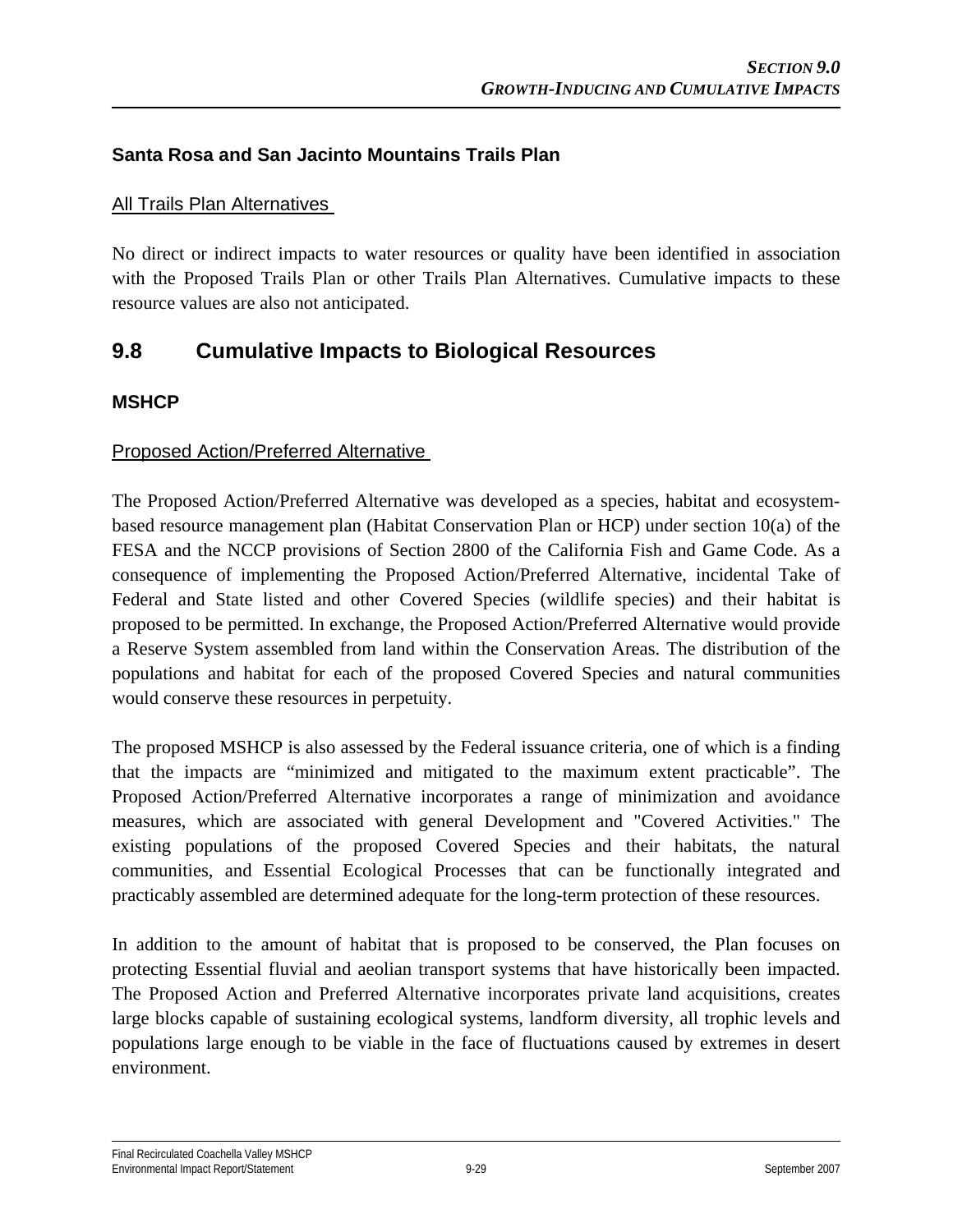## **Santa Rosa and San Jacinto Mountains Trails Plan**

#### All Trails Plan Alternatives

No direct or indirect impacts to water resources or quality have been identified in association with the Proposed Trails Plan or other Trails Plan Alternatives. Cumulative impacts to these resource values are also not anticipated.

# **9.8 Cumulative Impacts to Biological Resources**

#### **MSHCP**

#### Proposed Action/Preferred Alternative

The Proposed Action/Preferred Alternative was developed as a species, habitat and ecosystembased resource management plan (Habitat Conservation Plan or HCP) under section 10(a) of the FESA and the NCCP provisions of Section 2800 of the California Fish and Game Code. As a consequence of implementing the Proposed Action/Preferred Alternative, incidental Take of Federal and State listed and other Covered Species (wildlife species) and their habitat is proposed to be permitted. In exchange, the Proposed Action/Preferred Alternative would provide a Reserve System assembled from land within the Conservation Areas. The distribution of the populations and habitat for each of the proposed Covered Species and natural communities would conserve these resources in perpetuity.

The proposed MSHCP is also assessed by the Federal issuance criteria, one of which is a finding that the impacts are "minimized and mitigated to the maximum extent practicable". The Proposed Action/Preferred Alternative incorporates a range of minimization and avoidance measures, which are associated with general Development and "Covered Activities." The existing populations of the proposed Covered Species and their habitats, the natural communities, and Essential Ecological Processes that can be functionally integrated and practicably assembled are determined adequate for the long-term protection of these resources.

In addition to the amount of habitat that is proposed to be conserved, the Plan focuses on protecting Essential fluvial and aeolian transport systems that have historically been impacted. The Proposed Action and Preferred Alternative incorporates private land acquisitions, creates large blocks capable of sustaining ecological systems, landform diversity, all trophic levels and populations large enough to be viable in the face of fluctuations caused by extremes in desert environment.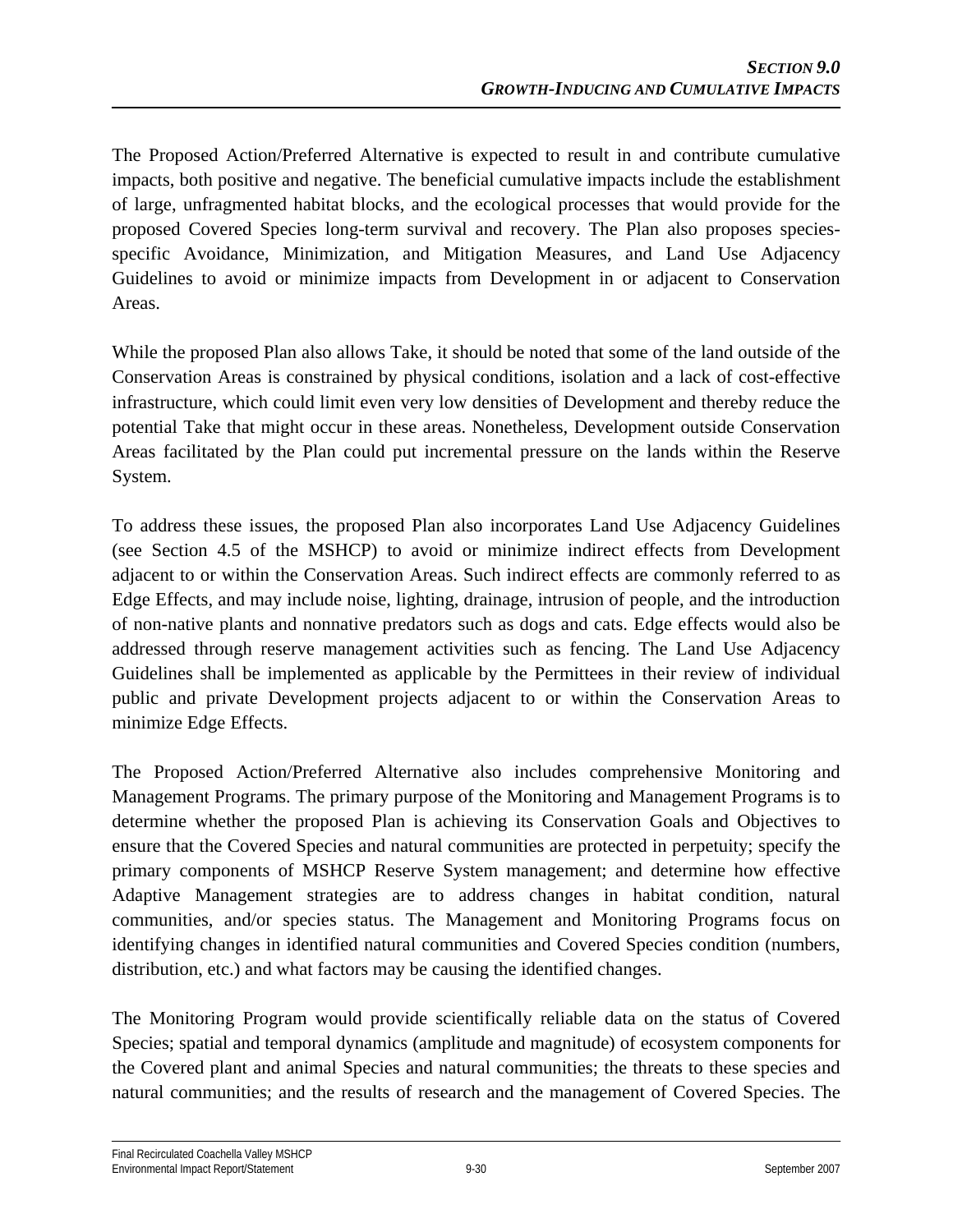The Proposed Action/Preferred Alternative is expected to result in and contribute cumulative impacts, both positive and negative. The beneficial cumulative impacts include the establishment of large, unfragmented habitat blocks, and the ecological processes that would provide for the proposed Covered Species long-term survival and recovery. The Plan also proposes speciesspecific Avoidance, Minimization, and Mitigation Measures, and Land Use Adjacency Guidelines to avoid or minimize impacts from Development in or adjacent to Conservation Areas.

While the proposed Plan also allows Take, it should be noted that some of the land outside of the Conservation Areas is constrained by physical conditions, isolation and a lack of cost-effective infrastructure, which could limit even very low densities of Development and thereby reduce the potential Take that might occur in these areas. Nonetheless, Development outside Conservation Areas facilitated by the Plan could put incremental pressure on the lands within the Reserve System.

To address these issues, the proposed Plan also incorporates Land Use Adjacency Guidelines (see Section 4.5 of the MSHCP) to avoid or minimize indirect effects from Development adjacent to or within the Conservation Areas. Such indirect effects are commonly referred to as Edge Effects, and may include noise, lighting, drainage, intrusion of people, and the introduction of non-native plants and nonnative predators such as dogs and cats. Edge effects would also be addressed through reserve management activities such as fencing. The Land Use Adjacency Guidelines shall be implemented as applicable by the Permittees in their review of individual public and private Development projects adjacent to or within the Conservation Areas to minimize Edge Effects.

The Proposed Action/Preferred Alternative also includes comprehensive Monitoring and Management Programs. The primary purpose of the Monitoring and Management Programs is to determine whether the proposed Plan is achieving its Conservation Goals and Objectives to ensure that the Covered Species and natural communities are protected in perpetuity; specify the primary components of MSHCP Reserve System management; and determine how effective Adaptive Management strategies are to address changes in habitat condition, natural communities, and/or species status. The Management and Monitoring Programs focus on identifying changes in identified natural communities and Covered Species condition (numbers, distribution, etc.) and what factors may be causing the identified changes.

The Monitoring Program would provide scientifically reliable data on the status of Covered Species; spatial and temporal dynamics (amplitude and magnitude) of ecosystem components for the Covered plant and animal Species and natural communities; the threats to these species and natural communities; and the results of research and the management of Covered Species. The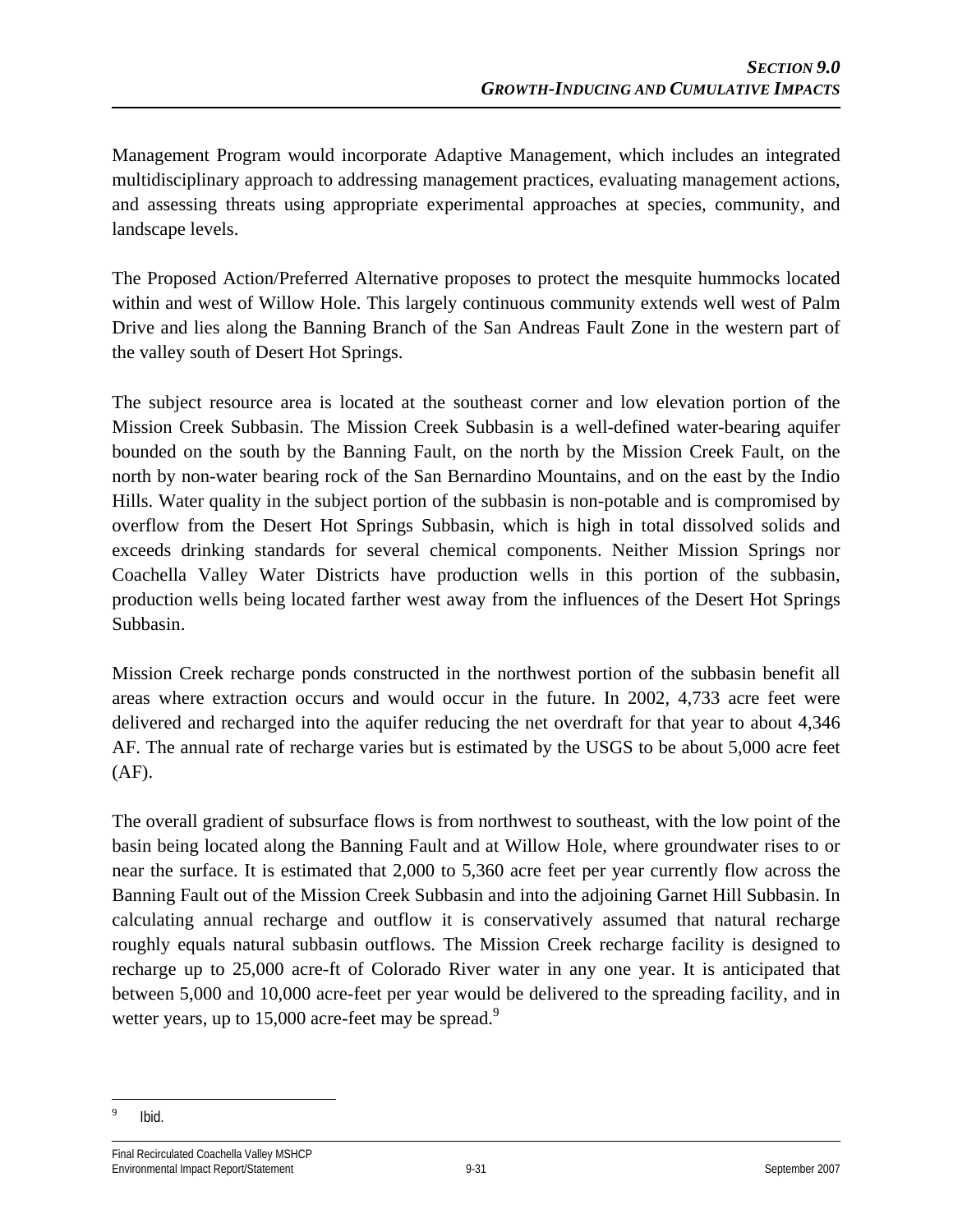Management Program would incorporate Adaptive Management, which includes an integrated multidisciplinary approach to addressing management practices, evaluating management actions, and assessing threats using appropriate experimental approaches at species, community, and landscape levels.

The Proposed Action/Preferred Alternative proposes to protect the mesquite hummocks located within and west of Willow Hole. This largely continuous community extends well west of Palm Drive and lies along the Banning Branch of the San Andreas Fault Zone in the western part of the valley south of Desert Hot Springs.

The subject resource area is located at the southeast corner and low elevation portion of the Mission Creek Subbasin. The Mission Creek Subbasin is a well-defined water-bearing aquifer bounded on the south by the Banning Fault, on the north by the Mission Creek Fault, on the north by non-water bearing rock of the San Bernardino Mountains, and on the east by the Indio Hills. Water quality in the subject portion of the subbasin is non-potable and is compromised by overflow from the Desert Hot Springs Subbasin, which is high in total dissolved solids and exceeds drinking standards for several chemical components. Neither Mission Springs nor Coachella Valley Water Districts have production wells in this portion of the subbasin, production wells being located farther west away from the influences of the Desert Hot Springs Subbasin.

Mission Creek recharge ponds constructed in the northwest portion of the subbasin benefit all areas where extraction occurs and would occur in the future. In 2002, 4,733 acre feet were delivered and recharged into the aquifer reducing the net overdraft for that year to about 4,346 AF. The annual rate of recharge varies but is estimated by the USGS to be about 5,000 acre feet  $(AF)$ .

The overall gradient of subsurface flows is from northwest to southeast, with the low point of the basin being located along the Banning Fault and at Willow Hole, where groundwater rises to or near the surface. It is estimated that 2,000 to 5,360 acre feet per year currently flow across the Banning Fault out of the Mission Creek Subbasin and into the adjoining Garnet Hill Subbasin. In calculating annual recharge and outflow it is conservatively assumed that natural recharge roughly equals natural subbasin outflows. The Mission Creek recharge facility is designed to recharge up to 25,000 acre-ft of Colorado River water in any one year. It is anticipated that between 5,000 and 10,000 acre-feet per year would be delivered to the spreading facility, and in wetter years, up to 15,000 acre-feet may be spread.<sup>9</sup>

 $\overline{a}$ 9 Ibid.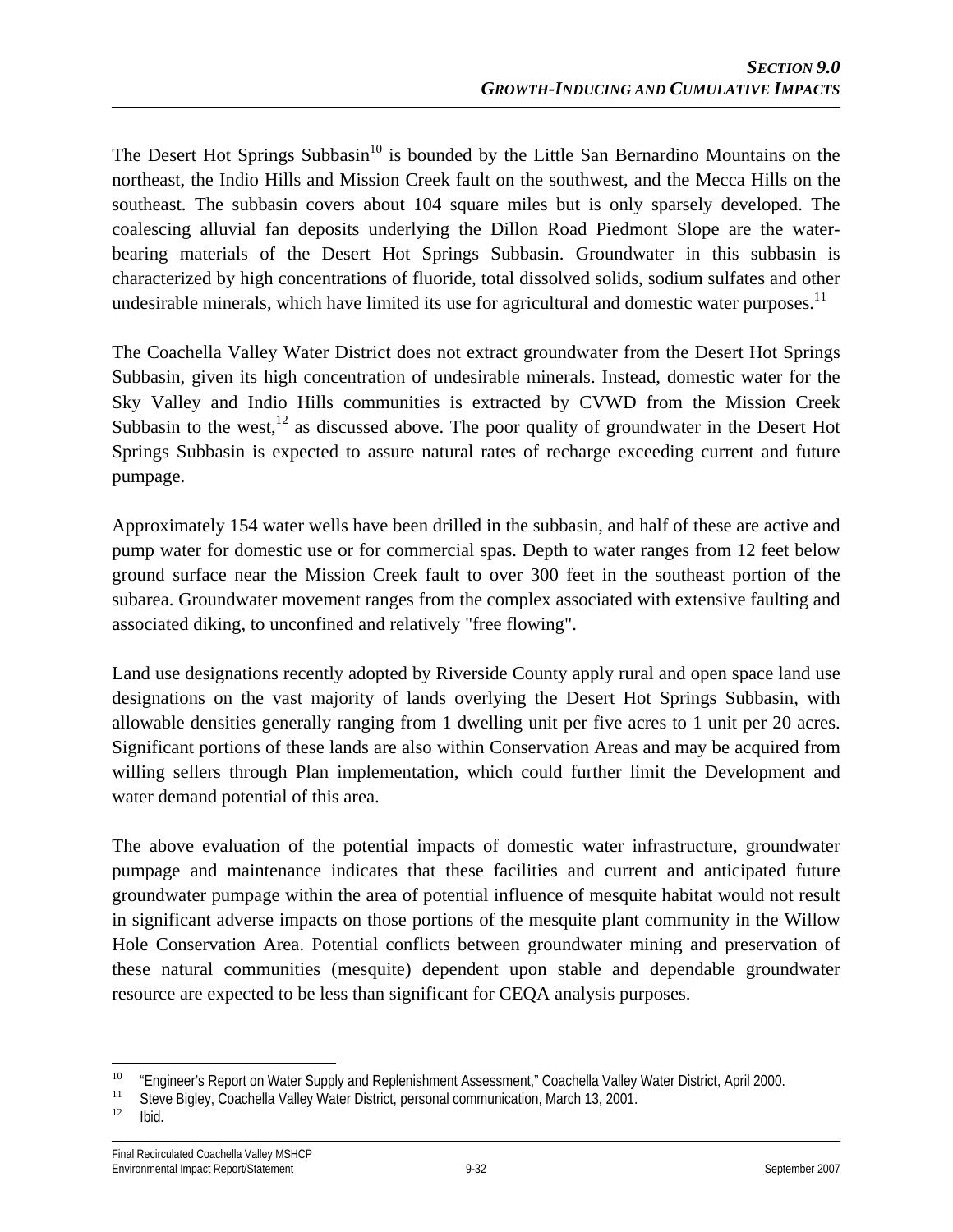The Desert Hot Springs Subbasin<sup>10</sup> is bounded by the Little San Bernardino Mountains on the northeast, the Indio Hills and Mission Creek fault on the southwest, and the Mecca Hills on the southeast. The subbasin covers about 104 square miles but is only sparsely developed. The coalescing alluvial fan deposits underlying the Dillon Road Piedmont Slope are the waterbearing materials of the Desert Hot Springs Subbasin. Groundwater in this subbasin is characterized by high concentrations of fluoride, total dissolved solids, sodium sulfates and other undesirable minerals, which have limited its use for agricultural and domestic water purposes.<sup>11</sup>

The Coachella Valley Water District does not extract groundwater from the Desert Hot Springs Subbasin, given its high concentration of undesirable minerals. Instead, domestic water for the Sky Valley and Indio Hills communities is extracted by CVWD from the Mission Creek Subbasin to the west, $^{12}$  as discussed above. The poor quality of groundwater in the Desert Hot Springs Subbasin is expected to assure natural rates of recharge exceeding current and future pumpage.

Approximately 154 water wells have been drilled in the subbasin, and half of these are active and pump water for domestic use or for commercial spas. Depth to water ranges from 12 feet below ground surface near the Mission Creek fault to over 300 feet in the southeast portion of the subarea. Groundwater movement ranges from the complex associated with extensive faulting and associated diking, to unconfined and relatively "free flowing".

Land use designations recently adopted by Riverside County apply rural and open space land use designations on the vast majority of lands overlying the Desert Hot Springs Subbasin, with allowable densities generally ranging from 1 dwelling unit per five acres to 1 unit per 20 acres. Significant portions of these lands are also within Conservation Areas and may be acquired from willing sellers through Plan implementation, which could further limit the Development and water demand potential of this area.

The above evaluation of the potential impacts of domestic water infrastructure, groundwater pumpage and maintenance indicates that these facilities and current and anticipated future groundwater pumpage within the area of potential influence of mesquite habitat would not result in significant adverse impacts on those portions of the mesquite plant community in the Willow Hole Conservation Area. Potential conflicts between groundwater mining and preservation of these natural communities (mesquite) dependent upon stable and dependable groundwater resource are expected to be less than significant for CEQA analysis purposes.

 $10$ <sup>10</sup> "Engineer's Report on Water Supply and Replenishment Assessment," Coachella Valley Water District, April 2000.<br><sup>11</sup> Steve Bigley, Coachella Valley Water District, personal communication, March 13, 2001.<br><sup>12</sup> Ibid.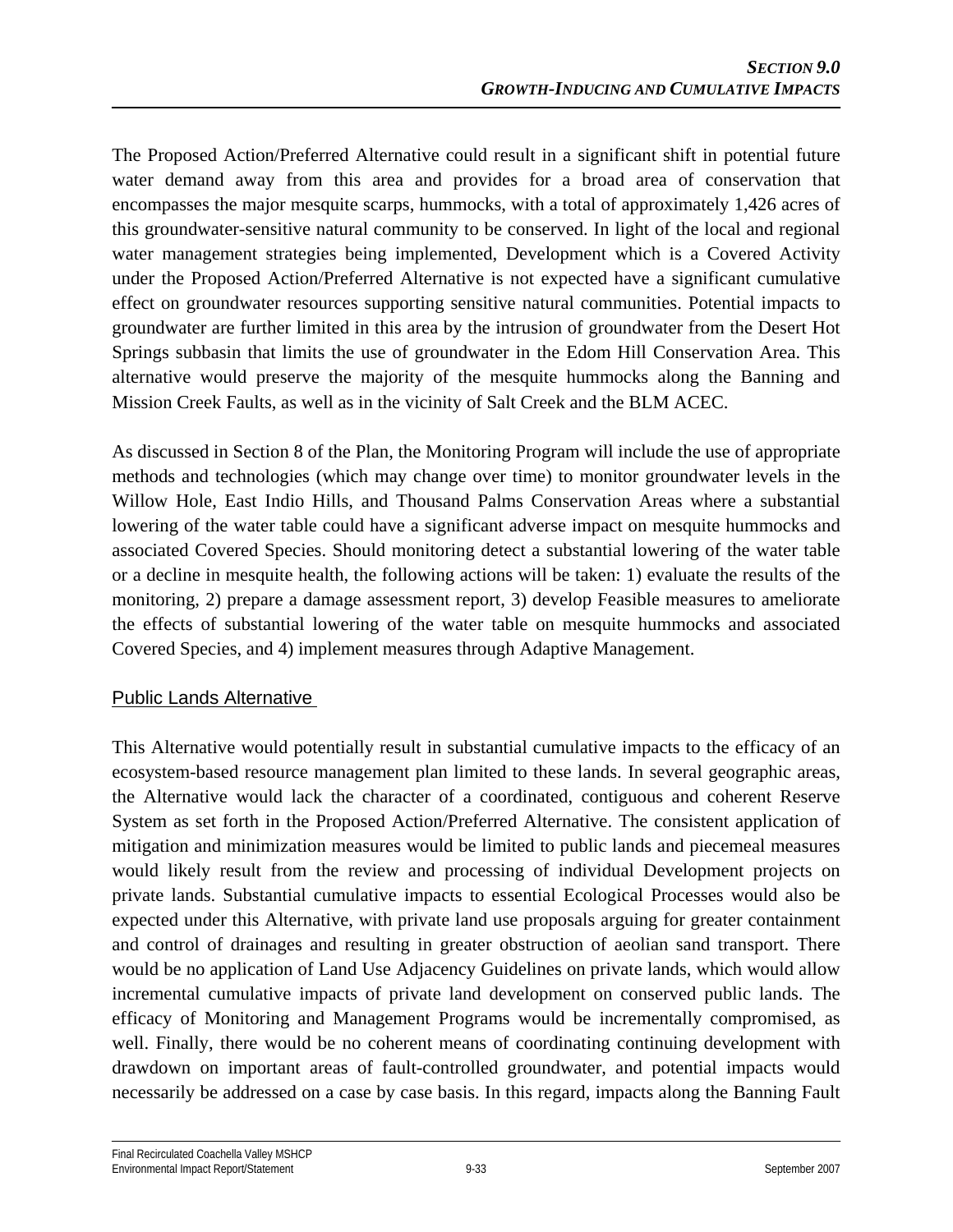The Proposed Action/Preferred Alternative could result in a significant shift in potential future water demand away from this area and provides for a broad area of conservation that encompasses the major mesquite scarps, hummocks, with a total of approximately 1,426 acres of this groundwater-sensitive natural community to be conserved. In light of the local and regional water management strategies being implemented, Development which is a Covered Activity under the Proposed Action/Preferred Alternative is not expected have a significant cumulative effect on groundwater resources supporting sensitive natural communities. Potential impacts to groundwater are further limited in this area by the intrusion of groundwater from the Desert Hot Springs subbasin that limits the use of groundwater in the Edom Hill Conservation Area. This alternative would preserve the majority of the mesquite hummocks along the Banning and Mission Creek Faults, as well as in the vicinity of Salt Creek and the BLM ACEC.

As discussed in Section 8 of the Plan, the Monitoring Program will include the use of appropriate methods and technologies (which may change over time) to monitor groundwater levels in the Willow Hole, East Indio Hills, and Thousand Palms Conservation Areas where a substantial lowering of the water table could have a significant adverse impact on mesquite hummocks and associated Covered Species. Should monitoring detect a substantial lowering of the water table or a decline in mesquite health, the following actions will be taken: 1) evaluate the results of the monitoring, 2) prepare a damage assessment report, 3) develop Feasible measures to ameliorate the effects of substantial lowering of the water table on mesquite hummocks and associated Covered Species, and 4) implement measures through Adaptive Management.

## Public Lands Alternative

This Alternative would potentially result in substantial cumulative impacts to the efficacy of an ecosystem-based resource management plan limited to these lands. In several geographic areas, the Alternative would lack the character of a coordinated, contiguous and coherent Reserve System as set forth in the Proposed Action/Preferred Alternative. The consistent application of mitigation and minimization measures would be limited to public lands and piecemeal measures would likely result from the review and processing of individual Development projects on private lands. Substantial cumulative impacts to essential Ecological Processes would also be expected under this Alternative, with private land use proposals arguing for greater containment and control of drainages and resulting in greater obstruction of aeolian sand transport. There would be no application of Land Use Adjacency Guidelines on private lands, which would allow incremental cumulative impacts of private land development on conserved public lands. The efficacy of Monitoring and Management Programs would be incrementally compromised, as well. Finally, there would be no coherent means of coordinating continuing development with drawdown on important areas of fault-controlled groundwater, and potential impacts would necessarily be addressed on a case by case basis. In this regard, impacts along the Banning Fault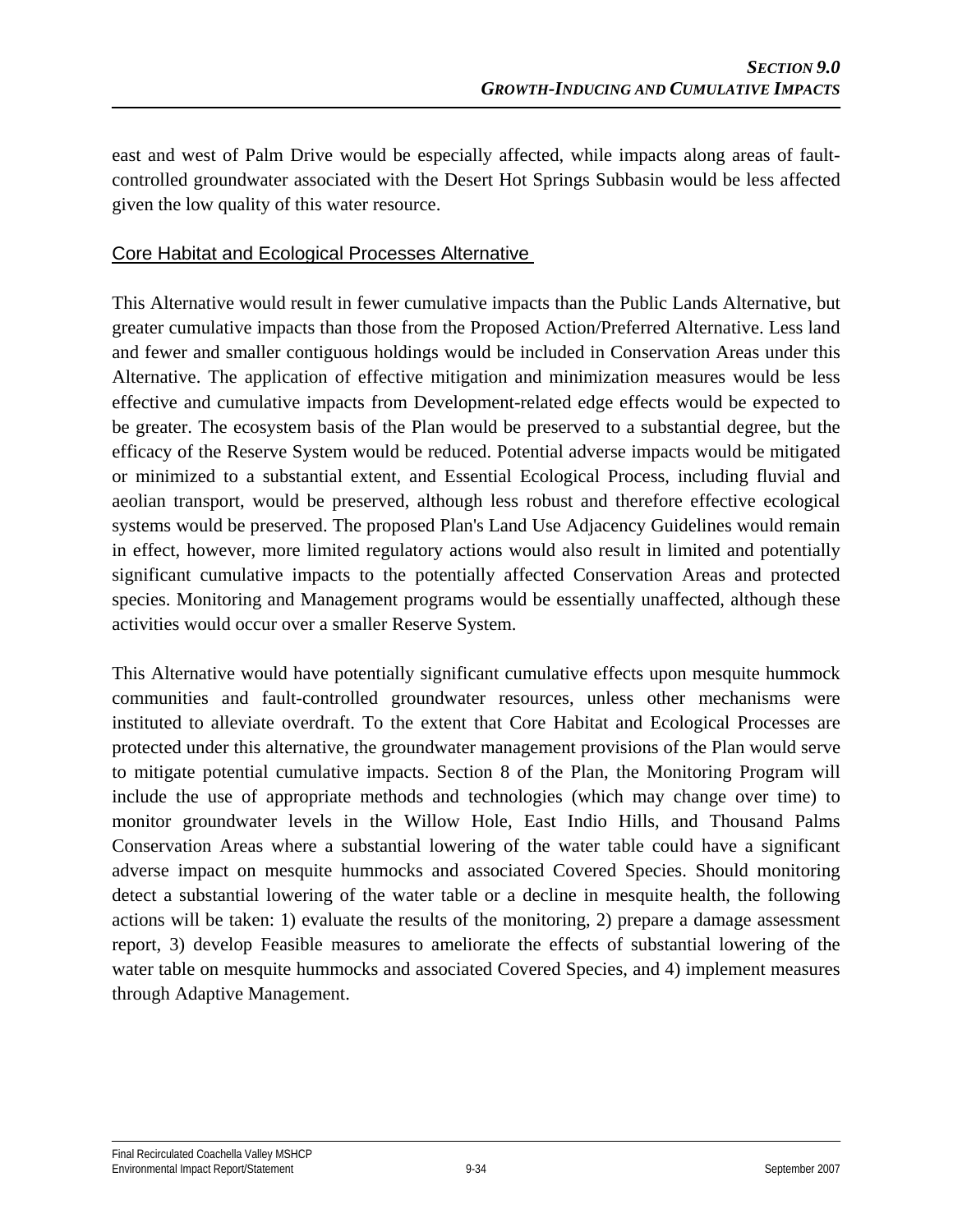east and west of Palm Drive would be especially affected, while impacts along areas of faultcontrolled groundwater associated with the Desert Hot Springs Subbasin would be less affected given the low quality of this water resource.

#### Core Habitat and Ecological Processes Alternative

This Alternative would result in fewer cumulative impacts than the Public Lands Alternative, but greater cumulative impacts than those from the Proposed Action/Preferred Alternative. Less land and fewer and smaller contiguous holdings would be included in Conservation Areas under this Alternative. The application of effective mitigation and minimization measures would be less effective and cumulative impacts from Development-related edge effects would be expected to be greater. The ecosystem basis of the Plan would be preserved to a substantial degree, but the efficacy of the Reserve System would be reduced. Potential adverse impacts would be mitigated or minimized to a substantial extent, and Essential Ecological Process, including fluvial and aeolian transport, would be preserved, although less robust and therefore effective ecological systems would be preserved. The proposed Plan's Land Use Adjacency Guidelines would remain in effect, however, more limited regulatory actions would also result in limited and potentially significant cumulative impacts to the potentially affected Conservation Areas and protected species. Monitoring and Management programs would be essentially unaffected, although these activities would occur over a smaller Reserve System.

This Alternative would have potentially significant cumulative effects upon mesquite hummock communities and fault-controlled groundwater resources, unless other mechanisms were instituted to alleviate overdraft. To the extent that Core Habitat and Ecological Processes are protected under this alternative, the groundwater management provisions of the Plan would serve to mitigate potential cumulative impacts. Section 8 of the Plan, the Monitoring Program will include the use of appropriate methods and technologies (which may change over time) to monitor groundwater levels in the Willow Hole, East Indio Hills, and Thousand Palms Conservation Areas where a substantial lowering of the water table could have a significant adverse impact on mesquite hummocks and associated Covered Species. Should monitoring detect a substantial lowering of the water table or a decline in mesquite health, the following actions will be taken: 1) evaluate the results of the monitoring, 2) prepare a damage assessment report, 3) develop Feasible measures to ameliorate the effects of substantial lowering of the water table on mesquite hummocks and associated Covered Species, and 4) implement measures through Adaptive Management.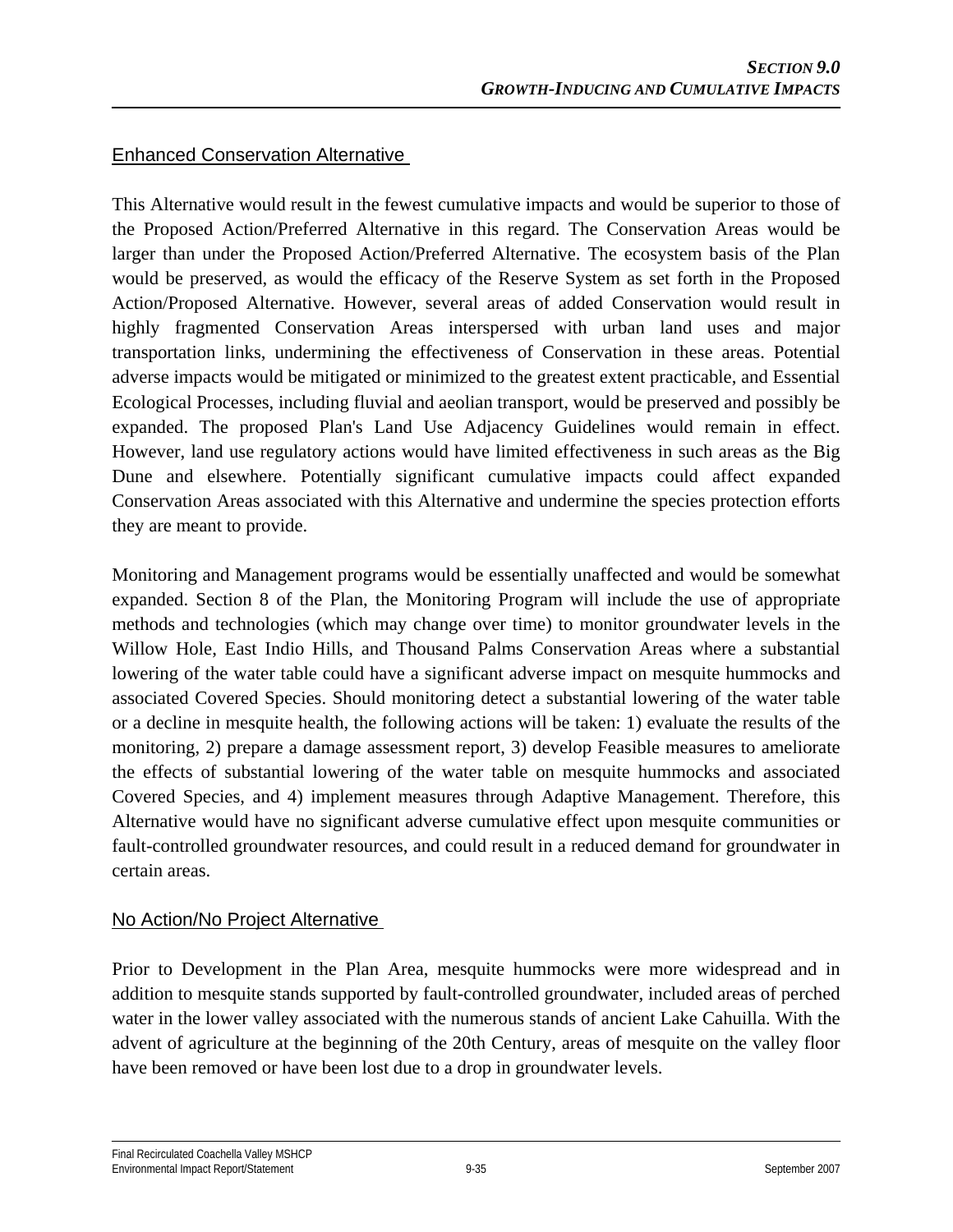#### Enhanced Conservation Alternative

This Alternative would result in the fewest cumulative impacts and would be superior to those of the Proposed Action/Preferred Alternative in this regard. The Conservation Areas would be larger than under the Proposed Action/Preferred Alternative. The ecosystem basis of the Plan would be preserved, as would the efficacy of the Reserve System as set forth in the Proposed Action/Proposed Alternative. However, several areas of added Conservation would result in highly fragmented Conservation Areas interspersed with urban land uses and major transportation links, undermining the effectiveness of Conservation in these areas. Potential adverse impacts would be mitigated or minimized to the greatest extent practicable, and Essential Ecological Processes, including fluvial and aeolian transport, would be preserved and possibly be expanded. The proposed Plan's Land Use Adjacency Guidelines would remain in effect. However, land use regulatory actions would have limited effectiveness in such areas as the Big Dune and elsewhere. Potentially significant cumulative impacts could affect expanded Conservation Areas associated with this Alternative and undermine the species protection efforts they are meant to provide.

Monitoring and Management programs would be essentially unaffected and would be somewhat expanded. Section 8 of the Plan, the Monitoring Program will include the use of appropriate methods and technologies (which may change over time) to monitor groundwater levels in the Willow Hole, East Indio Hills, and Thousand Palms Conservation Areas where a substantial lowering of the water table could have a significant adverse impact on mesquite hummocks and associated Covered Species. Should monitoring detect a substantial lowering of the water table or a decline in mesquite health, the following actions will be taken: 1) evaluate the results of the monitoring, 2) prepare a damage assessment report, 3) develop Feasible measures to ameliorate the effects of substantial lowering of the water table on mesquite hummocks and associated Covered Species, and 4) implement measures through Adaptive Management. Therefore, this Alternative would have no significant adverse cumulative effect upon mesquite communities or fault-controlled groundwater resources, and could result in a reduced demand for groundwater in certain areas.

#### No Action/No Project Alternative

Prior to Development in the Plan Area, mesquite hummocks were more widespread and in addition to mesquite stands supported by fault-controlled groundwater, included areas of perched water in the lower valley associated with the numerous stands of ancient Lake Cahuilla. With the advent of agriculture at the beginning of the 20th Century, areas of mesquite on the valley floor have been removed or have been lost due to a drop in groundwater levels.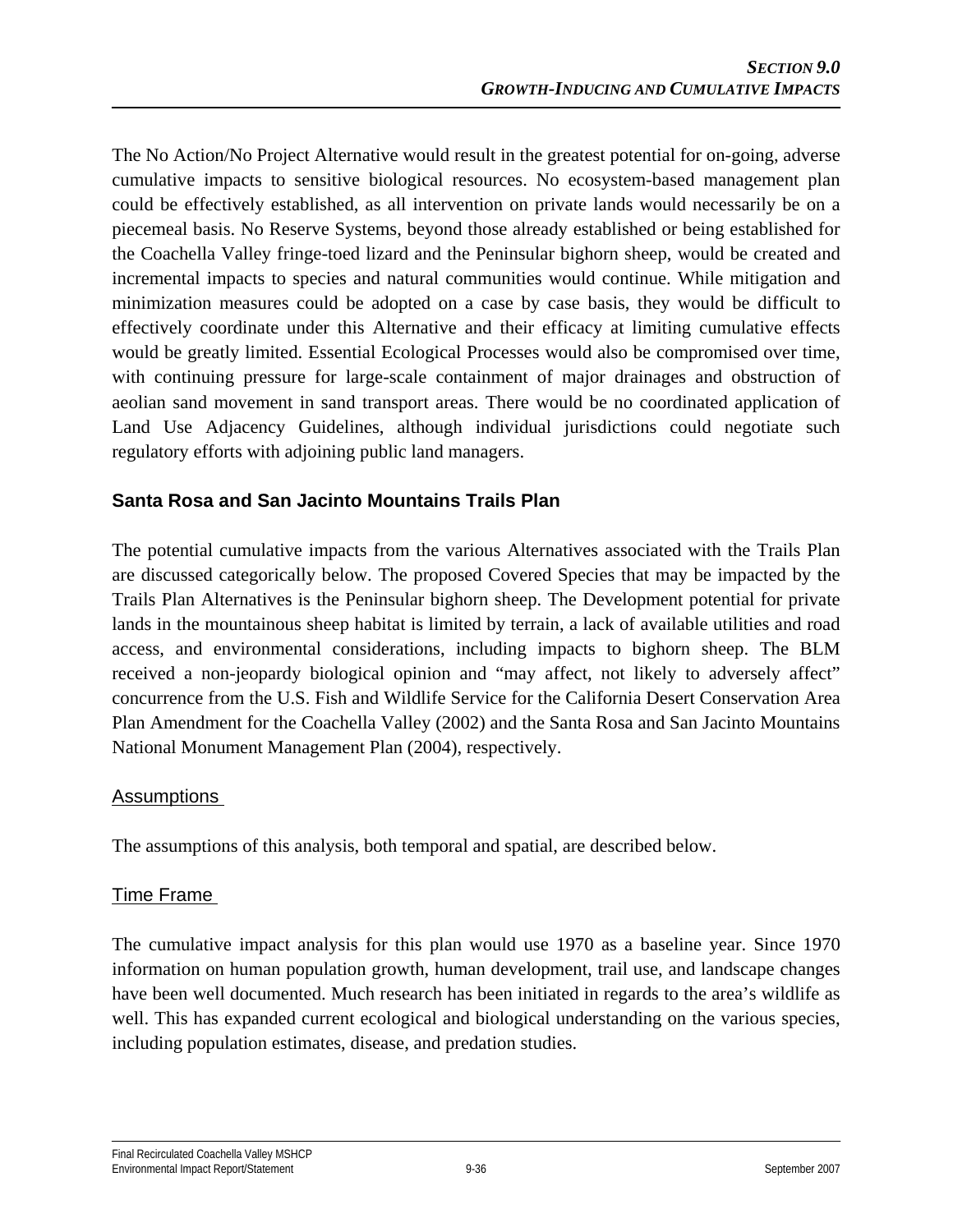The No Action/No Project Alternative would result in the greatest potential for on-going, adverse cumulative impacts to sensitive biological resources. No ecosystem-based management plan could be effectively established, as all intervention on private lands would necessarily be on a piecemeal basis. No Reserve Systems, beyond those already established or being established for the Coachella Valley fringe-toed lizard and the Peninsular bighorn sheep, would be created and incremental impacts to species and natural communities would continue. While mitigation and minimization measures could be adopted on a case by case basis, they would be difficult to effectively coordinate under this Alternative and their efficacy at limiting cumulative effects would be greatly limited. Essential Ecological Processes would also be compromised over time, with continuing pressure for large-scale containment of major drainages and obstruction of aeolian sand movement in sand transport areas. There would be no coordinated application of Land Use Adjacency Guidelines, although individual jurisdictions could negotiate such regulatory efforts with adjoining public land managers.

## **Santa Rosa and San Jacinto Mountains Trails Plan**

The potential cumulative impacts from the various Alternatives associated with the Trails Plan are discussed categorically below. The proposed Covered Species that may be impacted by the Trails Plan Alternatives is the Peninsular bighorn sheep. The Development potential for private lands in the mountainous sheep habitat is limited by terrain, a lack of available utilities and road access, and environmental considerations, including impacts to bighorn sheep. The BLM received a non-jeopardy biological opinion and "may affect, not likely to adversely affect" concurrence from the U.S. Fish and Wildlife Service for the California Desert Conservation Area Plan Amendment for the Coachella Valley (2002) and the Santa Rosa and San Jacinto Mountains National Monument Management Plan (2004), respectively.

#### Assumptions

The assumptions of this analysis, both temporal and spatial, are described below.

## Time Frame

The cumulative impact analysis for this plan would use 1970 as a baseline year. Since 1970 information on human population growth, human development, trail use, and landscape changes have been well documented. Much research has been initiated in regards to the area's wildlife as well. This has expanded current ecological and biological understanding on the various species, including population estimates, disease, and predation studies.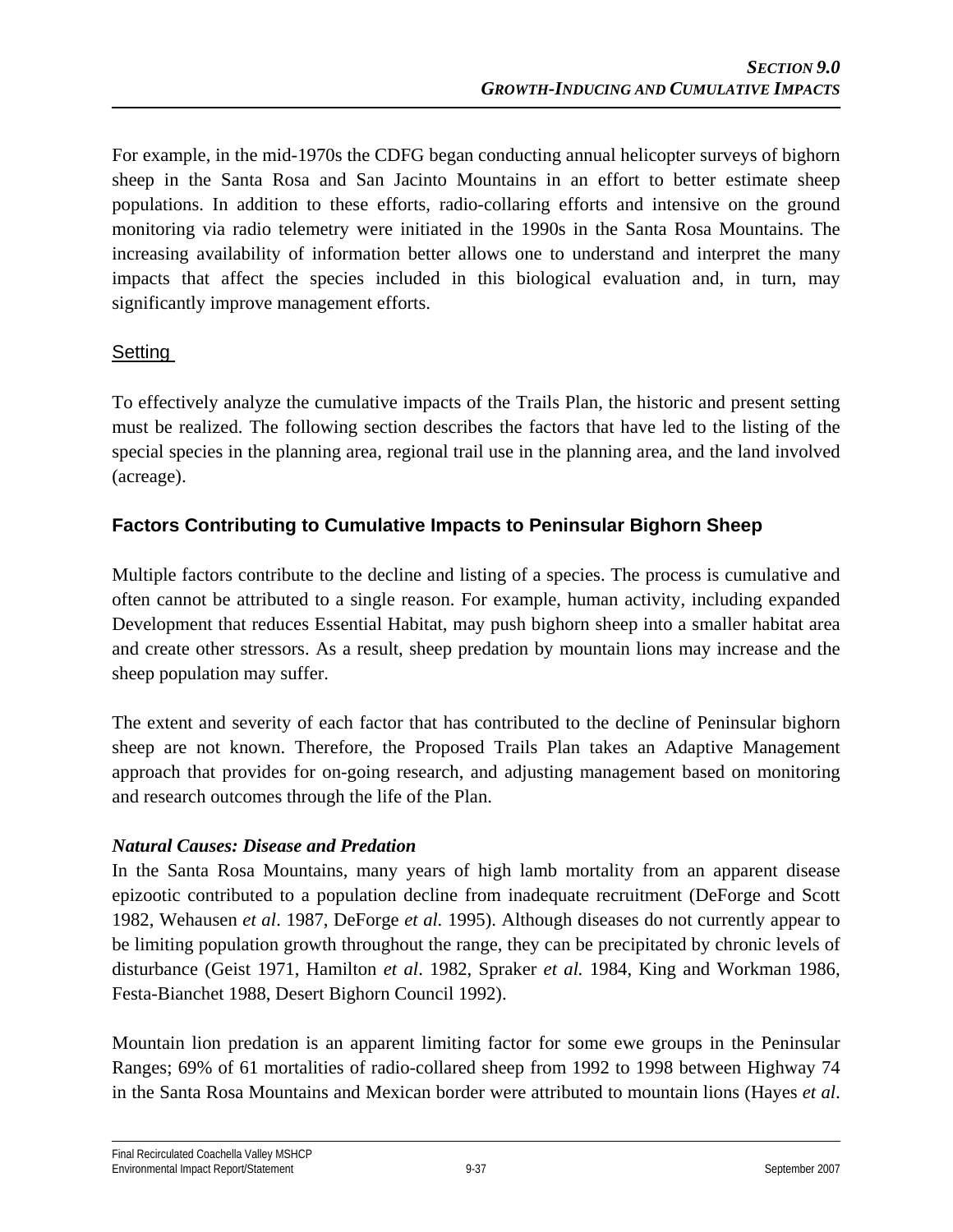For example, in the mid-1970s the CDFG began conducting annual helicopter surveys of bighorn sheep in the Santa Rosa and San Jacinto Mountains in an effort to better estimate sheep populations. In addition to these efforts, radio-collaring efforts and intensive on the ground monitoring via radio telemetry were initiated in the 1990s in the Santa Rosa Mountains. The increasing availability of information better allows one to understand and interpret the many impacts that affect the species included in this biological evaluation and, in turn, may significantly improve management efforts.

## Setting

To effectively analyze the cumulative impacts of the Trails Plan, the historic and present setting must be realized. The following section describes the factors that have led to the listing of the special species in the planning area, regional trail use in the planning area, and the land involved (acreage).

## **Factors Contributing to Cumulative Impacts to Peninsular Bighorn Sheep**

Multiple factors contribute to the decline and listing of a species. The process is cumulative and often cannot be attributed to a single reason. For example, human activity, including expanded Development that reduces Essential Habitat, may push bighorn sheep into a smaller habitat area and create other stressors. As a result, sheep predation by mountain lions may increase and the sheep population may suffer.

The extent and severity of each factor that has contributed to the decline of Peninsular bighorn sheep are not known. Therefore, the Proposed Trails Plan takes an Adaptive Management approach that provides for on-going research, and adjusting management based on monitoring and research outcomes through the life of the Plan.

## *Natural Causes: Disease and Predation*

In the Santa Rosa Mountains, many years of high lamb mortality from an apparent disease epizootic contributed to a population decline from inadequate recruitment (DeForge and Scott 1982, Wehausen *et al*. 1987, DeForge *et al.* 1995). Although diseases do not currently appear to be limiting population growth throughout the range, they can be precipitated by chronic levels of disturbance (Geist 1971, Hamilton *et al*. 1982, Spraker *et al.* 1984, King and Workman 1986, Festa-Bianchet 1988, Desert Bighorn Council 1992).

Mountain lion predation is an apparent limiting factor for some ewe groups in the Peninsular Ranges; 69% of 61 mortalities of radio-collared sheep from 1992 to 1998 between Highway 74 in the Santa Rosa Mountains and Mexican border were attributed to mountain lions (Hayes *et al*.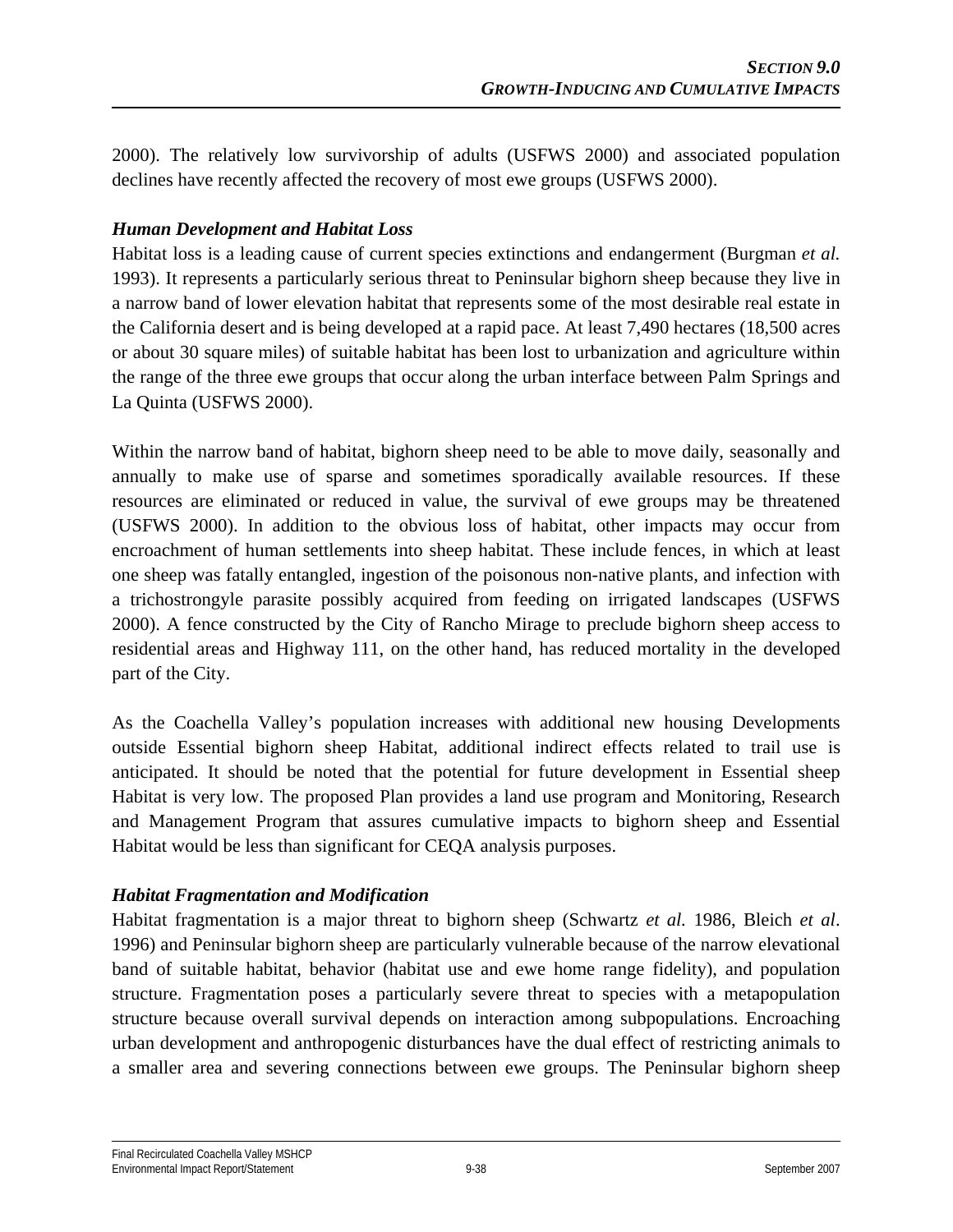2000). The relatively low survivorship of adults (USFWS 2000) and associated population declines have recently affected the recovery of most ewe groups (USFWS 2000).

#### *Human Development and Habitat Loss*

Habitat loss is a leading cause of current species extinctions and endangerment (Burgman *et al.*  1993). It represents a particularly serious threat to Peninsular bighorn sheep because they live in a narrow band of lower elevation habitat that represents some of the most desirable real estate in the California desert and is being developed at a rapid pace. At least 7,490 hectares (18,500 acres or about 30 square miles) of suitable habitat has been lost to urbanization and agriculture within the range of the three ewe groups that occur along the urban interface between Palm Springs and La Quinta (USFWS 2000).

Within the narrow band of habitat, bighorn sheep need to be able to move daily, seasonally and annually to make use of sparse and sometimes sporadically available resources. If these resources are eliminated or reduced in value, the survival of ewe groups may be threatened (USFWS 2000). In addition to the obvious loss of habitat, other impacts may occur from encroachment of human settlements into sheep habitat. These include fences, in which at least one sheep was fatally entangled, ingestion of the poisonous non-native plants, and infection with a trichostrongyle parasite possibly acquired from feeding on irrigated landscapes (USFWS 2000). A fence constructed by the City of Rancho Mirage to preclude bighorn sheep access to residential areas and Highway 111, on the other hand, has reduced mortality in the developed part of the City.

As the Coachella Valley's population increases with additional new housing Developments outside Essential bighorn sheep Habitat, additional indirect effects related to trail use is anticipated. It should be noted that the potential for future development in Essential sheep Habitat is very low. The proposed Plan provides a land use program and Monitoring, Research and Management Program that assures cumulative impacts to bighorn sheep and Essential Habitat would be less than significant for CEQA analysis purposes.

#### *Habitat Fragmentation and Modification*

Habitat fragmentation is a major threat to bighorn sheep (Schwartz *et al.* 1986, Bleich *et al*. 1996) and Peninsular bighorn sheep are particularly vulnerable because of the narrow elevational band of suitable habitat, behavior (habitat use and ewe home range fidelity), and population structure. Fragmentation poses a particularly severe threat to species with a metapopulation structure because overall survival depends on interaction among subpopulations. Encroaching urban development and anthropogenic disturbances have the dual effect of restricting animals to a smaller area and severing connections between ewe groups. The Peninsular bighorn sheep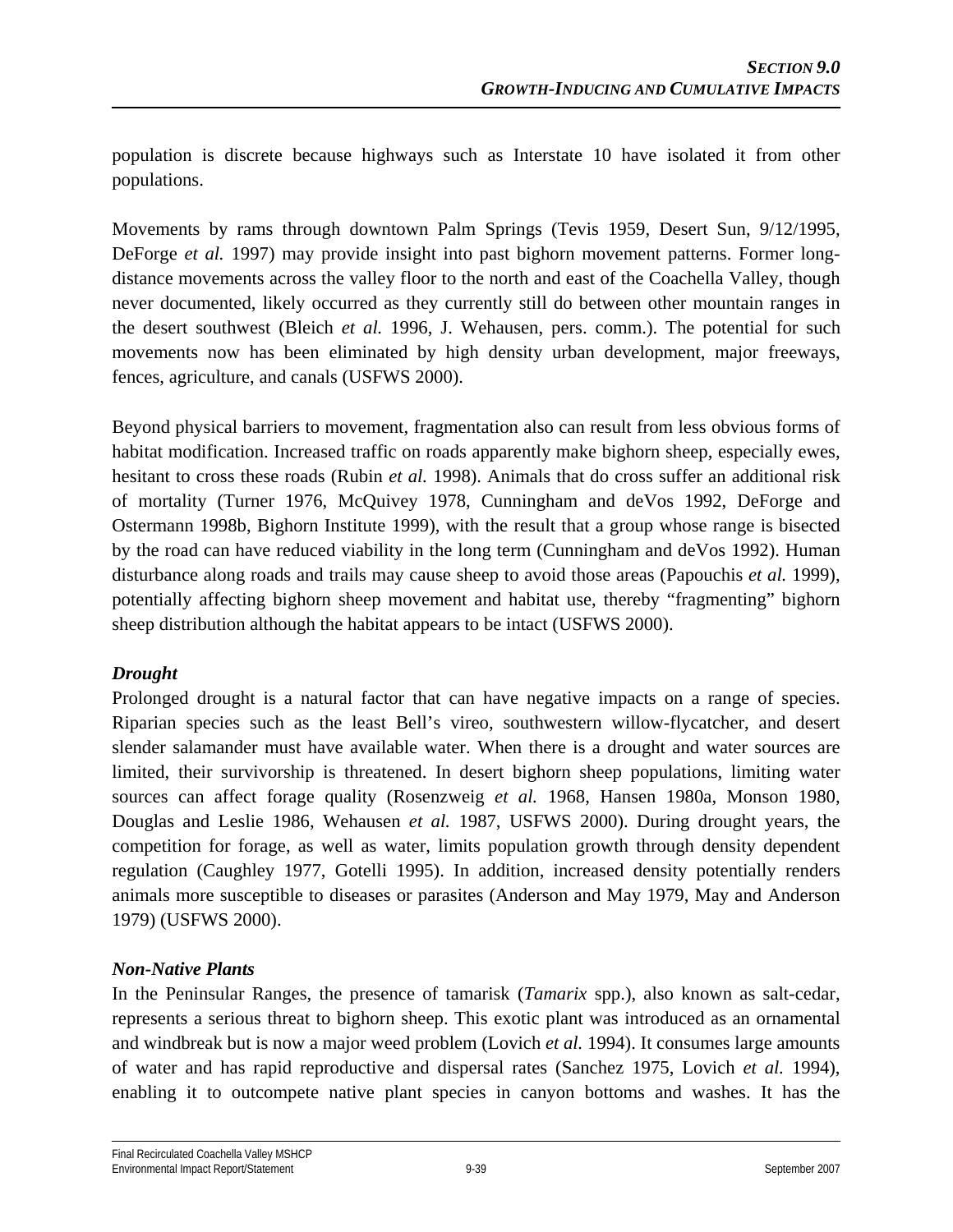population is discrete because highways such as Interstate 10 have isolated it from other populations.

Movements by rams through downtown Palm Springs (Tevis 1959, Desert Sun, 9/12/1995, DeForge *et al.* 1997) may provide insight into past bighorn movement patterns. Former longdistance movements across the valley floor to the north and east of the Coachella Valley, though never documented, likely occurred as they currently still do between other mountain ranges in the desert southwest (Bleich *et al.* 1996, J. Wehausen, pers. comm.). The potential for such movements now has been eliminated by high density urban development, major freeways, fences, agriculture, and canals (USFWS 2000).

Beyond physical barriers to movement, fragmentation also can result from less obvious forms of habitat modification. Increased traffic on roads apparently make bighorn sheep, especially ewes, hesitant to cross these roads (Rubin *et al.* 1998). Animals that do cross suffer an additional risk of mortality (Turner 1976, McQuivey 1978, Cunningham and deVos 1992, DeForge and Ostermann 1998b, Bighorn Institute 1999), with the result that a group whose range is bisected by the road can have reduced viability in the long term (Cunningham and deVos 1992). Human disturbance along roads and trails may cause sheep to avoid those areas (Papouchis *et al.* 1999), potentially affecting bighorn sheep movement and habitat use, thereby "fragmenting" bighorn sheep distribution although the habitat appears to be intact (USFWS 2000).

#### *Drought*

Prolonged drought is a natural factor that can have negative impacts on a range of species. Riparian species such as the least Bell's vireo, southwestern willow-flycatcher, and desert slender salamander must have available water. When there is a drought and water sources are limited, their survivorship is threatened. In desert bighorn sheep populations, limiting water sources can affect forage quality (Rosenzweig *et al.* 1968, Hansen 1980a, Monson 1980, Douglas and Leslie 1986, Wehausen *et al.* 1987, USFWS 2000). During drought years, the competition for forage, as well as water, limits population growth through density dependent regulation (Caughley 1977, Gotelli 1995). In addition, increased density potentially renders animals more susceptible to diseases or parasites (Anderson and May 1979, May and Anderson 1979) (USFWS 2000).

#### *Non-Native Plants*

In the Peninsular Ranges, the presence of tamarisk (*Tamarix* spp.), also known as salt-cedar, represents a serious threat to bighorn sheep. This exotic plant was introduced as an ornamental and windbreak but is now a major weed problem (Lovich *et al.* 1994). It consumes large amounts of water and has rapid reproductive and dispersal rates (Sanchez 1975, Lovich *et al.* 1994), enabling it to outcompete native plant species in canyon bottoms and washes. It has the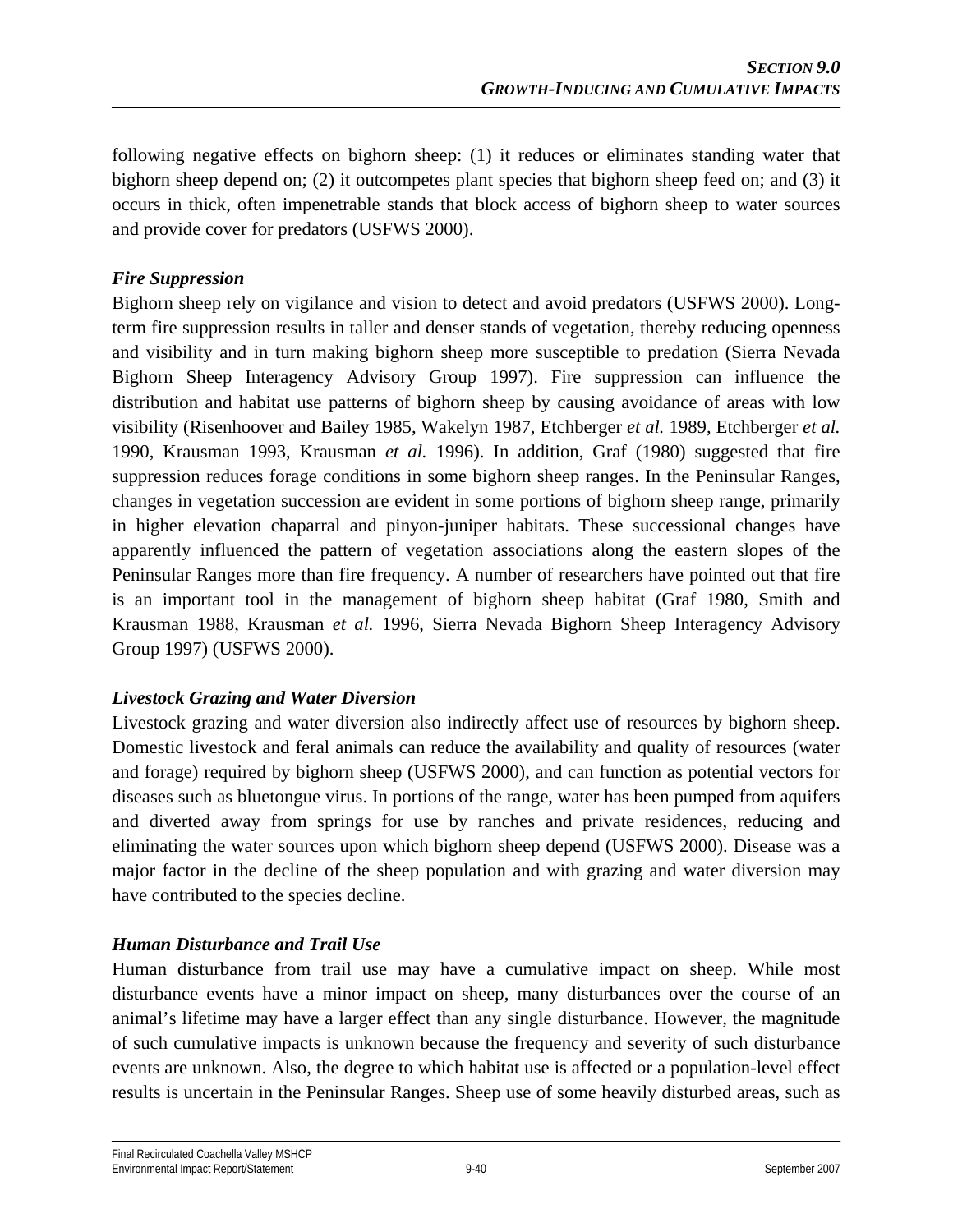following negative effects on bighorn sheep: (1) it reduces or eliminates standing water that bighorn sheep depend on; (2) it outcompetes plant species that bighorn sheep feed on; and (3) it occurs in thick, often impenetrable stands that block access of bighorn sheep to water sources and provide cover for predators (USFWS 2000).

#### *Fire Suppression*

Bighorn sheep rely on vigilance and vision to detect and avoid predators (USFWS 2000). Longterm fire suppression results in taller and denser stands of vegetation, thereby reducing openness and visibility and in turn making bighorn sheep more susceptible to predation (Sierra Nevada Bighorn Sheep Interagency Advisory Group 1997). Fire suppression can influence the distribution and habitat use patterns of bighorn sheep by causing avoidance of areas with low visibility (Risenhoover and Bailey 1985, Wakelyn 1987, Etchberger *et al.* 1989, Etchberger *et al.*  1990, Krausman 1993, Krausman *et al.* 1996). In addition, Graf (1980) suggested that fire suppression reduces forage conditions in some bighorn sheep ranges. In the Peninsular Ranges, changes in vegetation succession are evident in some portions of bighorn sheep range, primarily in higher elevation chaparral and pinyon-juniper habitats. These successional changes have apparently influenced the pattern of vegetation associations along the eastern slopes of the Peninsular Ranges more than fire frequency. A number of researchers have pointed out that fire is an important tool in the management of bighorn sheep habitat (Graf 1980, Smith and Krausman 1988, Krausman *et al.* 1996, Sierra Nevada Bighorn Sheep Interagency Advisory Group 1997) (USFWS 2000).

#### *Livestock Grazing and Water Diversion*

Livestock grazing and water diversion also indirectly affect use of resources by bighorn sheep. Domestic livestock and feral animals can reduce the availability and quality of resources (water and forage) required by bighorn sheep (USFWS 2000), and can function as potential vectors for diseases such as bluetongue virus. In portions of the range, water has been pumped from aquifers and diverted away from springs for use by ranches and private residences, reducing and eliminating the water sources upon which bighorn sheep depend (USFWS 2000). Disease was a major factor in the decline of the sheep population and with grazing and water diversion may have contributed to the species decline.

## *Human Disturbance and Trail Use*

Human disturbance from trail use may have a cumulative impact on sheep. While most disturbance events have a minor impact on sheep, many disturbances over the course of an animal's lifetime may have a larger effect than any single disturbance. However, the magnitude of such cumulative impacts is unknown because the frequency and severity of such disturbance events are unknown. Also, the degree to which habitat use is affected or a population-level effect results is uncertain in the Peninsular Ranges. Sheep use of some heavily disturbed areas, such as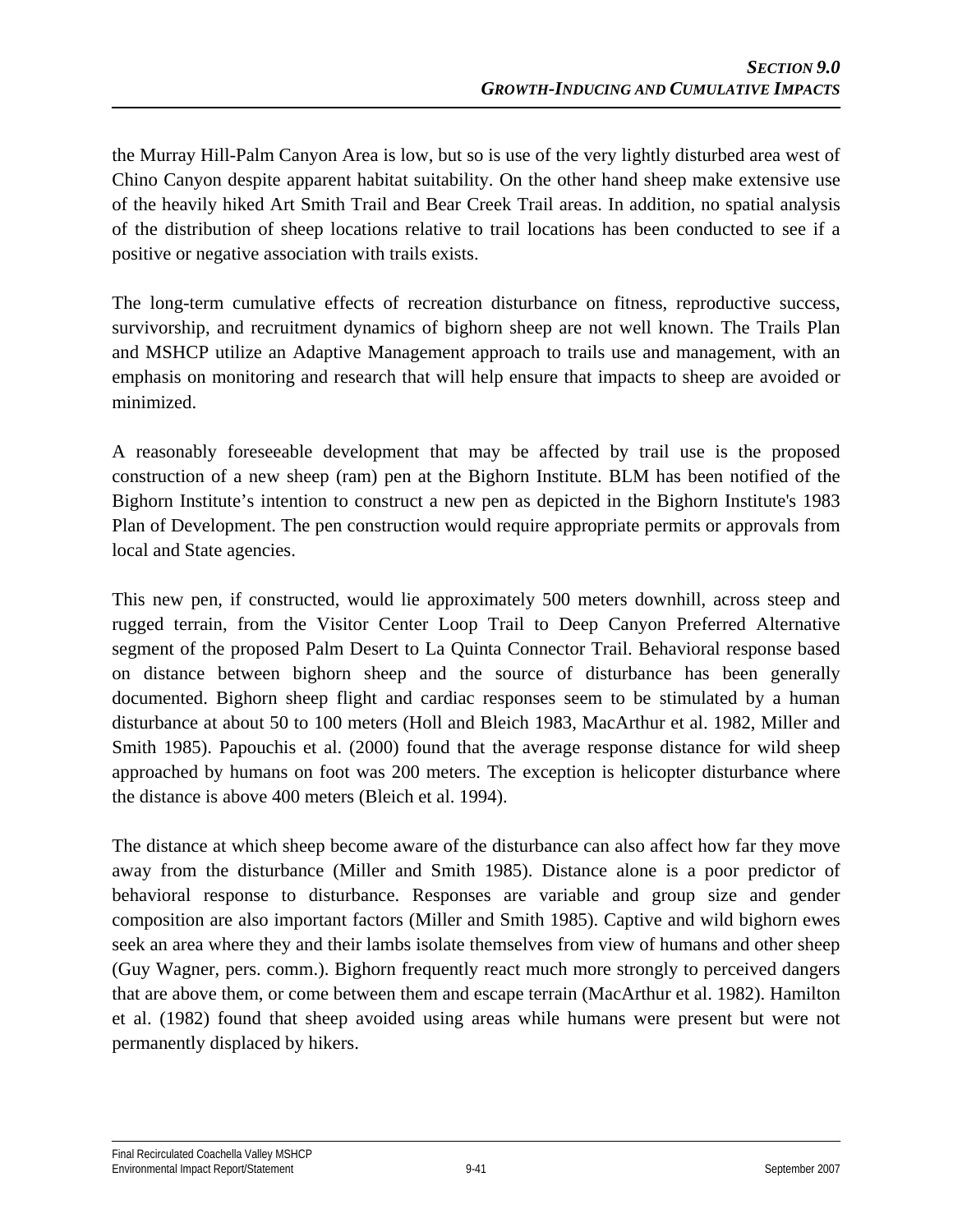the Murray Hill-Palm Canyon Area is low, but so is use of the very lightly disturbed area west of Chino Canyon despite apparent habitat suitability. On the other hand sheep make extensive use of the heavily hiked Art Smith Trail and Bear Creek Trail areas. In addition, no spatial analysis of the distribution of sheep locations relative to trail locations has been conducted to see if a positive or negative association with trails exists.

The long-term cumulative effects of recreation disturbance on fitness, reproductive success, survivorship, and recruitment dynamics of bighorn sheep are not well known. The Trails Plan and MSHCP utilize an Adaptive Management approach to trails use and management, with an emphasis on monitoring and research that will help ensure that impacts to sheep are avoided or minimized.

A reasonably foreseeable development that may be affected by trail use is the proposed construction of a new sheep (ram) pen at the Bighorn Institute. BLM has been notified of the Bighorn Institute's intention to construct a new pen as depicted in the Bighorn Institute's 1983 Plan of Development. The pen construction would require appropriate permits or approvals from local and State agencies.

This new pen, if constructed, would lie approximately 500 meters downhill, across steep and rugged terrain, from the Visitor Center Loop Trail to Deep Canyon Preferred Alternative segment of the proposed Palm Desert to La Quinta Connector Trail. Behavioral response based on distance between bighorn sheep and the source of disturbance has been generally documented. Bighorn sheep flight and cardiac responses seem to be stimulated by a human disturbance at about 50 to 100 meters (Holl and Bleich 1983, MacArthur et al. 1982, Miller and Smith 1985). Papouchis et al. (2000) found that the average response distance for wild sheep approached by humans on foot was 200 meters. The exception is helicopter disturbance where the distance is above 400 meters (Bleich et al. 1994).

The distance at which sheep become aware of the disturbance can also affect how far they move away from the disturbance (Miller and Smith 1985). Distance alone is a poor predictor of behavioral response to disturbance. Responses are variable and group size and gender composition are also important factors (Miller and Smith 1985). Captive and wild bighorn ewes seek an area where they and their lambs isolate themselves from view of humans and other sheep (Guy Wagner, pers. comm.). Bighorn frequently react much more strongly to perceived dangers that are above them, or come between them and escape terrain (MacArthur et al. 1982). Hamilton et al. (1982) found that sheep avoided using areas while humans were present but were not permanently displaced by hikers.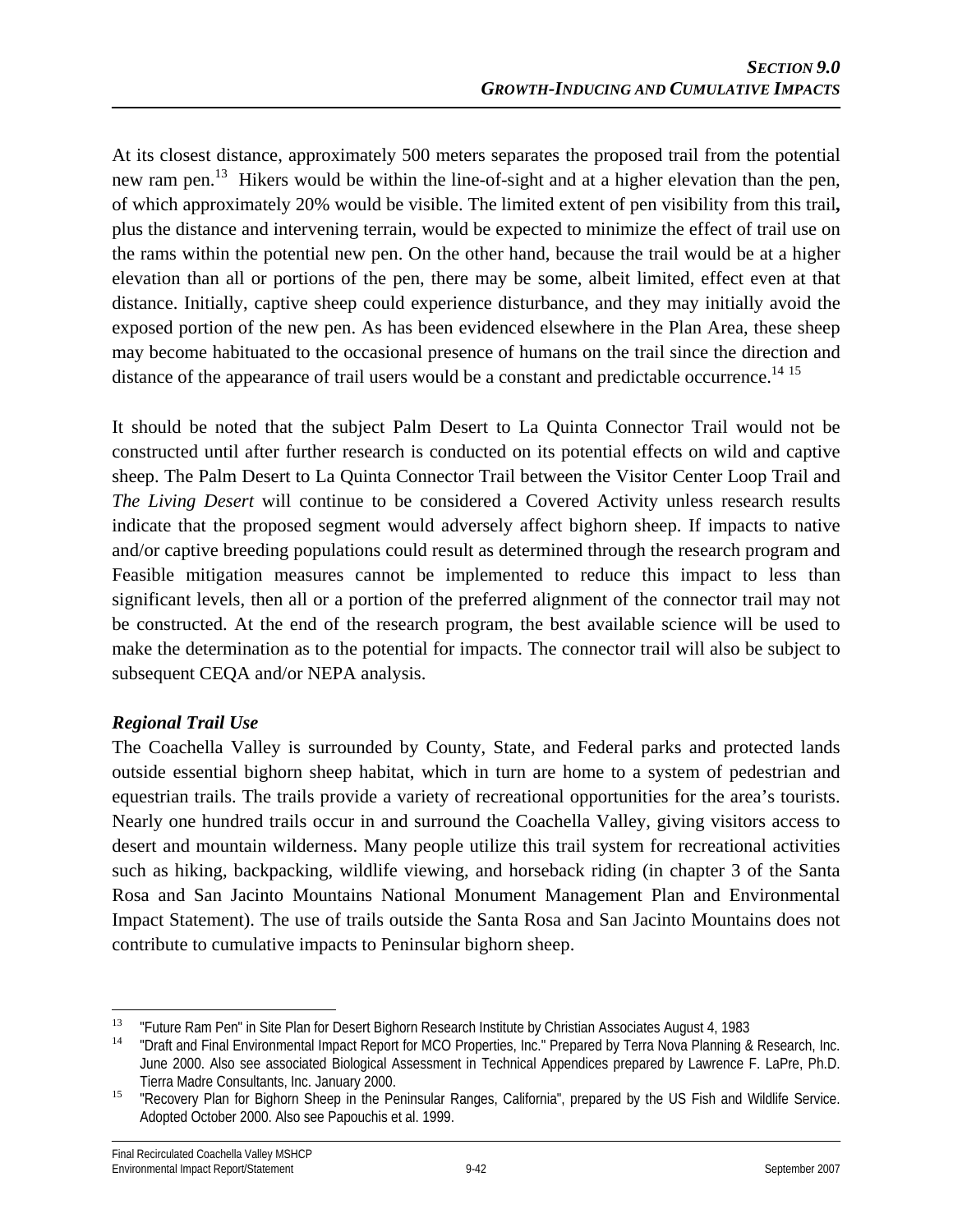At its closest distance, approximately 500 meters separates the proposed trail from the potential new ram pen.<sup>13</sup> Hikers would be within the line-of-sight and at a higher elevation than the pen, of which approximately 20% would be visible. The limited extent of pen visibility from this trail**,**  plus the distance and intervening terrain, would be expected to minimize the effect of trail use on the rams within the potential new pen. On the other hand, because the trail would be at a higher elevation than all or portions of the pen, there may be some, albeit limited, effect even at that distance. Initially, captive sheep could experience disturbance, and they may initially avoid the exposed portion of the new pen. As has been evidenced elsewhere in the Plan Area, these sheep may become habituated to the occasional presence of humans on the trail since the direction and distance of the appearance of trail users would be a constant and predictable occurrence.<sup>14 15</sup>

It should be noted that the subject Palm Desert to La Quinta Connector Trail would not be constructed until after further research is conducted on its potential effects on wild and captive sheep. The Palm Desert to La Quinta Connector Trail between the Visitor Center Loop Trail and *The Living Desert* will continue to be considered a Covered Activity unless research results indicate that the proposed segment would adversely affect bighorn sheep. If impacts to native and/or captive breeding populations could result as determined through the research program and Feasible mitigation measures cannot be implemented to reduce this impact to less than significant levels, then all or a portion of the preferred alignment of the connector trail may not be constructed. At the end of the research program, the best available science will be used to make the determination as to the potential for impacts. The connector trail will also be subject to subsequent CEQA and/or NEPA analysis.

## *Regional Trail Use*

The Coachella Valley is surrounded by County, State, and Federal parks and protected lands outside essential bighorn sheep habitat, which in turn are home to a system of pedestrian and equestrian trails. The trails provide a variety of recreational opportunities for the area's tourists. Nearly one hundred trails occur in and surround the Coachella Valley, giving visitors access to desert and mountain wilderness. Many people utilize this trail system for recreational activities such as hiking, backpacking, wildlife viewing, and horseback riding (in chapter 3 of the Santa Rosa and San Jacinto Mountains National Monument Management Plan and Environmental Impact Statement). The use of trails outside the Santa Rosa and San Jacinto Mountains does not contribute to cumulative impacts to Peninsular bighorn sheep.

<sup>&</sup>lt;u>.</u>

<sup>&</sup>lt;sup>13</sup> "Future Ram Pen" in Site Plan for Desert Bighorn Research Institute by Christian Associates August 4, 1983<br><sup>14</sup> "Draft and Final Environmental Impact Report for MCO Properties, Inc." Prepared by Terra Nova Planning & June 2000. Also see associated Biological Assessment in Technical Appendices prepared by Lawrence F. LaPre, Ph.D. Tierra Madre Consultants, Inc. January 2000.<br><sup>15</sup> "Recovery Plan for Bighorn Sheep in the Peninsular Ranges, California", prepared by the US Fish and Wildlife Service.

Adopted October 2000. Also see Papouchis et al. 1999.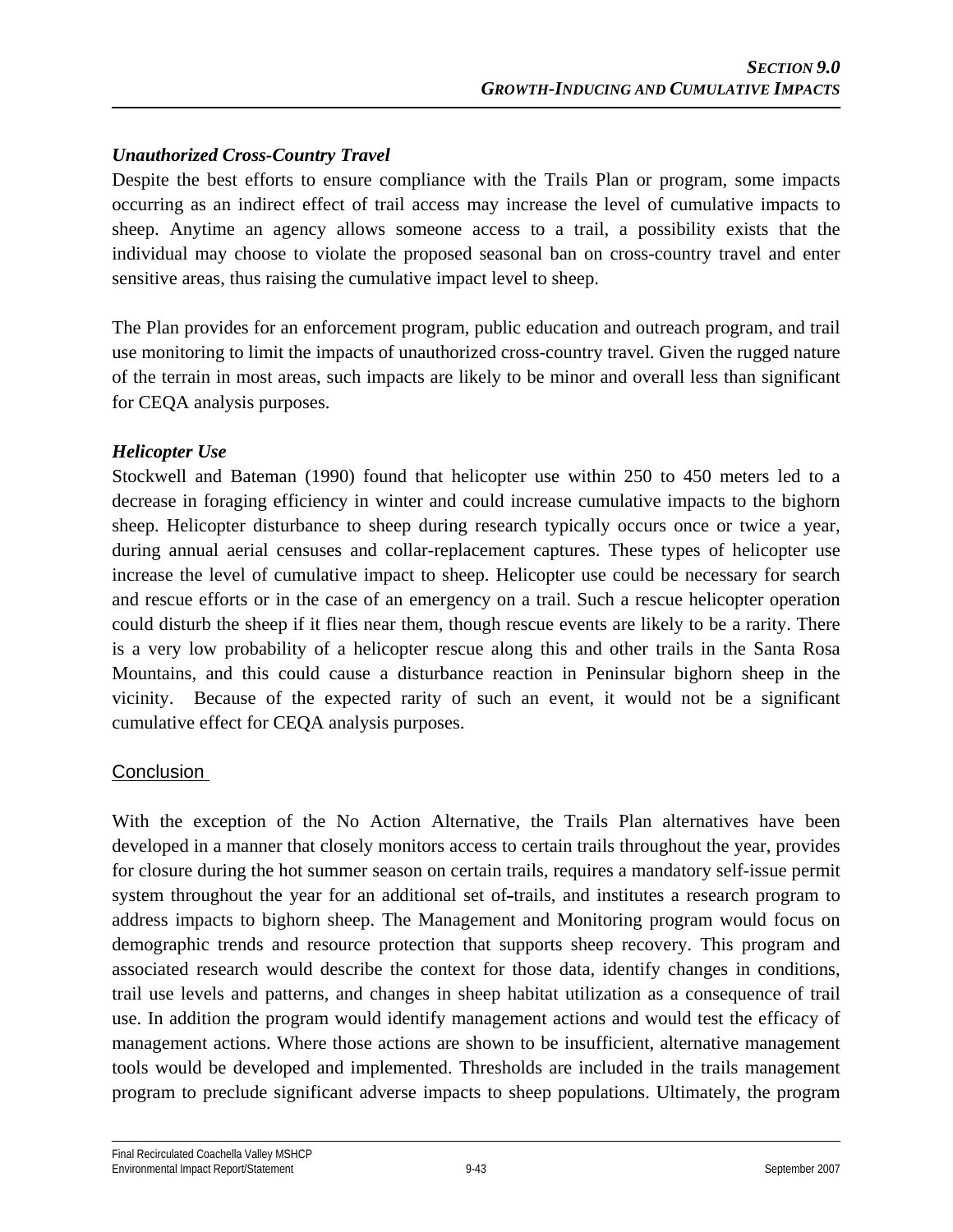## *Unauthorized Cross-Country Travel*

Despite the best efforts to ensure compliance with the Trails Plan or program, some impacts occurring as an indirect effect of trail access may increase the level of cumulative impacts to sheep. Anytime an agency allows someone access to a trail, a possibility exists that the individual may choose to violate the proposed seasonal ban on cross-country travel and enter sensitive areas, thus raising the cumulative impact level to sheep.

The Plan provides for an enforcement program, public education and outreach program, and trail use monitoring to limit the impacts of unauthorized cross-country travel. Given the rugged nature of the terrain in most areas, such impacts are likely to be minor and overall less than significant for CEQA analysis purposes.

## *Helicopter Use*

Stockwell and Bateman (1990) found that helicopter use within 250 to 450 meters led to a decrease in foraging efficiency in winter and could increase cumulative impacts to the bighorn sheep. Helicopter disturbance to sheep during research typically occurs once or twice a year, during annual aerial censuses and collar-replacement captures. These types of helicopter use increase the level of cumulative impact to sheep. Helicopter use could be necessary for search and rescue efforts or in the case of an emergency on a trail. Such a rescue helicopter operation could disturb the sheep if it flies near them, though rescue events are likely to be a rarity. There is a very low probability of a helicopter rescue along this and other trails in the Santa Rosa Mountains, and this could cause a disturbance reaction in Peninsular bighorn sheep in the vicinity. Because of the expected rarity of such an event, it would not be a significant cumulative effect for CEQA analysis purposes.

## **Conclusion**

With the exception of the No Action Alternative, the Trails Plan alternatives have been developed in a manner that closely monitors access to certain trails throughout the year, provides for closure during the hot summer season on certain trails, requires a mandatory self-issue permit system throughout the year for an additional set of-trails, and institutes a research program to address impacts to bighorn sheep. The Management and Monitoring program would focus on demographic trends and resource protection that supports sheep recovery. This program and associated research would describe the context for those data, identify changes in conditions, trail use levels and patterns, and changes in sheep habitat utilization as a consequence of trail use. In addition the program would identify management actions and would test the efficacy of management actions. Where those actions are shown to be insufficient, alternative management tools would be developed and implemented. Thresholds are included in the trails management program to preclude significant adverse impacts to sheep populations. Ultimately, the program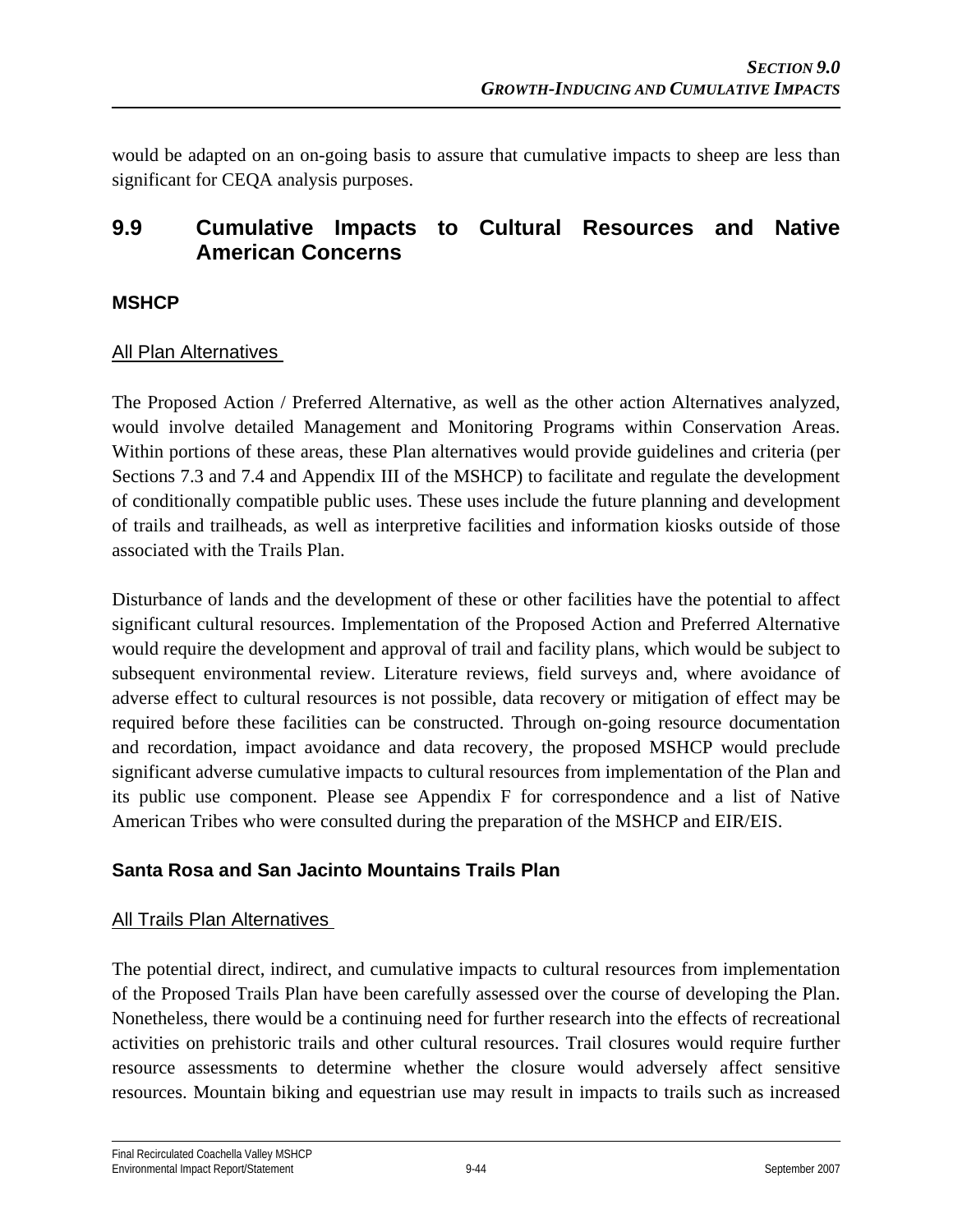would be adapted on an on-going basis to assure that cumulative impacts to sheep are less than significant for CEQA analysis purposes.

# **9.9 Cumulative Impacts to Cultural Resources and Native American Concerns**

#### **MSHCP**

#### All Plan Alternatives

The Proposed Action / Preferred Alternative, as well as the other action Alternatives analyzed, would involve detailed Management and Monitoring Programs within Conservation Areas. Within portions of these areas, these Plan alternatives would provide guidelines and criteria (per Sections 7.3 and 7.4 and Appendix III of the MSHCP) to facilitate and regulate the development of conditionally compatible public uses. These uses include the future planning and development of trails and trailheads, as well as interpretive facilities and information kiosks outside of those associated with the Trails Plan.

Disturbance of lands and the development of these or other facilities have the potential to affect significant cultural resources. Implementation of the Proposed Action and Preferred Alternative would require the development and approval of trail and facility plans, which would be subject to subsequent environmental review. Literature reviews, field surveys and, where avoidance of adverse effect to cultural resources is not possible, data recovery or mitigation of effect may be required before these facilities can be constructed. Through on-going resource documentation and recordation, impact avoidance and data recovery, the proposed MSHCP would preclude significant adverse cumulative impacts to cultural resources from implementation of the Plan and its public use component. Please see Appendix F for correspondence and a list of Native American Tribes who were consulted during the preparation of the MSHCP and EIR/EIS.

## **Santa Rosa and San Jacinto Mountains Trails Plan**

#### **All Trails Plan Alternatives**

The potential direct, indirect, and cumulative impacts to cultural resources from implementation of the Proposed Trails Plan have been carefully assessed over the course of developing the Plan. Nonetheless, there would be a continuing need for further research into the effects of recreational activities on prehistoric trails and other cultural resources. Trail closures would require further resource assessments to determine whether the closure would adversely affect sensitive resources. Mountain biking and equestrian use may result in impacts to trails such as increased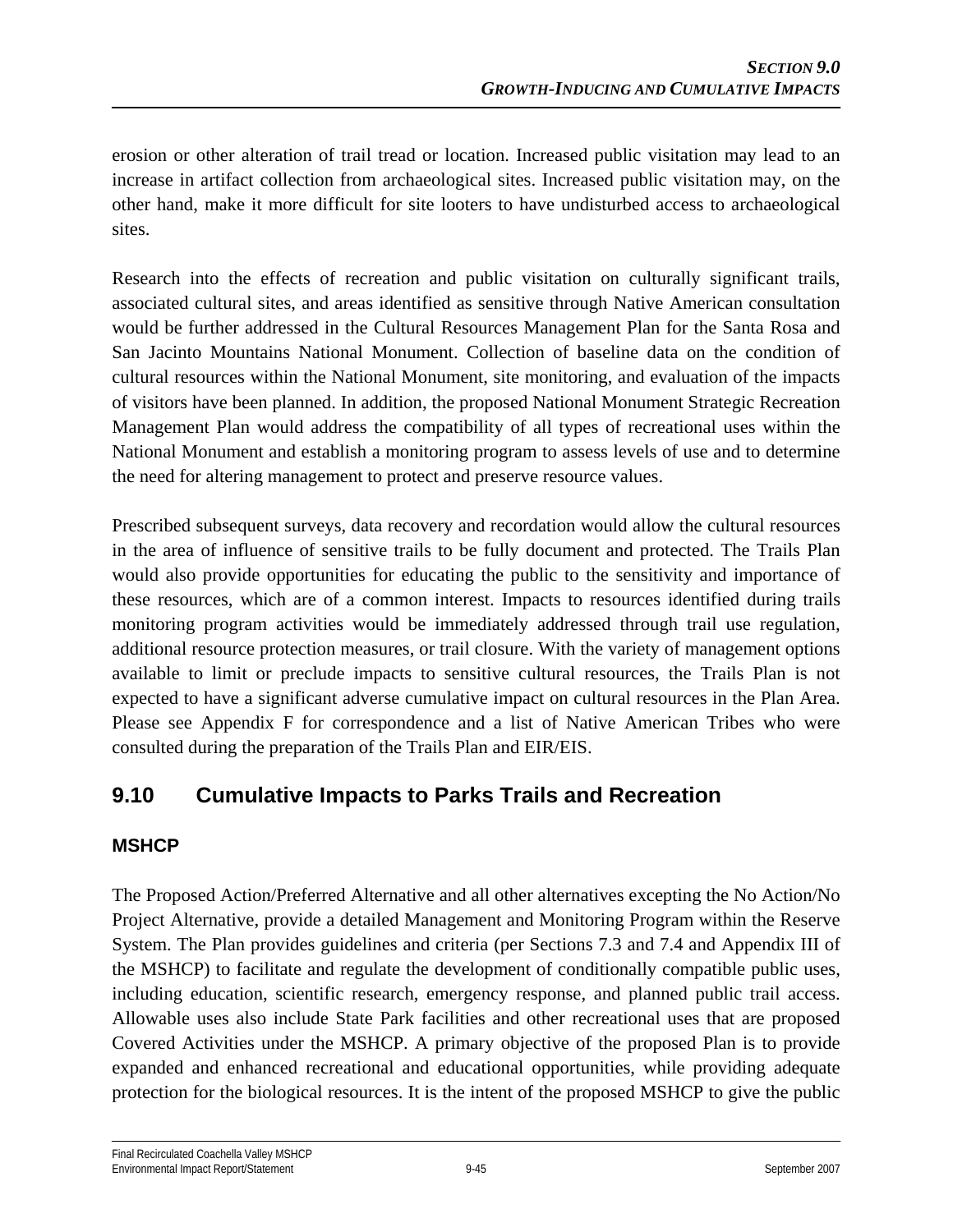erosion or other alteration of trail tread or location. Increased public visitation may lead to an increase in artifact collection from archaeological sites. Increased public visitation may, on the other hand, make it more difficult for site looters to have undisturbed access to archaeological sites.

Research into the effects of recreation and public visitation on culturally significant trails, associated cultural sites, and areas identified as sensitive through Native American consultation would be further addressed in the Cultural Resources Management Plan for the Santa Rosa and San Jacinto Mountains National Monument. Collection of baseline data on the condition of cultural resources within the National Monument, site monitoring, and evaluation of the impacts of visitors have been planned. In addition, the proposed National Monument Strategic Recreation Management Plan would address the compatibility of all types of recreational uses within the National Monument and establish a monitoring program to assess levels of use and to determine the need for altering management to protect and preserve resource values.

Prescribed subsequent surveys, data recovery and recordation would allow the cultural resources in the area of influence of sensitive trails to be fully document and protected. The Trails Plan would also provide opportunities for educating the public to the sensitivity and importance of these resources, which are of a common interest. Impacts to resources identified during trails monitoring program activities would be immediately addressed through trail use regulation, additional resource protection measures, or trail closure. With the variety of management options available to limit or preclude impacts to sensitive cultural resources, the Trails Plan is not expected to have a significant adverse cumulative impact on cultural resources in the Plan Area. Please see Appendix F for correspondence and a list of Native American Tribes who were consulted during the preparation of the Trails Plan and EIR/EIS.

# **9.10 Cumulative Impacts to Parks Trails and Recreation**

## **MSHCP**

The Proposed Action/Preferred Alternative and all other alternatives excepting the No Action/No Project Alternative, provide a detailed Management and Monitoring Program within the Reserve System. The Plan provides guidelines and criteria (per Sections 7.3 and 7.4 and Appendix III of the MSHCP) to facilitate and regulate the development of conditionally compatible public uses, including education, scientific research, emergency response, and planned public trail access. Allowable uses also include State Park facilities and other recreational uses that are proposed Covered Activities under the MSHCP. A primary objective of the proposed Plan is to provide expanded and enhanced recreational and educational opportunities, while providing adequate protection for the biological resources. It is the intent of the proposed MSHCP to give the public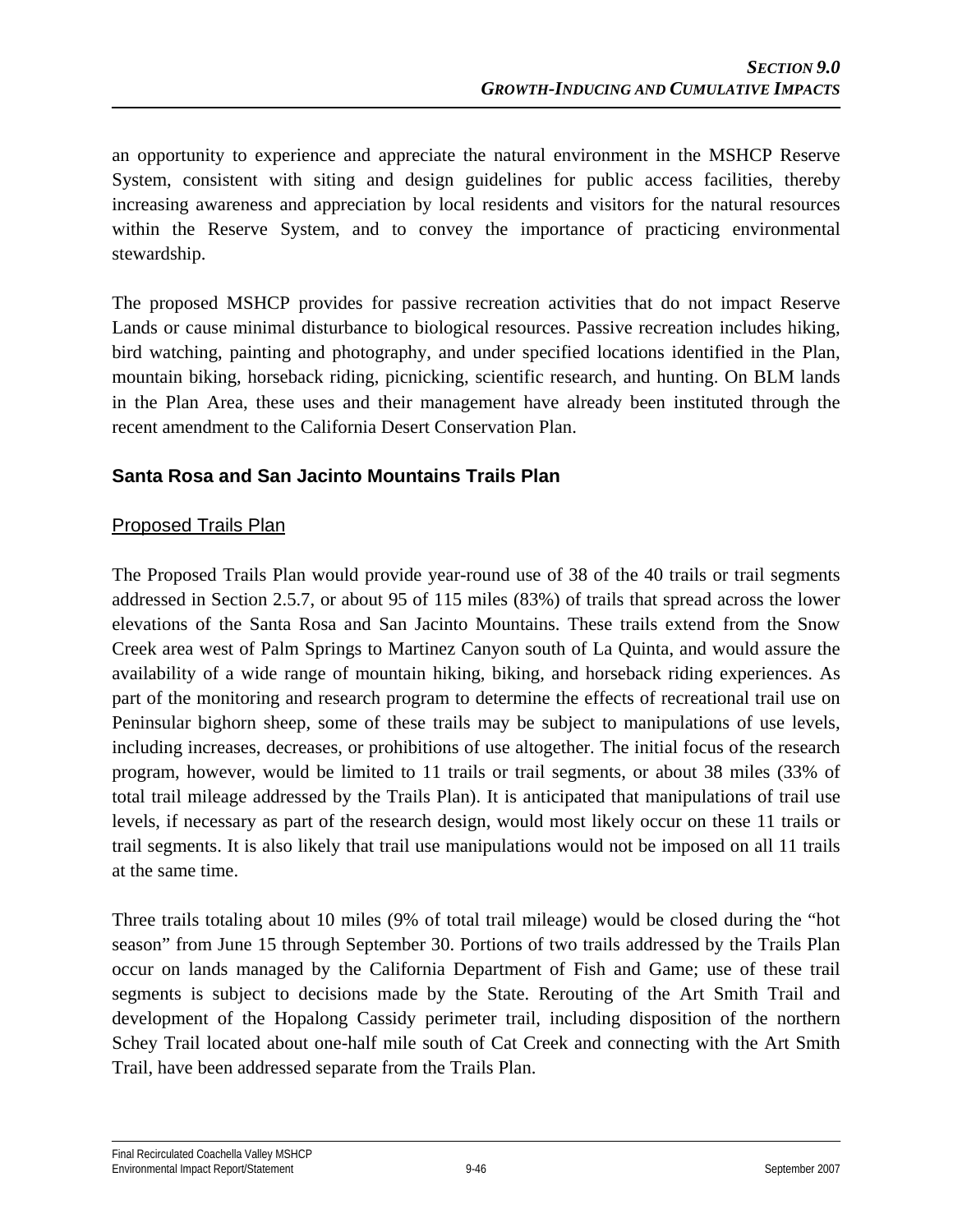an opportunity to experience and appreciate the natural environment in the MSHCP Reserve System, consistent with siting and design guidelines for public access facilities, thereby increasing awareness and appreciation by local residents and visitors for the natural resources within the Reserve System, and to convey the importance of practicing environmental stewardship.

The proposed MSHCP provides for passive recreation activities that do not impact Reserve Lands or cause minimal disturbance to biological resources. Passive recreation includes hiking, bird watching, painting and photography, and under specified locations identified in the Plan, mountain biking, horseback riding, picnicking, scientific research, and hunting. On BLM lands in the Plan Area, these uses and their management have already been instituted through the recent amendment to the California Desert Conservation Plan.

## **Santa Rosa and San Jacinto Mountains Trails Plan**

#### Proposed Trails Plan

The Proposed Trails Plan would provide year-round use of 38 of the 40 trails or trail segments addressed in Section 2.5.7, or about 95 of 115 miles (83%) of trails that spread across the lower elevations of the Santa Rosa and San Jacinto Mountains. These trails extend from the Snow Creek area west of Palm Springs to Martinez Canyon south of La Quinta, and would assure the availability of a wide range of mountain hiking, biking, and horseback riding experiences. As part of the monitoring and research program to determine the effects of recreational trail use on Peninsular bighorn sheep, some of these trails may be subject to manipulations of use levels, including increases, decreases, or prohibitions of use altogether. The initial focus of the research program, however, would be limited to 11 trails or trail segments, or about 38 miles (33% of total trail mileage addressed by the Trails Plan). It is anticipated that manipulations of trail use levels, if necessary as part of the research design, would most likely occur on these 11 trails or trail segments. It is also likely that trail use manipulations would not be imposed on all 11 trails at the same time.

Three trails totaling about 10 miles (9% of total trail mileage) would be closed during the "hot season" from June 15 through September 30. Portions of two trails addressed by the Trails Plan occur on lands managed by the California Department of Fish and Game; use of these trail segments is subject to decisions made by the State. Rerouting of the Art Smith Trail and development of the Hopalong Cassidy perimeter trail, including disposition of the northern Schey Trail located about one-half mile south of Cat Creek and connecting with the Art Smith Trail, have been addressed separate from the Trails Plan.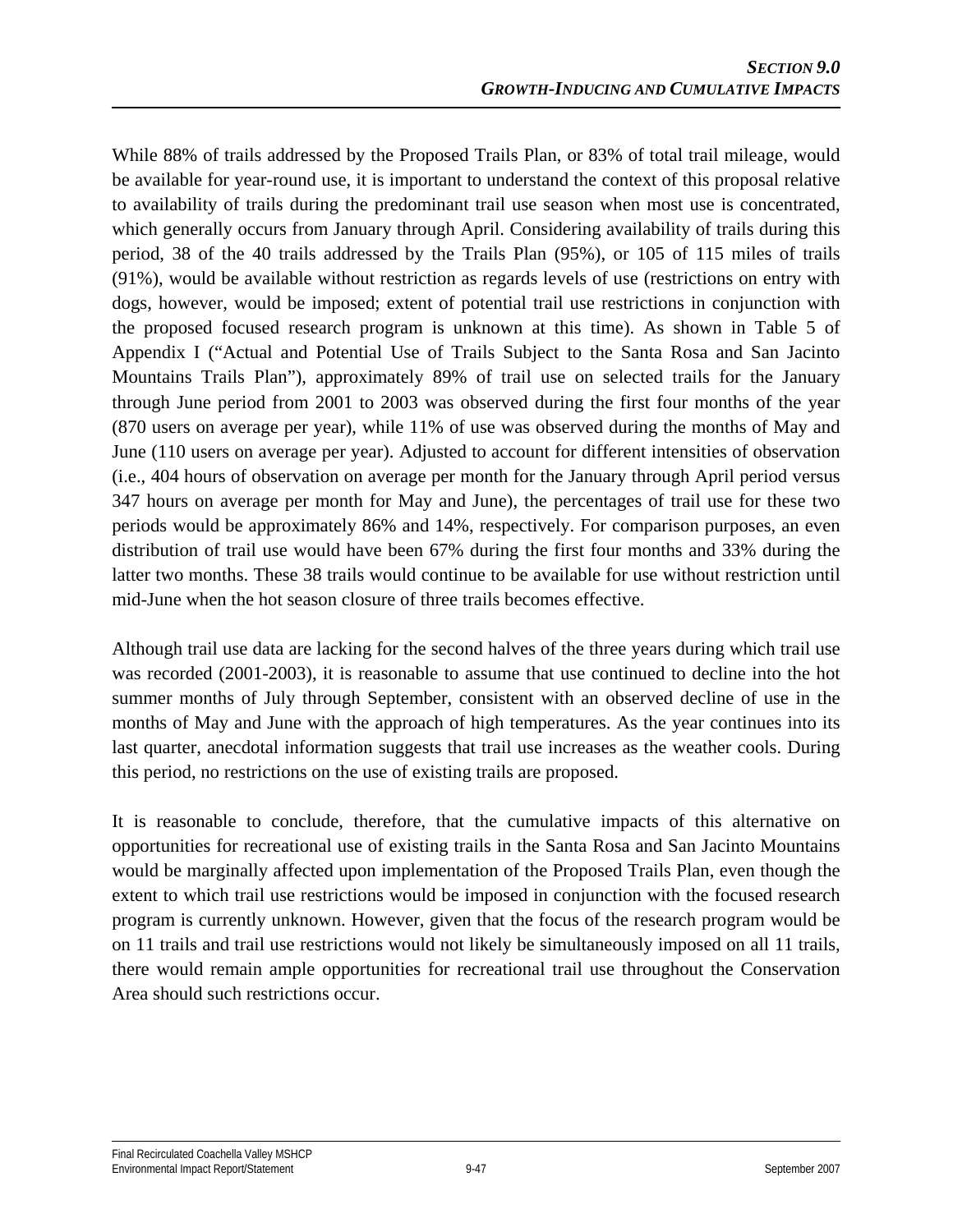While 88% of trails addressed by the Proposed Trails Plan, or 83% of total trail mileage, would be available for year-round use, it is important to understand the context of this proposal relative to availability of trails during the predominant trail use season when most use is concentrated, which generally occurs from January through April. Considering availability of trails during this period, 38 of the 40 trails addressed by the Trails Plan (95%), or 105 of 115 miles of trails (91%), would be available without restriction as regards levels of use (restrictions on entry with dogs, however, would be imposed; extent of potential trail use restrictions in conjunction with the proposed focused research program is unknown at this time). As shown in Table 5 of Appendix I ("Actual and Potential Use of Trails Subject to the Santa Rosa and San Jacinto Mountains Trails Plan"), approximately 89% of trail use on selected trails for the January through June period from 2001 to 2003 was observed during the first four months of the year (870 users on average per year), while 11% of use was observed during the months of May and June (110 users on average per year). Adjusted to account for different intensities of observation (i.e., 404 hours of observation on average per month for the January through April period versus 347 hours on average per month for May and June), the percentages of trail use for these two periods would be approximately 86% and 14%, respectively. For comparison purposes, an even distribution of trail use would have been 67% during the first four months and 33% during the latter two months. These 38 trails would continue to be available for use without restriction until mid-June when the hot season closure of three trails becomes effective.

Although trail use data are lacking for the second halves of the three years during which trail use was recorded (2001-2003), it is reasonable to assume that use continued to decline into the hot summer months of July through September, consistent with an observed decline of use in the months of May and June with the approach of high temperatures. As the year continues into its last quarter, anecdotal information suggests that trail use increases as the weather cools. During this period, no restrictions on the use of existing trails are proposed.

It is reasonable to conclude, therefore, that the cumulative impacts of this alternative on opportunities for recreational use of existing trails in the Santa Rosa and San Jacinto Mountains would be marginally affected upon implementation of the Proposed Trails Plan, even though the extent to which trail use restrictions would be imposed in conjunction with the focused research program is currently unknown. However, given that the focus of the research program would be on 11 trails and trail use restrictions would not likely be simultaneously imposed on all 11 trails, there would remain ample opportunities for recreational trail use throughout the Conservation Area should such restrictions occur.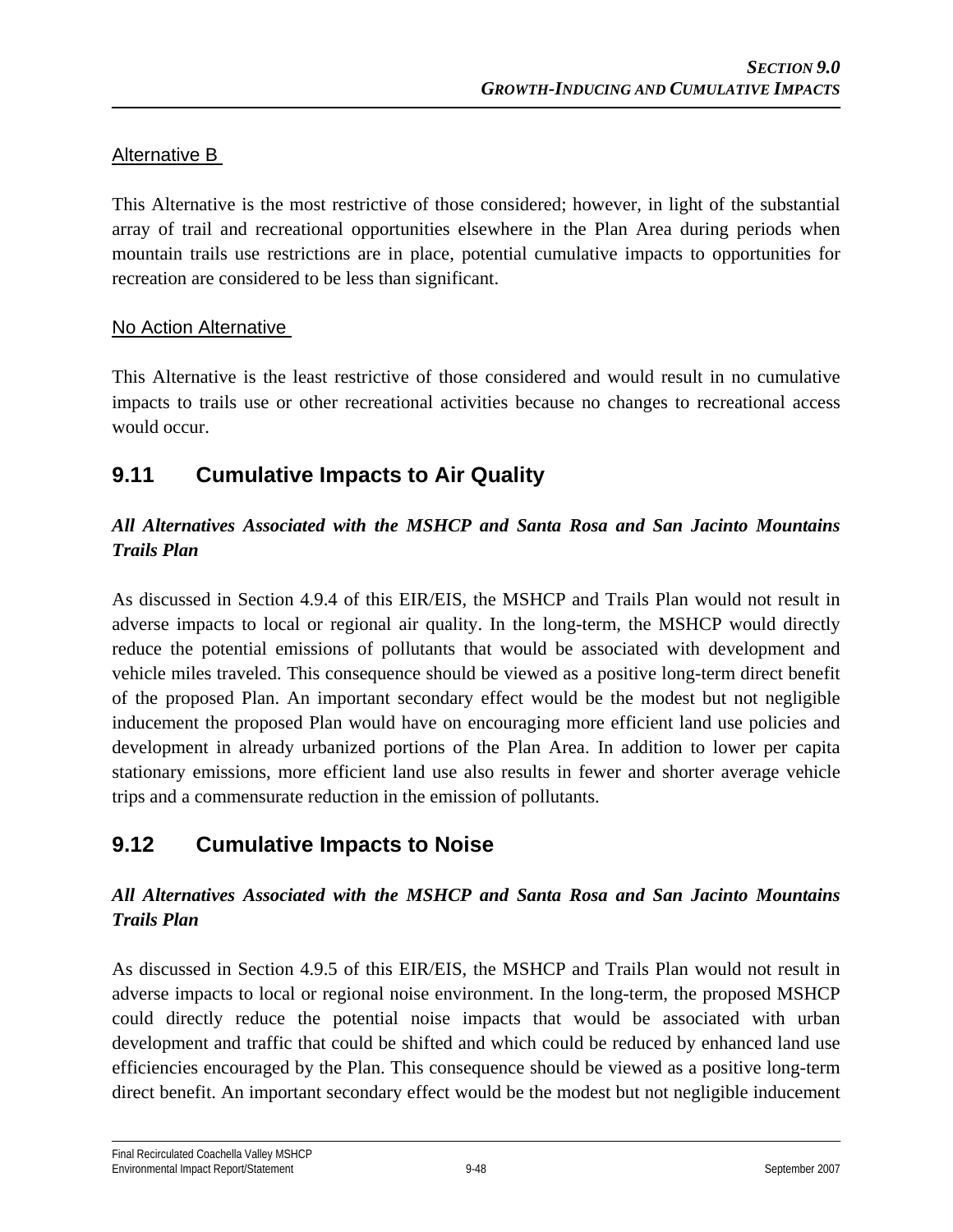## Alternative B

This Alternative is the most restrictive of those considered; however, in light of the substantial array of trail and recreational opportunities elsewhere in the Plan Area during periods when mountain trails use restrictions are in place, potential cumulative impacts to opportunities for recreation are considered to be less than significant.

## No Action Alternative

This Alternative is the least restrictive of those considered and would result in no cumulative impacts to trails use or other recreational activities because no changes to recreational access would occur.

# **9.11 Cumulative Impacts to Air Quality**

## *All Alternatives Associated with the MSHCP and Santa Rosa and San Jacinto Mountains Trails Plan*

As discussed in Section 4.9.4 of this EIR/EIS, the MSHCP and Trails Plan would not result in adverse impacts to local or regional air quality. In the long-term, the MSHCP would directly reduce the potential emissions of pollutants that would be associated with development and vehicle miles traveled. This consequence should be viewed as a positive long-term direct benefit of the proposed Plan. An important secondary effect would be the modest but not negligible inducement the proposed Plan would have on encouraging more efficient land use policies and development in already urbanized portions of the Plan Area. In addition to lower per capita stationary emissions, more efficient land use also results in fewer and shorter average vehicle trips and a commensurate reduction in the emission of pollutants.

# **9.12 Cumulative Impacts to Noise**

## *All Alternatives Associated with the MSHCP and Santa Rosa and San Jacinto Mountains Trails Plan*

As discussed in Section 4.9.5 of this EIR/EIS, the MSHCP and Trails Plan would not result in adverse impacts to local or regional noise environment. In the long-term, the proposed MSHCP could directly reduce the potential noise impacts that would be associated with urban development and traffic that could be shifted and which could be reduced by enhanced land use efficiencies encouraged by the Plan. This consequence should be viewed as a positive long-term direct benefit. An important secondary effect would be the modest but not negligible inducement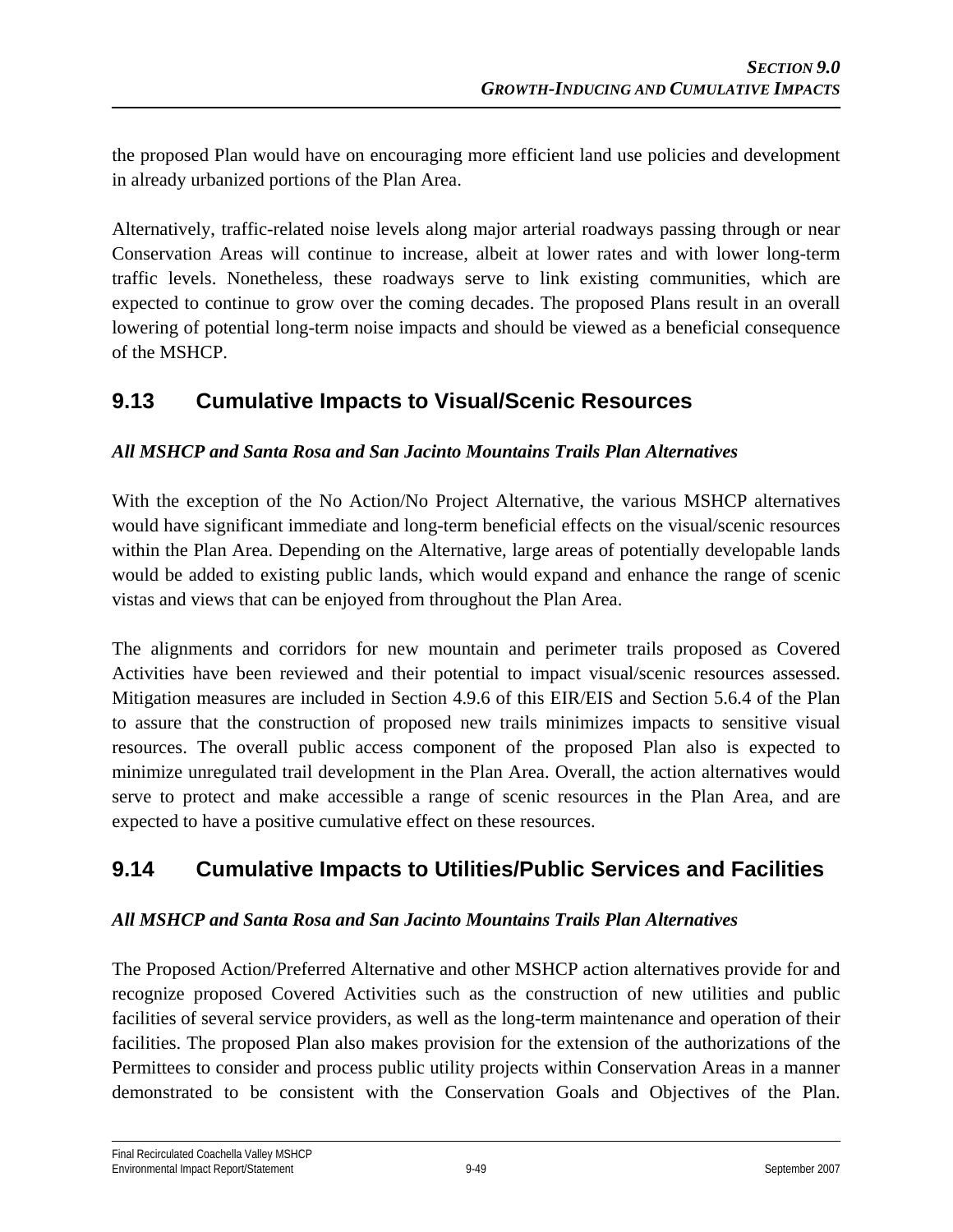the proposed Plan would have on encouraging more efficient land use policies and development in already urbanized portions of the Plan Area.

Alternatively, traffic-related noise levels along major arterial roadways passing through or near Conservation Areas will continue to increase, albeit at lower rates and with lower long-term traffic levels. Nonetheless, these roadways serve to link existing communities, which are expected to continue to grow over the coming decades. The proposed Plans result in an overall lowering of potential long-term noise impacts and should be viewed as a beneficial consequence of the MSHCP.

# **9.13 Cumulative Impacts to Visual/Scenic Resources**

#### *All MSHCP and Santa Rosa and San Jacinto Mountains Trails Plan Alternatives*

With the exception of the No Action/No Project Alternative, the various MSHCP alternatives would have significant immediate and long-term beneficial effects on the visual/scenic resources within the Plan Area. Depending on the Alternative, large areas of potentially developable lands would be added to existing public lands, which would expand and enhance the range of scenic vistas and views that can be enjoyed from throughout the Plan Area.

The alignments and corridors for new mountain and perimeter trails proposed as Covered Activities have been reviewed and their potential to impact visual/scenic resources assessed. Mitigation measures are included in Section 4.9.6 of this EIR/EIS and Section 5.6.4 of the Plan to assure that the construction of proposed new trails minimizes impacts to sensitive visual resources. The overall public access component of the proposed Plan also is expected to minimize unregulated trail development in the Plan Area. Overall, the action alternatives would serve to protect and make accessible a range of scenic resources in the Plan Area, and are expected to have a positive cumulative effect on these resources.

# **9.14 Cumulative Impacts to Utilities/Public Services and Facilities**

#### *All MSHCP and Santa Rosa and San Jacinto Mountains Trails Plan Alternatives*

The Proposed Action/Preferred Alternative and other MSHCP action alternatives provide for and recognize proposed Covered Activities such as the construction of new utilities and public facilities of several service providers, as well as the long-term maintenance and operation of their facilities. The proposed Plan also makes provision for the extension of the authorizations of the Permittees to consider and process public utility projects within Conservation Areas in a manner demonstrated to be consistent with the Conservation Goals and Objectives of the Plan.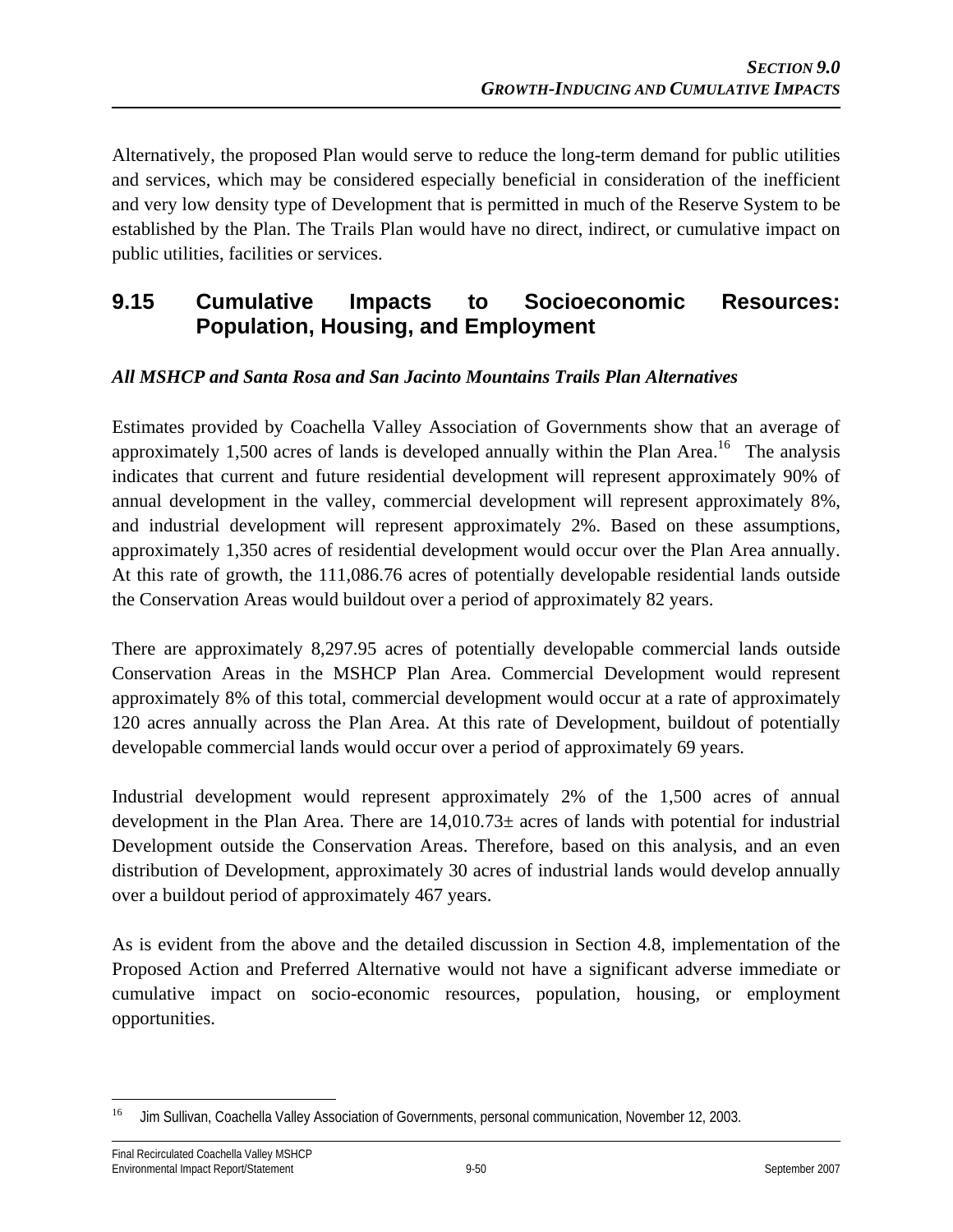Alternatively, the proposed Plan would serve to reduce the long-term demand for public utilities and services, which may be considered especially beneficial in consideration of the inefficient and very low density type of Development that is permitted in much of the Reserve System to be established by the Plan. The Trails Plan would have no direct, indirect, or cumulative impact on public utilities, facilities or services.

# **9.15 Cumulative Impacts to Socioeconomic Resources: Population, Housing, and Employment**

#### *All MSHCP and Santa Rosa and San Jacinto Mountains Trails Plan Alternatives*

Estimates provided by Coachella Valley Association of Governments show that an average of approximately 1,500 acres of lands is developed annually within the Plan Area.<sup>16</sup> The analysis indicates that current and future residential development will represent approximately 90% of annual development in the valley, commercial development will represent approximately 8%, and industrial development will represent approximately 2%. Based on these assumptions, approximately 1,350 acres of residential development would occur over the Plan Area annually. At this rate of growth, the 111,086.76 acres of potentially developable residential lands outside the Conservation Areas would buildout over a period of approximately 82 years.

There are approximately 8,297.95 acres of potentially developable commercial lands outside Conservation Areas in the MSHCP Plan Area. Commercial Development would represent approximately 8% of this total, commercial development would occur at a rate of approximately 120 acres annually across the Plan Area. At this rate of Development, buildout of potentially developable commercial lands would occur over a period of approximately 69 years.

Industrial development would represent approximately 2% of the 1,500 acres of annual development in the Plan Area. There are 14,010.73± acres of lands with potential for industrial Development outside the Conservation Areas. Therefore, based on this analysis, and an even distribution of Development, approximately 30 acres of industrial lands would develop annually over a buildout period of approximately 467 years.

As is evident from the above and the detailed discussion in Section 4.8, implementation of the Proposed Action and Preferred Alternative would not have a significant adverse immediate or cumulative impact on socio-economic resources, population, housing, or employment opportunities.

<sup>16</sup> 16 Jim Sullivan, Coachella Valley Association of Governments, personal communication, November 12, 2003.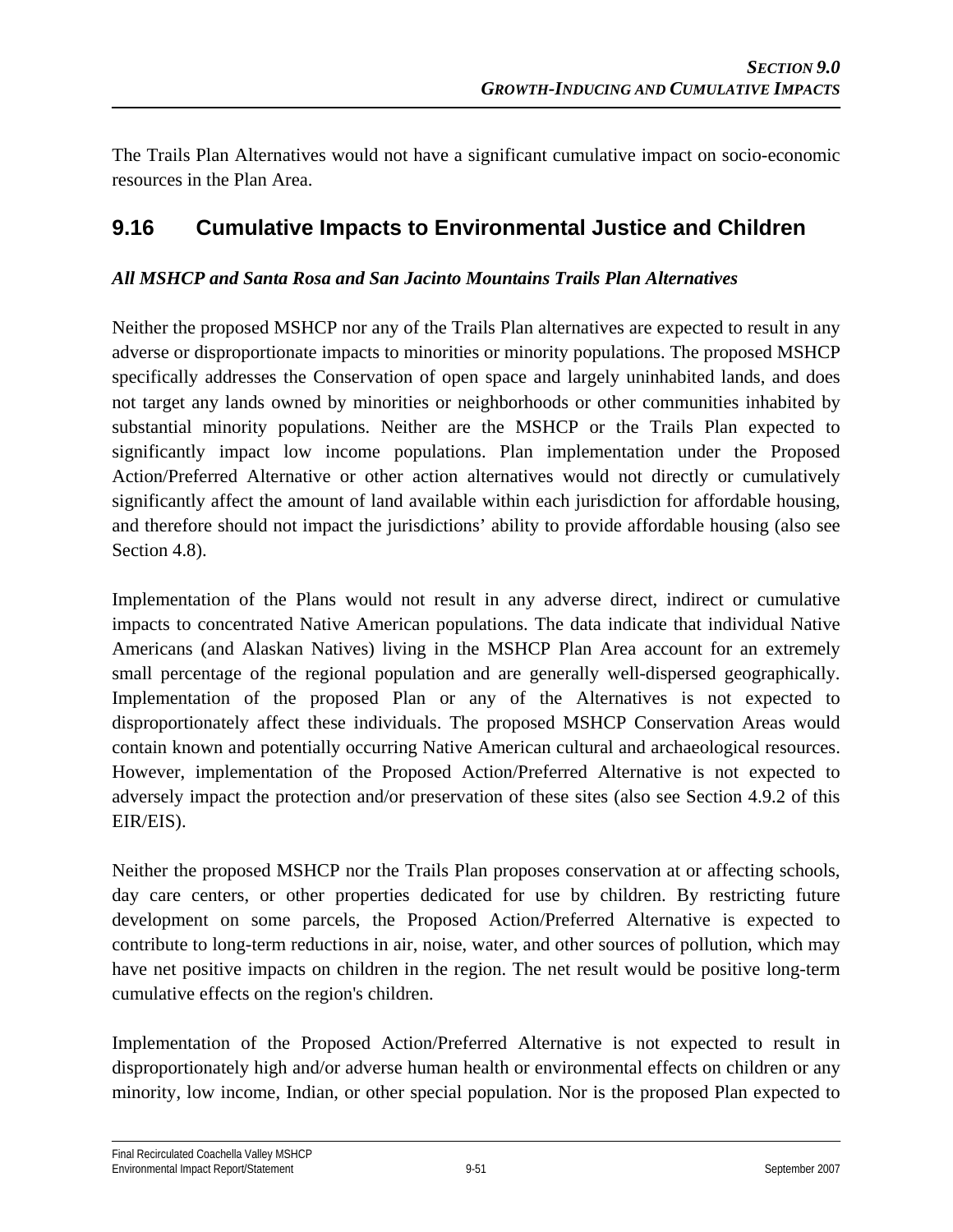The Trails Plan Alternatives would not have a significant cumulative impact on socio-economic resources in the Plan Area.

# **9.16 Cumulative Impacts to Environmental Justice and Children**

## *All MSHCP and Santa Rosa and San Jacinto Mountains Trails Plan Alternatives*

Neither the proposed MSHCP nor any of the Trails Plan alternatives are expected to result in any adverse or disproportionate impacts to minorities or minority populations. The proposed MSHCP specifically addresses the Conservation of open space and largely uninhabited lands, and does not target any lands owned by minorities or neighborhoods or other communities inhabited by substantial minority populations. Neither are the MSHCP or the Trails Plan expected to significantly impact low income populations. Plan implementation under the Proposed Action/Preferred Alternative or other action alternatives would not directly or cumulatively significantly affect the amount of land available within each jurisdiction for affordable housing, and therefore should not impact the jurisdictions' ability to provide affordable housing (also see Section 4.8).

Implementation of the Plans would not result in any adverse direct, indirect or cumulative impacts to concentrated Native American populations. The data indicate that individual Native Americans (and Alaskan Natives) living in the MSHCP Plan Area account for an extremely small percentage of the regional population and are generally well-dispersed geographically. Implementation of the proposed Plan or any of the Alternatives is not expected to disproportionately affect these individuals. The proposed MSHCP Conservation Areas would contain known and potentially occurring Native American cultural and archaeological resources. However, implementation of the Proposed Action/Preferred Alternative is not expected to adversely impact the protection and/or preservation of these sites (also see Section 4.9.2 of this EIR/EIS).

Neither the proposed MSHCP nor the Trails Plan proposes conservation at or affecting schools, day care centers, or other properties dedicated for use by children. By restricting future development on some parcels, the Proposed Action/Preferred Alternative is expected to contribute to long-term reductions in air, noise, water, and other sources of pollution, which may have net positive impacts on children in the region. The net result would be positive long-term cumulative effects on the region's children.

Implementation of the Proposed Action/Preferred Alternative is not expected to result in disproportionately high and/or adverse human health or environmental effects on children or any minority, low income, Indian, or other special population. Nor is the proposed Plan expected to